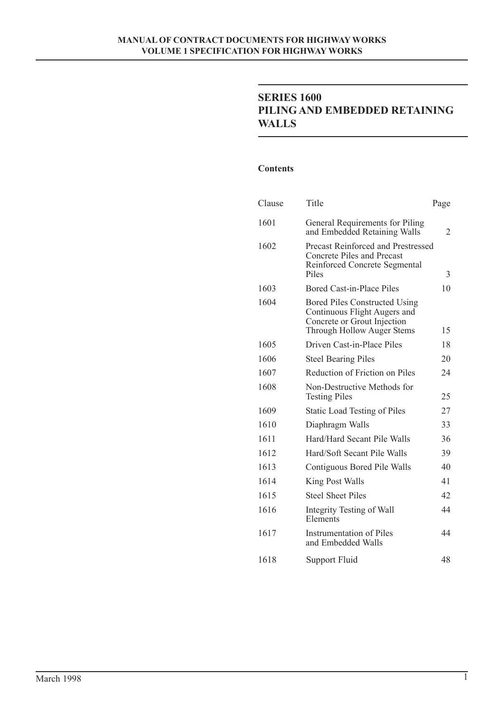# **SERIES 1600 PILING AND EMBEDDED RETAINING WALLS**

#### **Contents**

| Clause | Title                                                                                                                             | Page |
|--------|-----------------------------------------------------------------------------------------------------------------------------------|------|
| 1601   | General Requirements for Piling<br>and Embedded Retaining Walls                                                                   | 2    |
| 1602   | Precast Reinforced and Prestressed<br>Concrete Piles and Precast<br>Reinforced Concrete Segmental<br>Piles                        | 3    |
| 1603   | Bored Cast-in-Place Piles                                                                                                         | 10   |
| 1604   | Bored Piles Constructed Using<br>Continuous Flight Augers and<br>Concrete or Grout Injection<br><b>Through Hollow Auger Stems</b> | 15   |
| 1605   | Driven Cast-in-Place Piles                                                                                                        | 18   |
| 1606   | <b>Steel Bearing Piles</b>                                                                                                        | 20   |
| 1607   | Reduction of Friction on Piles                                                                                                    | 24   |
| 1608   | Non-Destructive Methods for<br><b>Testing Piles</b>                                                                               | 25   |
| 1609   | <b>Static Load Testing of Piles</b>                                                                                               | 27   |
| 1610   | Diaphragm Walls                                                                                                                   | 33   |
| 1611   | Hard/Hard Secant Pile Walls                                                                                                       | 36   |
| 1612   | Hard/Soft Secant Pile Walls                                                                                                       | 39   |
| 1613   | Contiguous Bored Pile Walls                                                                                                       | 40   |
| 1614   | King Post Walls                                                                                                                   | 41   |
| 1615   | <b>Steel Sheet Piles</b>                                                                                                          | 42   |
| 1616   | Integrity Testing of Wall<br>Elements                                                                                             | 44   |
| 1617   | <b>Instrumentation of Piles</b><br>and Embedded Walls                                                                             | 44   |
| 1618   | Support Fluid                                                                                                                     | 48   |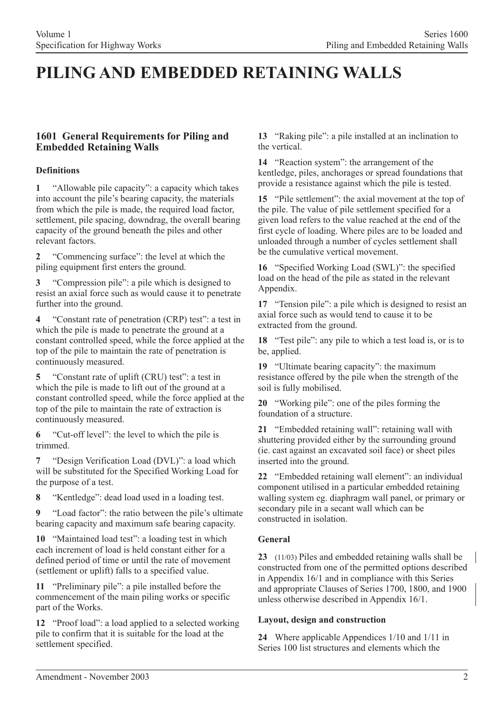# **PILING AND EMBEDDED RETAINING WALLS**

# **1601 General Requirements for Piling and Embedded Retaining Walls**

### **Definitions**

**1** "Allowable pile capacity": a capacity which takes into account the pile's bearing capacity, the materials from which the pile is made, the required load factor, settlement, pile spacing, downdrag, the overall bearing capacity of the ground beneath the piles and other relevant factors.

**2** "Commencing surface": the level at which the piling equipment first enters the ground.

**3** "Compression pile": a pile which is designed to resist an axial force such as would cause it to penetrate further into the ground.

**4** "Constant rate of penetration (CRP) test": a test in which the pile is made to penetrate the ground at a constant controlled speed, while the force applied at the top of the pile to maintain the rate of penetration is continuously measured.

**5** "Constant rate of uplift (CRU) test": a test in which the pile is made to lift out of the ground at a constant controlled speed, while the force applied at the top of the pile to maintain the rate of extraction is continuously measured.

**6** "Cut-off level": the level to which the pile is trimmed.

**7** "Design Verification Load (DVL)": a load which will be substituted for the Specified Working Load for the purpose of a test.

**8** "Kentledge": dead load used in a loading test.

**9** "Load factor": the ratio between the pile's ultimate bearing capacity and maximum safe bearing capacity.

**10** "Maintained load test": a loading test in which each increment of load is held constant either for a defined period of time or until the rate of movement (settlement or uplift) falls to a specified value.

**11** "Preliminary pile": a pile installed before the commencement of the main piling works or specific part of the Works.

**12** "Proof load": a load applied to a selected working pile to confirm that it is suitable for the load at the settlement specified.

**13** "Raking pile": a pile installed at an inclination to the vertical.

**14** "Reaction system": the arrangement of the kentledge, piles, anchorages or spread foundations that provide a resistance against which the pile is tested.

**15** "Pile settlement": the axial movement at the top of the pile. The value of pile settlement specified for a given load refers to the value reached at the end of the first cycle of loading. Where piles are to be loaded and unloaded through a number of cycles settlement shall be the cumulative vertical movement.

**16** "Specified Working Load (SWL)": the specified load on the head of the pile as stated in the relevant Appendix.

**17** "Tension pile": a pile which is designed to resist an axial force such as would tend to cause it to be extracted from the ground.

**18** "Test pile": any pile to which a test load is, or is to be, applied.

**19** "Ultimate bearing capacity": the maximum resistance offered by the pile when the strength of the soil is fully mobilised.

**20** "Working pile": one of the piles forming the foundation of a structure.

**21** "Embedded retaining wall": retaining wall with shuttering provided either by the surrounding ground (ie. cast against an excavated soil face) or sheet piles inserted into the ground.

**22** "Embedded retaining wall element": an individual component utilised in a particular embedded retaining walling system eg. diaphragm wall panel, or primary or secondary pile in a secant wall which can be constructed in isolation.

# **General**

**23** (11/03) Piles and embedded retaining walls shall be constructed from one of the permitted options described in Appendix 16/1 and in compliance with this Series and appropriate Clauses of Series 1700, 1800, and 1900 unless otherwise described in Appendix 16/1.

### **Layout, design and construction**

24 Where applicable Appendices 1/10 and 1/11 in Series 100 list structures and elements which the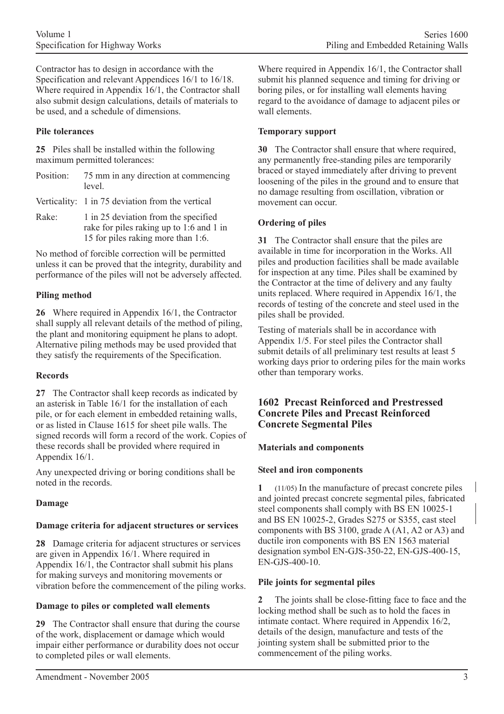Contractor has to design in accordance with the Specification and relevant Appendices 16/1 to 16/18. Where required in Appendix 16/1, the Contractor shall also submit design calculations, details of materials to be used, and a schedule of dimensions.

### **Pile tolerances**

**25** Piles shall be installed within the following maximum permitted tolerances:

| Position: 75 mm in any direction at commencing |
|------------------------------------------------|
| level.                                         |

Verticality: 1 in 75 deviation from the vertical

Rake: 1 in 25 deviation from the specified rake for piles raking up to 1:6 and 1 in 15 for piles raking more than 1:6.

No method of forcible correction will be permitted unless it can be proved that the integrity, durability and performance of the piles will not be adversely affected.

# **Piling method**

**26** Where required in Appendix 16/1, the Contractor shall supply all relevant details of the method of piling. the plant and monitoring equipment he plans to adopt. Alternative piling methods may be used provided that they satisfy the requirements of the Specification.

### **Records**

**27** The Contractor shall keep records as indicated by an asterisk in Table 16/1 for the installation of each pile, or for each element in embedded retaining walls, or as listed in Clause 1615 for sheet pile walls. The signed records will form a record of the work. Copies of these records shall be provided where required in Appendix 16/1.

Any unexpected driving or boring conditions shall be noted in the records.

# **Damage**

# **Damage criteria for adjacent structures or services**

**28** Damage criteria for adjacent structures or services are given in Appendix 16/1. Where required in Appendix 16/1, the Contractor shall submit his plans for making surveys and monitoring movements or vibration before the commencement of the piling works.

### **Damage to piles or completed wall elements**

**29** The Contractor shall ensure that during the course of the work, displacement or damage which would impair either performance or durability does not occur to completed piles or wall elements.

Where required in Appendix 16/1, the Contractor shall submit his planned sequence and timing for driving or boring piles, or for installing wall elements having regard to the avoidance of damage to adjacent piles or wall elements.

### **Temporary support**

**30** The Contractor shall ensure that where required, any permanently free-standing piles are temporarily braced or stayed immediately after driving to prevent loosening of the piles in the ground and to ensure that no damage resulting from oscillation, vibration or movement can occur.

### **Ordering of piles**

**31** The Contractor shall ensure that the piles are available in time for incorporation in the Works. All piles and production facilities shall be made available for inspection at any time. Piles shall be examined by the Contractor at the time of delivery and any faulty units replaced. Where required in Appendix 16/1, the records of testing of the concrete and steel used in the piles shall be provided.

Testing of materials shall be in accordance with Appendix 1/5. For steel piles the Contractor shall submit details of all preliminary test results at least 5 working days prior to ordering piles for the main works other than temporary works.

# **1602 Precast Reinforced and Prestressed Concrete Piles and Precast Reinforced Concrete Segmental Piles**

### **Materials and components**

# **Steel and iron components**

**1** (11/05) In the manufacture of precast concrete piles and jointed precast concrete segmental piles, fabricated steel components shall comply with BS EN 10025-1 and BS EN 10025-2, Grades S275 or S355, cast steel components with BS 3100, grade A (A1, A2 or A3) and ductile iron components with BS EN 1563 material designation symbol EN-GJS-350-22, EN-GJS-400-15, EN-GJS-400-10.

# **Pile joints for segmental piles**

**2** The joints shall be close-fitting face to face and the locking method shall be such as to hold the faces in intimate contact. Where required in Appendix 16/2, details of the design, manufacture and tests of the jointing system shall be submitted prior to the commencement of the piling works.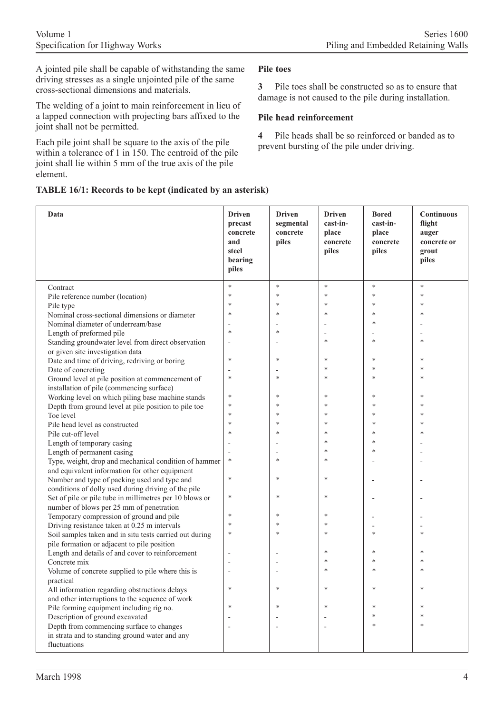A jointed pile shall be capable of withstanding the same driving stresses as a single unjointed pile of the same cross-sectional dimensions and materials.

The welding of a joint to main reinforcement in lieu of a lapped connection with projecting bars affixed to the joint shall not be permitted.

Each pile joint shall be square to the axis of the pile within a tolerance of 1 in 150. The centroid of the pile joint shall lie within 5 mm of the true axis of the pile element.

### **Pile toes**

**3** Pile toes shall be constructed so as to ensure that damage is not caused to the pile during installation.

# **Pile head reinforcement**

**4** Pile heads shall be so reinforced or banded as to prevent bursting of the pile under driving.

|  |  |  |  |  |  | TABLE 16/1: Records to be kept (indicated by an asterisk) |  |  |  |
|--|--|--|--|--|--|-----------------------------------------------------------|--|--|--|
|--|--|--|--|--|--|-----------------------------------------------------------|--|--|--|

| Data                                                           | <b>Driven</b><br>precast<br>concrete<br>and<br>steel<br>bearing<br>piles | <b>Driven</b><br>segmental<br>concrete<br>piles | <b>Driven</b><br>cast-in-<br>place<br>concrete<br>piles | <b>Bored</b><br>cast-in-<br>place<br>concrete<br>piles | Continuous<br>flight<br>auger<br>concrete or<br>grout<br>piles |
|----------------------------------------------------------------|--------------------------------------------------------------------------|-------------------------------------------------|---------------------------------------------------------|--------------------------------------------------------|----------------------------------------------------------------|
| Contract                                                       | $\ast$                                                                   | $\ast$                                          | $\ast$                                                  | $\ast$                                                 | $\ast$                                                         |
| Pile reference number (location)                               | $\ast$                                                                   | $\ast$                                          | $\ast$                                                  | $\ast$                                                 | $\ast$                                                         |
| Pile type                                                      | $\ast$                                                                   | *                                               | $\ast$                                                  | ∗                                                      | *                                                              |
| Nominal cross-sectional dimensions or diameter                 | $\ast$                                                                   | *                                               | $\ast$                                                  | $\ast$                                                 | *                                                              |
| Nominal diameter of underream/base                             |                                                                          |                                                 |                                                         | *                                                      |                                                                |
| Length of preformed pile                                       | $\ast$                                                                   | *                                               |                                                         |                                                        |                                                                |
| Standing groundwater level from direct observation             |                                                                          |                                                 | $\ast$                                                  | *                                                      | *                                                              |
| or given site investigation data                               |                                                                          |                                                 |                                                         |                                                        |                                                                |
| Date and time of driving, redriving or boring                  | $\ast$                                                                   | ∗                                               | *                                                       | *                                                      | ∗                                                              |
| Date of concreting                                             |                                                                          |                                                 | *                                                       | *                                                      | *                                                              |
| Ground level at pile position at commencement of               | $\ast$                                                                   | *                                               | $\ast$                                                  | $\ast$                                                 | *                                                              |
| installation of pile (commencing surface)                      |                                                                          |                                                 |                                                         |                                                        |                                                                |
| Working level on which piling base machine stands              | $\ast$                                                                   | ∗                                               | $\ast$                                                  | *                                                      | ∗                                                              |
| Depth from ground level at pile position to pile toe           | *                                                                        | $\ast$                                          | $\ast$                                                  | $\ast$                                                 | *                                                              |
| Toe level                                                      | $\ast$                                                                   | *                                               | $\ast$                                                  | ∗                                                      | *                                                              |
| Pile head level as constructed                                 | $\ast$                                                                   | *                                               | *                                                       | $\ast$                                                 | *                                                              |
| Pile cut-off level                                             | *                                                                        | *                                               | $\ast$                                                  | ∗                                                      | *                                                              |
| Length of temporary casing                                     |                                                                          |                                                 | $\ast$                                                  | $\ast$                                                 |                                                                |
| Length of permanent casing                                     |                                                                          |                                                 | $\ast$                                                  | $\ast$                                                 |                                                                |
| Type, weight, drop and mechanical condition of hammer          | $\ast$                                                                   | *                                               | $\ast$                                                  |                                                        |                                                                |
| and equivalent information for other equipment                 |                                                                          |                                                 |                                                         |                                                        |                                                                |
| Number and type of packing used and type and                   | $\ast$                                                                   | $\ast$                                          | *                                                       |                                                        |                                                                |
| conditions of dolly used during driving of the pile            |                                                                          |                                                 |                                                         |                                                        |                                                                |
| Set of pile or pile tube in millimetres per 10 blows or        | $\ast$                                                                   | $\ast$                                          | $\ast$                                                  |                                                        |                                                                |
| number of blows per 25 mm of penetration                       |                                                                          |                                                 |                                                         |                                                        |                                                                |
| Temporary compression of ground and pile                       | $\ast$                                                                   | ∗                                               | $\ast$                                                  |                                                        |                                                                |
| Driving resistance taken at 0.25 m intervals                   | $\ast$                                                                   | *                                               | *                                                       |                                                        |                                                                |
| Soil samples taken and in situ tests carried out during        | *                                                                        | *                                               | $\ast$                                                  | ∗                                                      | *                                                              |
| pile formation or adjacent to pile position                    |                                                                          |                                                 |                                                         |                                                        |                                                                |
| Length and details of and cover to reinforcement               |                                                                          |                                                 | $\ast$                                                  | *                                                      | ∗                                                              |
| Concrete mix                                                   |                                                                          |                                                 | *                                                       | *                                                      | *                                                              |
| Volume of concrete supplied to pile where this is              |                                                                          |                                                 | *                                                       | *                                                      | *                                                              |
| practical                                                      |                                                                          |                                                 |                                                         |                                                        |                                                                |
| All information regarding obstructions delays                  | *                                                                        | *                                               | *                                                       | *                                                      | *                                                              |
| and other interruptions to the sequence of work                |                                                                          |                                                 |                                                         |                                                        |                                                                |
| Pile forming equipment including rig no.                       | *                                                                        | *                                               | *                                                       | *                                                      | $\ast$                                                         |
| Description of ground excavated                                |                                                                          |                                                 |                                                         | $\ast$                                                 | *                                                              |
| Depth from commencing surface to changes                       |                                                                          |                                                 |                                                         | $\ast$                                                 | *                                                              |
| in strata and to standing ground water and any<br>fluctuations |                                                                          |                                                 |                                                         |                                                        |                                                                |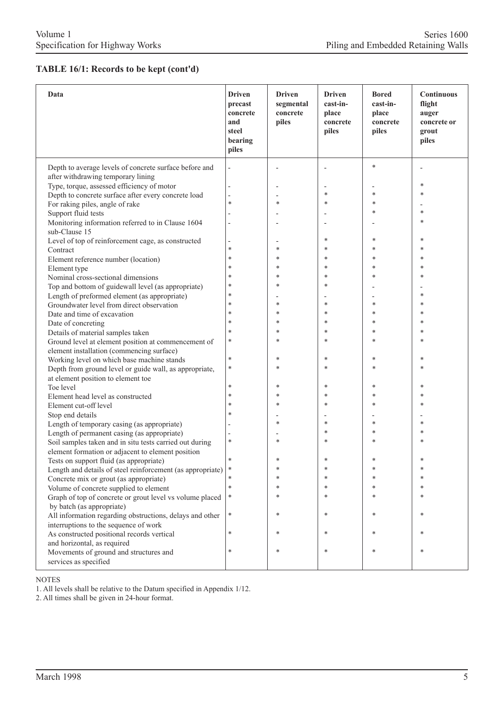### **TABLE 16/1: Records to be kept (cont'd)**

| Data                                                            | <b>Driven</b><br>precast<br>concrete<br>and<br>steel<br>bearing<br>piles | <b>Driven</b><br>segmental<br>concrete<br>piles | <b>Driven</b><br>cast-in-<br>place<br>concrete<br>piles | <b>Bored</b><br>cast-in-<br>place<br>concrete<br>piles | <b>Continuous</b><br>flight<br>auger<br>concrete or<br>grout<br>piles |
|-----------------------------------------------------------------|--------------------------------------------------------------------------|-------------------------------------------------|---------------------------------------------------------|--------------------------------------------------------|-----------------------------------------------------------------------|
| Depth to average levels of concrete surface before and          |                                                                          |                                                 |                                                         | $\ast$                                                 |                                                                       |
| after withdrawing temporary lining                              |                                                                          |                                                 |                                                         |                                                        |                                                                       |
| Type, torque, assessed efficiency of motor                      |                                                                          |                                                 |                                                         |                                                        | $\ast$                                                                |
| Depth to concrete surface after every concrete load             |                                                                          |                                                 | *                                                       | *                                                      | $\ast$                                                                |
| For raking piles, angle of rake                                 | $\ast$                                                                   | $\ast$                                          | *                                                       | *                                                      |                                                                       |
| Support fluid tests                                             |                                                                          |                                                 |                                                         | *                                                      | $\ast$                                                                |
| Monitoring information referred to in Clause 1604               |                                                                          |                                                 | $\overline{\phantom{a}}$                                |                                                        | $\ast$                                                                |
| sub-Clause 15                                                   |                                                                          |                                                 |                                                         |                                                        |                                                                       |
| Level of top of reinforcement cage, as constructed              |                                                                          |                                                 | *                                                       | *                                                      | ∗                                                                     |
| Contract                                                        | $\ast$                                                                   | $\ast$                                          | *                                                       | *                                                      | $\ast$                                                                |
| Element reference number (location)                             | $\ast$                                                                   | $\ast$                                          | $\ast$                                                  | *                                                      | $\ast$                                                                |
| Element type                                                    | $\ast$                                                                   | *                                               | *                                                       | *                                                      | $\ast$                                                                |
| Nominal cross-sectional dimensions                              | $\ast$                                                                   | *                                               | $\ast$                                                  | $\ast$                                                 | $\ast$                                                                |
| Top and bottom of guidewall level (as appropriate)              | $\ast$                                                                   | ∗                                               | *                                                       |                                                        |                                                                       |
| Length of preformed element (as appropriate)                    | $\ast$                                                                   |                                                 |                                                         |                                                        | $\ast$                                                                |
| Groundwater level from direct observation                       | $\ast$                                                                   | $\ast$                                          | $\ast$                                                  | *                                                      | $\ast$                                                                |
| Date and time of excavation                                     | $\ast$                                                                   | *                                               | *                                                       | *                                                      | $\ast$                                                                |
| Date of concreting                                              | $\ast$                                                                   | *                                               | *                                                       | $\ast$                                                 | $\ast$                                                                |
| Details of material samples taken                               | $\ast$                                                                   | *                                               | *                                                       | *                                                      | ∗                                                                     |
| Ground level at element position at commencement of             | $\ast$                                                                   | ×                                               | *                                                       | *                                                      | $\ast$                                                                |
| element installation (commencing surface)                       |                                                                          |                                                 |                                                         |                                                        |                                                                       |
| Working level on which base machine stands                      | $\ast$                                                                   | ∗                                               | *                                                       | $\ast$                                                 | $\ast$                                                                |
| Depth from ground level or guide wall, as appropriate,          | $\ast$                                                                   | *                                               | *                                                       | *                                                      | $\ast$                                                                |
| at element position to element toe                              |                                                                          |                                                 |                                                         |                                                        |                                                                       |
| Toe level                                                       | $\ast$                                                                   | ∗                                               | *                                                       | *                                                      | $\ast$                                                                |
| Element head level as constructed                               | $\ast$                                                                   | $\ast$                                          | *                                                       | *                                                      | $\ast$                                                                |
| Element cut-off level                                           | $\ast$                                                                   | $\ast$                                          | *                                                       | *                                                      | $\ast$                                                                |
| Stop end details                                                | $\ast$                                                                   |                                                 |                                                         |                                                        |                                                                       |
| Length of temporary casing (as appropriate)                     |                                                                          | ∗                                               | *                                                       | *                                                      | ∗                                                                     |
| Length of permanent casing (as appropriate)                     |                                                                          |                                                 | *                                                       | *                                                      | $\ast$                                                                |
| Soil samples taken and in situ tests carried out during         | $\ast$                                                                   | $\ast$                                          | *                                                       | $\ast$                                                 | 法                                                                     |
| element formation or adjacent to element position               |                                                                          |                                                 |                                                         |                                                        |                                                                       |
| Tests on support fluid (as appropriate)                         | $\ast$                                                                   |                                                 | *                                                       | *                                                      | $\ast$                                                                |
| Length and details of steel reinforcement (as appropriate)      | $\ast$                                                                   |                                                 | ∗                                                       | ∗                                                      |                                                                       |
| Concrete mix or grout (as appropriate)                          | $\ast$                                                                   |                                                 | *                                                       |                                                        |                                                                       |
| Volume of concrete supplied to element                          | $\ast$                                                                   |                                                 | *                                                       | $\ast$                                                 |                                                                       |
| Graph of top of concrete or grout level vs volume placed        | ∗                                                                        | $\ast$                                          | *                                                       |                                                        |                                                                       |
| by batch (as appropriate)                                       |                                                                          |                                                 |                                                         |                                                        |                                                                       |
| All information regarding obstructions, delays and other        | ∗                                                                        | ∗                                               | *                                                       | *                                                      | $\ast$                                                                |
| interruptions to the sequence of work                           | $\ast$                                                                   | $\ast$                                          |                                                         |                                                        | $\ast$                                                                |
| As constructed positional records vertical                      |                                                                          |                                                 | *                                                       | *                                                      |                                                                       |
| and horizontal, as required                                     |                                                                          | $\ast$                                          |                                                         | *                                                      | $\ast$                                                                |
| Movements of ground and structures and<br>services as specified | $\ast$                                                                   |                                                 | $\ast$                                                  |                                                        |                                                                       |

#### NOTES

1. All levels shall be relative to the Datum specified in Appendix 1/12.

2. All times shall be given in 24-hour format.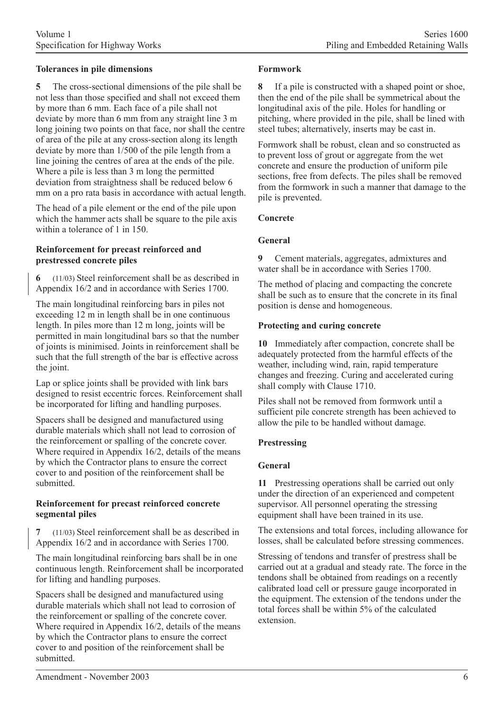### **Tolerances in pile dimensions**

**5** The cross-sectional dimensions of the pile shall be not less than those specified and shall not exceed them by more than 6 mm. Each face of a pile shall not deviate by more than 6 mm from any straight line 3 m long joining two points on that face, nor shall the centre of area of the pile at any cross-section along its length deviate by more than 1/500 of the pile length from a line joining the centres of area at the ends of the pile. Where a pile is less than 3 m long the permitted deviation from straightness shall be reduced below 6 mm on a pro rata basis in accordance with actual length.

The head of a pile element or the end of the pile upon which the hammer acts shall be square to the pile axis within a tolerance of 1 in 150.

#### **Reinforcement for precast reinforced and prestressed concrete piles**

**6** (11/03) Steel reinforcement shall be as described in Appendix 16/2 and in accordance with Series 1700.

The main longitudinal reinforcing bars in piles not exceeding 12 m in length shall be in one continuous length. In piles more than 12 m long, joints will be permitted in main longitudinal bars so that the number of joints is minimised. Joints in reinforcement shall be such that the full strength of the bar is effective across the joint.

Lap or splice joints shall be provided with link bars designed to resist eccentric forces. Reinforcement shall be incorporated for lifting and handling purposes.

Spacers shall be designed and manufactured using durable materials which shall not lead to corrosion of the reinforcement or spalling of the concrete cover. Where required in Appendix 16/2, details of the means by which the Contractor plans to ensure the correct cover to and position of the reinforcement shall be submitted.

### **Reinforcement for precast reinforced concrete segmental piles**

**7** (11/03) Steel reinforcement shall be as described in Appendix 16/2 and in accordance with Series 1700.

The main longitudinal reinforcing bars shall be in one continuous length. Reinforcement shall be incorporated for lifting and handling purposes.

Spacers shall be designed and manufactured using durable materials which shall not lead to corrosion of the reinforcement or spalling of the concrete cover. Where required in Appendix 16/2, details of the means by which the Contractor plans to ensure the correct cover to and position of the reinforcement shall be submitted.

**8** If a pile is constructed with a shaped point or shoe, then the end of the pile shall be symmetrical about the longitudinal axis of the pile. Holes for handling or pitching, where provided in the pile, shall be lined with steel tubes; alternatively, inserts may be cast in.

Formwork shall be robust, clean and so constructed as to prevent loss of grout or aggregate from the wet concrete and ensure the production of uniform pile sections, free from defects. The piles shall be removed from the formwork in such a manner that damage to the pile is prevented.

### **Concrete**

### **General**

**9** Cement materials, aggregates, admixtures and water shall be in accordance with Series 1700.

The method of placing and compacting the concrete shall be such as to ensure that the concrete in its final position is dense and homogeneous.

### **Protecting and curing concrete**

**10** Immediately after compaction, concrete shall be adequately protected from the harmful effects of the weather, including wind, rain, rapid temperature changes and freezing. Curing and accelerated curing shall comply with Clause 1710.

Piles shall not be removed from formwork until a sufficient pile concrete strength has been achieved to allow the pile to be handled without damage.

### **Prestressing**

### **General**

**11** Prestressing operations shall be carried out only under the direction of an experienced and competent supervisor. All personnel operating the stressing equipment shall have been trained in its use.

The extensions and total forces, including allowance for losses, shall be calculated before stressing commences.

Stressing of tendons and transfer of prestress shall be carried out at a gradual and steady rate. The force in the tendons shall be obtained from readings on a recently calibrated load cell or pressure gauge incorporated in the equipment. The extension of the tendons under the total forces shall be within 5% of the calculated extension.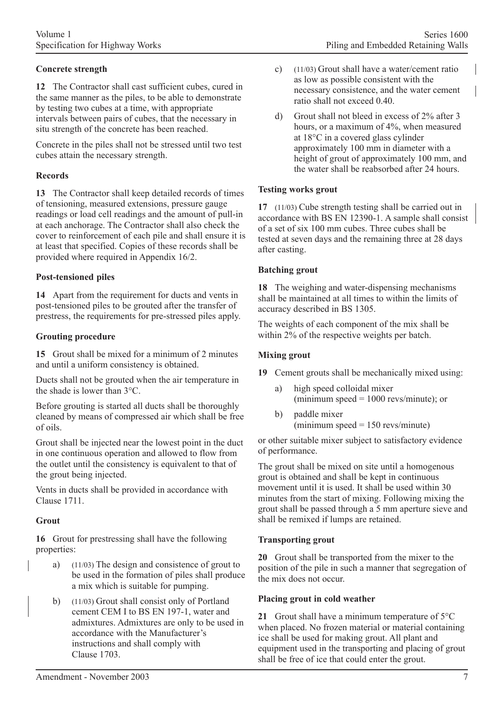# **Concrete strength**

**12** The Contractor shall cast sufficient cubes, cured in the same manner as the piles, to be able to demonstrate by testing two cubes at a time, with appropriate intervals between pairs of cubes, that the necessary in situ strength of the concrete has been reached.

Concrete in the piles shall not be stressed until two test cubes attain the necessary strength.

#### **Records**

**13** The Contractor shall keep detailed records of times of tensioning, measured extensions, pressure gauge readings or load cell readings and the amount of pull-in at each anchorage. The Contractor shall also check the cover to reinforcement of each pile and shall ensure it is at least that specified. Copies of these records shall be provided where required in Appendix 16/2.

#### **Post-tensioned piles**

**14** Apart from the requirement for ducts and vents in post-tensioned piles to be grouted after the transfer of prestress, the requirements for pre-stressed piles apply.

#### **Grouting procedure**

**15** Grout shall be mixed for a minimum of 2 minutes and until a uniform consistency is obtained.

Ducts shall not be grouted when the air temperature in the shade is lower than 3°C.

Before grouting is started all ducts shall be thoroughly cleaned by means of compressed air which shall be free of oils.

Grout shall be injected near the lowest point in the duct in one continuous operation and allowed to flow from the outlet until the consistency is equivalent to that of the grout being injected.

Vents in ducts shall be provided in accordance with Clause 1711.

### **Grout**

**16** Grout for prestressing shall have the following properties:

- a) (11/03) The design and consistence of grout to be used in the formation of piles shall produce a mix which is suitable for pumping.
- b) (11/03) Grout shall consist only of Portland cement CEM I to BS EN 197-1, water and admixtures. Admixtures are only to be used in accordance with the Manufacturer's instructions and shall comply with Clause 1703.
- c) (11/03) Grout shall have a water/cement ratio as low as possible consistent with the necessary consistence, and the water cement ratio shall not exceed 0.40.
- d) Grout shall not bleed in excess of 2% after 3 hours, or a maximum of 4%, when measured at 18°C in a covered glass cylinder approximately 100 mm in diameter with a height of grout of approximately 100 mm, and the water shall be reabsorbed after 24 hours.

#### **Testing works grout**

**17** (11/03) Cube strength testing shall be carried out in accordance with BS EN 12390-1. A sample shall consist of a set of six 100 mm cubes. Three cubes shall be tested at seven days and the remaining three at 28 days after casting.

#### **Batching grout**

**18** The weighing and water-dispensing mechanisms shall be maintained at all times to within the limits of accuracy described in BS 1305.

The weights of each component of the mix shall be within 2% of the respective weights per batch.

#### **Mixing grout**

**19** Cement grouts shall be mechanically mixed using:

- a) high speed colloidal mixer (minimum speed  $= 1000$  revs/minute); or
- b) paddle mixer  $\text{(minimum speed} = 150 \text{ revs/minute)}$

or other suitable mixer subject to satisfactory evidence of performance.

The grout shall be mixed on site until a homogenous grout is obtained and shall be kept in continuous movement until it is used. It shall be used within 30 minutes from the start of mixing. Following mixing the grout shall be passed through a 5 mm aperture sieve and shall be remixed if lumps are retained.

### **Transporting grout**

**20** Grout shall be transported from the mixer to the position of the pile in such a manner that segregation of the mix does not occur.

#### **Placing grout in cold weather**

**21** Grout shall have a minimum temperature of 5°C when placed. No frozen material or material containing ice shall be used for making grout. All plant and equipment used in the transporting and placing of grout shall be free of ice that could enter the grout.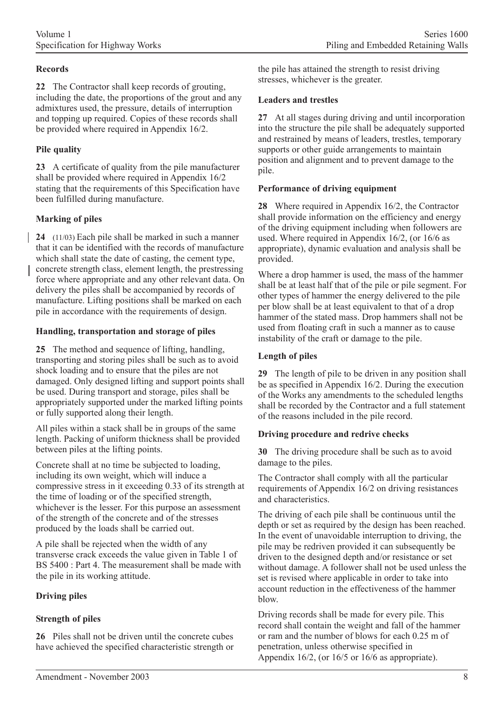### **Records**

**22** The Contractor shall keep records of grouting, including the date, the proportions of the grout and any admixtures used, the pressure, details of interruption and topping up required. Copies of these records shall be provided where required in Appendix 16/2.

# **Pile quality**

**23** A certificate of quality from the pile manufacturer shall be provided where required in Appendix 16/2 stating that the requirements of this Specification have been fulfilled during manufacture.

# **Marking of piles**

**24** (11/03) Each pile shall be marked in such a manner that it can be identified with the records of manufacture which shall state the date of casting, the cement type, concrete strength class, element length, the prestressing force where appropriate and any other relevant data. On delivery the piles shall be accompanied by records of manufacture. Lifting positions shall be marked on each pile in accordance with the requirements of design.

### **Handling, transportation and storage of piles**

**25** The method and sequence of lifting, handling, transporting and storing piles shall be such as to avoid shock loading and to ensure that the piles are not damaged. Only designed lifting and support points shall be used. During transport and storage, piles shall be appropriately supported under the marked lifting points or fully supported along their length.

All piles within a stack shall be in groups of the same length. Packing of uniform thickness shall be provided between piles at the lifting points.

Concrete shall at no time be subjected to loading, including its own weight, which will induce a compressive stress in it exceeding 0.33 of its strength at the time of loading or of the specified strength, whichever is the lesser. For this purpose an assessment of the strength of the concrete and of the stresses produced by the loads shall be carried out.

A pile shall be rejected when the width of any transverse crack exceeds the value given in Table 1 of BS 5400 : Part 4. The measurement shall be made with the pile in its working attitude.

# **Driving piles**

# **Strength of piles**

**26** Piles shall not be driven until the concrete cubes have achieved the specified characteristic strength or

the pile has attained the strength to resist driving stresses, whichever is the greater.

### **Leaders and trestles**

**27** At all stages during driving and until incorporation into the structure the pile shall be adequately supported and restrained by means of leaders, trestles, temporary supports or other guide arrangements to maintain position and alignment and to prevent damage to the pile.

### **Performance of driving equipment**

**28** Where required in Appendix 16/2, the Contractor shall provide information on the efficiency and energy of the driving equipment including when followers are used. Where required in Appendix 16/2, (or 16/6 as appropriate), dynamic evaluation and analysis shall be provided.

Where a drop hammer is used, the mass of the hammer shall be at least half that of the pile or pile segment. For other types of hammer the energy delivered to the pile per blow shall be at least equivalent to that of a drop hammer of the stated mass. Drop hammers shall not be used from floating craft in such a manner as to cause instability of the craft or damage to the pile.

### **Length of piles**

**29** The length of pile to be driven in any position shall be as specified in Appendix 16/2. During the execution of the Works any amendments to the scheduled lengths shall be recorded by the Contractor and a full statement of the reasons included in the pile record.

# **Driving procedure and redrive checks**

**30** The driving procedure shall be such as to avoid damage to the piles.

The Contractor shall comply with all the particular requirements of Appendix 16/2 on driving resistances and characteristics.

The driving of each pile shall be continuous until the depth or set as required by the design has been reached. In the event of unavoidable interruption to driving, the pile may be redriven provided it can subsequently be driven to the designed depth and/or resistance or set without damage. A follower shall not be used unless the set is revised where applicable in order to take into account reduction in the effectiveness of the hammer blow.

Driving records shall be made for every pile. This record shall contain the weight and fall of the hammer or ram and the number of blows for each 0.25 m of penetration, unless otherwise specified in Appendix 16/2, (or 16/5 or 16/6 as appropriate).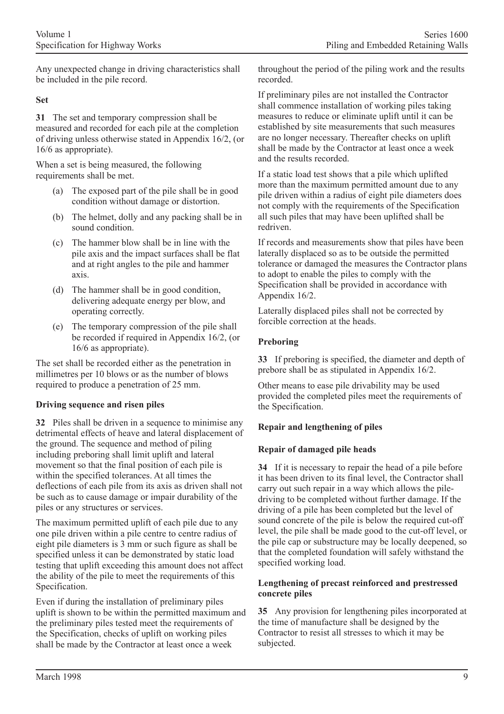Any unexpected change in driving characteristics shall be included in the pile record.

#### **Set**

**31** The set and temporary compression shall be measured and recorded for each pile at the completion of driving unless otherwise stated in Appendix 16/2, (or 16/6 as appropriate).

When a set is being measured, the following requirements shall be met.

- (a) The exposed part of the pile shall be in good condition without damage or distortion.
- (b) The helmet, dolly and any packing shall be in sound condition.
- (c) The hammer blow shall be in line with the pile axis and the impact surfaces shall be flat and at right angles to the pile and hammer axis.
- (d) The hammer shall be in good condition, delivering adequate energy per blow, and operating correctly.
- (e) The temporary compression of the pile shall be recorded if required in Appendix 16/2, (or 16/6 as appropriate).

The set shall be recorded either as the penetration in millimetres per 10 blows or as the number of blows required to produce a penetration of 25 mm.

### **Driving sequence and risen piles**

**32** Piles shall be driven in a sequence to minimise any detrimental effects of heave and lateral displacement of the ground. The sequence and method of piling including preboring shall limit uplift and lateral movement so that the final position of each pile is within the specified tolerances. At all times the deflections of each pile from its axis as driven shall not be such as to cause damage or impair durability of the piles or any structures or services.

The maximum permitted uplift of each pile due to any one pile driven within a pile centre to centre radius of eight pile diameters is 3 mm or such figure as shall be specified unless it can be demonstrated by static load testing that uplift exceeding this amount does not affect the ability of the pile to meet the requirements of this Specification.

Even if during the installation of preliminary piles uplift is shown to be within the permitted maximum and the preliminary piles tested meet the requirements of the Specification, checks of uplift on working piles shall be made by the Contractor at least once a week

throughout the period of the piling work and the results recorded.

If preliminary piles are not installed the Contractor shall commence installation of working piles taking measures to reduce or eliminate uplift until it can be established by site measurements that such measures are no longer necessary. Thereafter checks on uplift shall be made by the Contractor at least once a week and the results recorded.

If a static load test shows that a pile which uplifted more than the maximum permitted amount due to any pile driven within a radius of eight pile diameters does not comply with the requirements of the Specification all such piles that may have been uplifted shall be redriven.

If records and measurements show that piles have been laterally displaced so as to be outside the permitted tolerance or damaged the measures the Contractor plans to adopt to enable the piles to comply with the Specification shall be provided in accordance with Appendix 16/2.

Laterally displaced piles shall not be corrected by forcible correction at the heads.

### **Preboring**

**33** If preboring is specified, the diameter and depth of prebore shall be as stipulated in Appendix 16/2.

Other means to ease pile drivability may be used provided the completed piles meet the requirements of the Specification.

# **Repair and lengthening of piles**

# **Repair of damaged pile heads**

**34** If it is necessary to repair the head of a pile before it has been driven to its final level, the Contractor shall carry out such repair in a way which allows the piledriving to be completed without further damage. If the driving of a pile has been completed but the level of sound concrete of the pile is below the required cut-off level, the pile shall be made good to the cut-off level, or the pile cap or substructure may be locally deepened, so that the completed foundation will safely withstand the specified working load.

### **Lengthening of precast reinforced and prestressed concrete piles**

**35** Any provision for lengthening piles incorporated at the time of manufacture shall be designed by the Contractor to resist all stresses to which it may be subjected.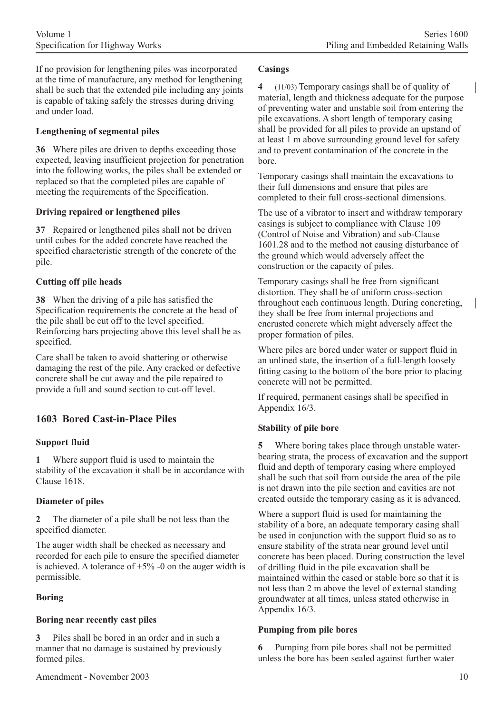If no provision for lengthening piles was incorporated at the time of manufacture, any method for lengthening shall be such that the extended pile including any joints is capable of taking safely the stresses during driving and under load.

### **Lengthening of segmental piles**

**36** Where piles are driven to depths exceeding those expected, leaving insufficient projection for penetration into the following works, the piles shall be extended or replaced so that the completed piles are capable of meeting the requirements of the Specification.

### **Driving repaired or lengthened piles**

**37** Repaired or lengthened piles shall not be driven until cubes for the added concrete have reached the specified characteristic strength of the concrete of the pile.

### **Cutting off pile heads**

**38** When the driving of a pile has satisfied the Specification requirements the concrete at the head of the pile shall be cut off to the level specified. Reinforcing bars projecting above this level shall be as specified.

Care shall be taken to avoid shattering or otherwise damaging the rest of the pile. Any cracked or defective concrete shall be cut away and the pile repaired to provide a full and sound section to cut-off level.

# **1603 Bored Cast-in-Place Piles**

# **Support fluid**

**1** Where support fluid is used to maintain the stability of the excavation it shall be in accordance with Clause 1618.

### **Diameter of piles**

**2** The diameter of a pile shall be not less than the specified diameter.

The auger width shall be checked as necessary and recorded for each pile to ensure the specified diameter is achieved. A tolerance of  $+5\%$  -0 on the auger width is permissible.

# **Boring**

# **Boring near recently cast piles**

**3** Piles shall be bored in an order and in such a manner that no damage is sustained by previously formed piles.

#### **Casings**

**4** (11/03) Temporary casings shall be of quality of material, length and thickness adequate for the purpose of preventing water and unstable soil from entering the pile excavations. A short length of temporary casing shall be provided for all piles to provide an upstand of at least 1 m above surrounding ground level for safety and to prevent contamination of the concrete in the bore.

Temporary casings shall maintain the excavations to their full dimensions and ensure that piles are completed to their full cross-sectional dimensions.

The use of a vibrator to insert and withdraw temporary casings is subject to compliance with Clause 109 (Control of Noise and Vibration) and sub-Clause 1601.28 and to the method not causing disturbance of the ground which would adversely affect the construction or the capacity of piles.

Temporary casings shall be free from significant distortion. They shall be of uniform cross-section throughout each continuous length. During concreting, they shall be free from internal projections and encrusted concrete which might adversely affect the proper formation of piles.

Where piles are bored under water or support fluid in an unlined state, the insertion of a full-length loosely fitting casing to the bottom of the bore prior to placing concrete will not be permitted.

If required, permanent casings shall be specified in Appendix 16/3.

### **Stability of pile bore**

**5** Where boring takes place through unstable waterbearing strata, the process of excavation and the support fluid and depth of temporary casing where employed shall be such that soil from outside the area of the pile is not drawn into the pile section and cavities are not created outside the temporary casing as it is advanced.

Where a support fluid is used for maintaining the stability of a bore, an adequate temporary casing shall be used in conjunction with the support fluid so as to ensure stability of the strata near ground level until concrete has been placed. During construction the level of drilling fluid in the pile excavation shall be maintained within the cased or stable bore so that it is not less than 2 m above the level of external standing groundwater at all times, unless stated otherwise in Appendix 16/3.

#### **Pumping from pile bores**

**6** Pumping from pile bores shall not be permitted unless the bore has been sealed against further water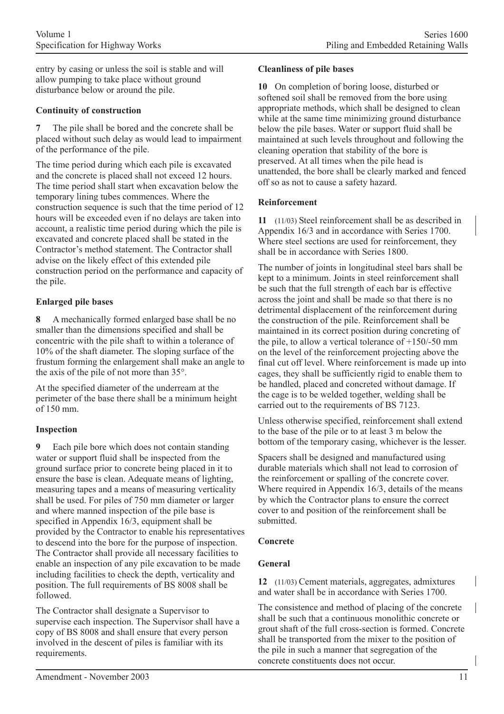entry by casing or unless the soil is stable and will allow pumping to take place without ground disturbance below or around the pile.

### **Continuity of construction**

**7** The pile shall be bored and the concrete shall be placed without such delay as would lead to impairment of the performance of the pile.

The time period during which each pile is excavated and the concrete is placed shall not exceed 12 hours. The time period shall start when excavation below the temporary lining tubes commences. Where the construction sequence is such that the time period of 12 hours will be exceeded even if no delays are taken into account, a realistic time period during which the pile is excavated and concrete placed shall be stated in the Contractor's method statement. The Contractor shall advise on the likely effect of this extended pile construction period on the performance and capacity of the pile.

#### **Enlarged pile bases**

**8** A mechanically formed enlarged base shall be no smaller than the dimensions specified and shall be concentric with the pile shaft to within a tolerance of 10% of the shaft diameter. The sloping surface of the frustum forming the enlargement shall make an angle to the axis of the pile of not more than 35°.

At the specified diameter of the underream at the perimeter of the base there shall be a minimum height of 150 mm.

### **Inspection**

**9** Each pile bore which does not contain standing water or support fluid shall be inspected from the ground surface prior to concrete being placed in it to ensure the base is clean. Adequate means of lighting, measuring tapes and a means of measuring verticality shall be used. For piles of 750 mm diameter or larger and where manned inspection of the pile base is specified in Appendix 16/3, equipment shall be provided by the Contractor to enable his representatives to descend into the bore for the purpose of inspection. The Contractor shall provide all necessary facilities to enable an inspection of any pile excavation to be made including facilities to check the depth, verticality and position. The full requirements of BS 8008 shall be followed.

The Contractor shall designate a Supervisor to supervise each inspection. The Supervisor shall have a copy of BS 8008 and shall ensure that every person involved in the descent of piles is familiar with its requirements.

#### **Cleanliness of pile bases**

**10** On completion of boring loose, disturbed or softened soil shall be removed from the bore using appropriate methods, which shall be designed to clean while at the same time minimizing ground disturbance below the pile bases. Water or support fluid shall be maintained at such levels throughout and following the cleaning operation that stability of the bore is preserved. At all times when the pile head is unattended, the bore shall be clearly marked and fenced off so as not to cause a safety hazard.

#### **Reinforcement**

**11** (11/03) Steel reinforcement shall be as described in Appendix 16/3 and in accordance with Series 1700. Where steel sections are used for reinforcement, they shall be in accordance with Series 1800.

The number of joints in longitudinal steel bars shall be kept to a minimum. Joints in steel reinforcement shall be such that the full strength of each bar is effective across the joint and shall be made so that there is no detrimental displacement of the reinforcement during the construction of the pile. Reinforcement shall be maintained in its correct position during concreting of the pile, to allow a vertical tolerance of  $+150/-50$  mm on the level of the reinforcement projecting above the final cut off level. Where reinforcement is made up into cages, they shall be sufficiently rigid to enable them to be handled, placed and concreted without damage. If the cage is to be welded together, welding shall be carried out to the requirements of BS 7123.

Unless otherwise specified, reinforcement shall extend to the base of the pile or to at least 3 m below the bottom of the temporary casing, whichever is the lesser.

Spacers shall be designed and manufactured using durable materials which shall not lead to corrosion of the reinforcement or spalling of the concrete cover. Where required in Appendix 16/3, details of the means by which the Contractor plans to ensure the correct cover to and position of the reinforcement shall be submitted.

#### **Concrete**

### **General**

**12** (11/03) Cement materials, aggregates, admixtures and water shall be in accordance with Series 1700.

The consistence and method of placing of the concrete shall be such that a continuous monolithic concrete or grout shaft of the full cross-section is formed. Concrete shall be transported from the mixer to the position of the pile in such a manner that segregation of the concrete constituents does not occur.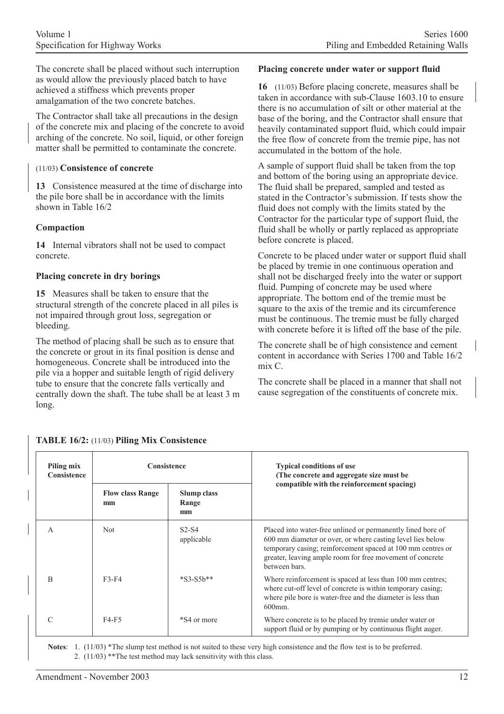The concrete shall be placed without such interruption as would allow the previously placed batch to have achieved a stiffness which prevents proper amalgamation of the two concrete batches.

The Contractor shall take all precautions in the design of the concrete mix and placing of the concrete to avoid arching of the concrete. No soil, liquid, or other foreign matter shall be permitted to contaminate the concrete.

### (11/03) **Consistence of concrete**

**13** Consistence measured at the time of discharge into the pile bore shall be in accordance with the limits shown in Table 16/2

### **Compaction**

**14** Internal vibrators shall not be used to compact concrete.

### **Placing concrete in dry borings**

**15** Measures shall be taken to ensure that the structural strength of the concrete placed in all piles is not impaired through grout loss, segregation or bleeding.

The method of placing shall be such as to ensure that the concrete or grout in its final position is dense and homogeneous. Concrete shall be introduced into the pile via a hopper and suitable length of rigid delivery tube to ensure that the concrete falls vertically and centrally down the shaft. The tube shall be at least 3 m long.

#### **Placing concrete under water or support fluid**

**16** (11/03) Before placing concrete, measures shall be taken in accordance with sub-Clause 1603.10 to ensure there is no accumulation of silt or other material at the base of the boring, and the Contractor shall ensure that heavily contaminated support fluid, which could impair the free flow of concrete from the tremie pipe, has not accumulated in the bottom of the hole.

A sample of support fluid shall be taken from the top and bottom of the boring using an appropriate device. The fluid shall be prepared, sampled and tested as stated in the Contractor's submission. If tests show the fluid does not comply with the limits stated by the Contractor for the particular type of support fluid, the fluid shall be wholly or partly replaced as appropriate before concrete is placed.

Concrete to be placed under water or support fluid shall be placed by tremie in one continuous operation and shall not be discharged freely into the water or support fluid. Pumping of concrete may be used where appropriate. The bottom end of the tremie must be square to the axis of the tremie and its circumference must be continuous. The tremie must be fully charged with concrete before it is lifted off the base of the pile.

The concrete shall be of high consistence and cement content in accordance with Series 1700 and Table 16/2 mix C.

The concrete shall be placed in a manner that shall not cause segregation of the constituents of concrete mix.

| Piling mix<br>Consistence | Consistence                   |                                   | <b>Typical conditions of use</b><br>(The concrete and aggregate size must be                                                                                                                                                                                           |  |
|---------------------------|-------------------------------|-----------------------------------|------------------------------------------------------------------------------------------------------------------------------------------------------------------------------------------------------------------------------------------------------------------------|--|
|                           | <b>Flow class Range</b><br>mm | <b>Slump class</b><br>Range<br>mm | compatible with the reinforcement spacing)                                                                                                                                                                                                                             |  |
| A                         | Not                           | $S2-S4$<br>applicable             | Placed into water-free unlined or permanently lined bore of<br>600 mm diameter or over, or where casting level lies below<br>temporary casing; reinforcement spaced at 100 mm centres or<br>greater, leaving ample room for free movement of concrete<br>between bars. |  |
| B                         | $F3-F4$                       | $*$ S3-S5b $*$ *                  | Where reinforcement is spaced at less than 100 mm centres;<br>where cut-off level of concrete is within temporary casing.<br>where pile bore is water-free and the diameter is less than<br>$600$ mm.                                                                  |  |
|                           | F4-F5                         | *S4 or more                       | Where concrete is to be placed by tremie under water or<br>support fluid or by pumping or by continuous flight auger.                                                                                                                                                  |  |

### **TABLE 16/2:** (11/03) **Piling Mix Consistence**

**Notes**: 1. (11/03) \*The slump test method is not suited to these very high consistence and the flow test is to be preferred. 2. (11/03) \*\*The test method may lack sensitivity with this class.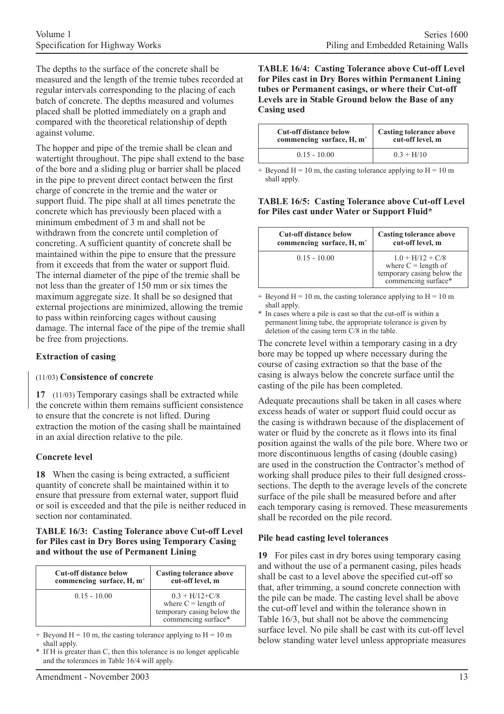The depths to the surface of the concrete shall be measured and the length of the tremie tubes recorded at regular intervals corresponding to the placing of each batch of concrete. The depths measured and volumes placed shall be plotted immediately on a graph and compared with the theoretical relationship of depth against volume.

The hopper and pipe of the tremie shall be clean and watertight throughout. The pipe shall extend to the base of the bore and a sliding plug or barrier shall be placed in the pipe to prevent direct contact between the first charge of concrete in the tremie and the water or support fluid. The pipe shall at all times penetrate the concrete which has previously been placed with a minimum embedment of 3 m and shall not be withdrawn from the concrete until completion of concreting. A sufficient quantity of concrete shall be maintained within the pipe to ensure that the pressure from it exceeds that from the water or support fluid. The internal diameter of the pipe of the tremie shall be not less than the greater of 150 mm or six times the maximum aggregate size. It shall be so designed that external projections are minimized, allowing the tremie to pass within reinforcing cages without causing damage. The internal face of the pipe of the tremie shall be free from projections.

#### **Extraction of casing**

### (11/03) **Consistence of concrete**

**17** (11/03) Temporary casings shall be extracted while the concrete within them remains sufficient consistence to ensure that the concrete is not lifted. During extraction the motion of the casing shall be maintained in an axial direction relative to the pile.

#### **Concrete level**

**18** When the casing is being extracted, a sufficient quantity of concrete shall be maintained within it to ensure that pressure from external water, support fluid or soil is exceeded and that the pile is neither reduced in section nor contaminated.

#### **TABLE 16/3: Casting Tolerance above Cut-off Level for Piles cast in Dry Bores using Temporary Casing and without the use of Permanent Lining**

| <b>Cut-off distance below</b>         | <b>Casting tolerance above</b>                                                                   |
|---------------------------------------|--------------------------------------------------------------------------------------------------|
| commencing surface, H, m <sup>+</sup> | cut-off level, m                                                                                 |
| $0.15 - 10.00$                        | $0.3 + H/12 + C/8$<br>where $C =$ length of<br>temporary casing below the<br>commencing surface* |

 $+$  Beyond H = 10 m, the casting tolerance applying to H = 10 m shall apply.

If  $H$  is greater than C, then this tolerance is no longer applicable and the tolerances in Table 16/4 will apply.

#### **TABLE 16/4: Casting Tolerance above Cut-off Level for Piles cast in Dry Bores within Permanent Lining tubes or Permanent casings, or where their Cut-off Levels are in Stable Ground below the Base of any Casing used**

| <b>Cut-off distance below</b> | <b>Casting tolerance above</b> |
|-------------------------------|--------------------------------|
| commencing surface, $H, m^+$  | cut-off level, m               |
| $0.15 - 10.00$                | $0.3 + H/10$                   |

 $+$  Beyond H = 10 m, the casting tolerance applying to H = 10 m shall apply.

#### **TABLE 16/5: Casting Tolerance above Cut-off Level for Piles cast under Water or Support Fluid\***

| <b>Cut-off distance below</b> | <b>Casting tolerance above</b>                                                                   |
|-------------------------------|--------------------------------------------------------------------------------------------------|
| commencing surface, $H, m^+$  | cut-off level, m                                                                                 |
| $0.15 - 10.00$                | $1.0 + H/12 + C/8$<br>where $C =$ length of<br>temporary casing below the<br>commencing surface* |

+ Beyond H = 10 m, the casting tolerance applying to H = 10 m shall apply.

In cases where a pile is cast so that the cut-off is within a permanent lining tube, the appropriate tolerance is given by deletion of the casing term C/8 in the table.

The concrete level within a temporary casing in a dry bore may be topped up where necessary during the course of casing extraction so that the base of the casing is always below the concrete surface until the casting of the pile has been completed.

Adequate precautions shall be taken in all cases where excess heads of water or support fluid could occur as the casing is withdrawn because of the displacement of water or fluid by the concrete as it flows into its final position against the walls of the pile bore. Where two or more discontinuous lengths of casing (double casing) are used in the construction the Contractor's method of working shall produce piles to their full designed crosssections. The depth to the average levels of the concrete surface of the pile shall be measured before and after each temporary casing is removed. These measurements shall be recorded on the pile record.

### **Pile head casting level tolerances**

**19** For piles cast in dry bores using temporary casing and without the use of a permanent casing, piles heads shall be cast to a level above the specified cut-off so that, after trimming, a sound concrete connection with the pile can be made. The casting level shall be above the cut-off level and within the tolerance shown in Table 16/3, but shall not be above the commencing surface level. No pile shall be cast with its cut-off level below standing water level unless appropriate measures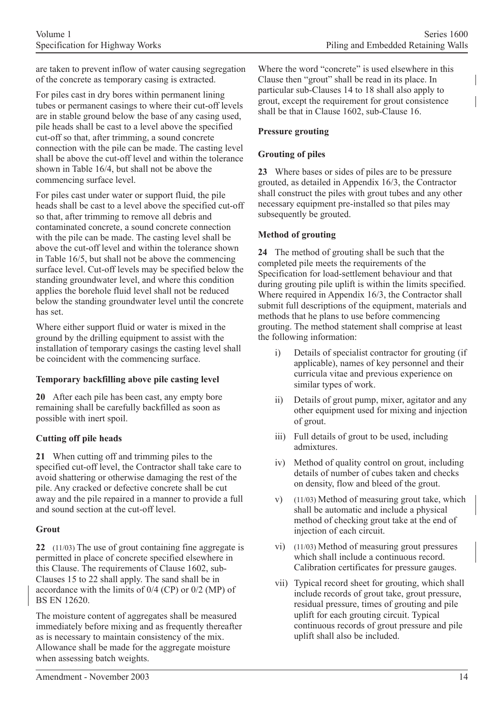are taken to prevent inflow of water causing segregation of the concrete as temporary casing is extracted.

For piles cast in dry bores within permanent lining tubes or permanent casings to where their cut-off levels are in stable ground below the base of any casing used, pile heads shall be cast to a level above the specified cut-off so that, after trimming, a sound concrete connection with the pile can be made. The casting level shall be above the cut-off level and within the tolerance shown in Table 16/4, but shall not be above the commencing surface level.

For piles cast under water or support fluid, the pile heads shall be cast to a level above the specified cut-off so that, after trimming to remove all debris and contaminated concrete, a sound concrete connection with the pile can be made. The casting level shall be above the cut-off level and within the tolerance shown in Table 16/5, but shall not be above the commencing surface level. Cut-off levels may be specified below the standing groundwater level, and where this condition applies the borehole fluid level shall not be reduced below the standing groundwater level until the concrete has set.

Where either support fluid or water is mixed in the ground by the drilling equipment to assist with the installation of temporary casings the casting level shall be coincident with the commencing surface.

# **Temporary backfilling above pile casting level**

**20** After each pile has been cast, any empty bore remaining shall be carefully backfilled as soon as possible with inert spoil.

# **Cutting off pile heads**

**21** When cutting off and trimming piles to the specified cut-off level, the Contractor shall take care to avoid shattering or otherwise damaging the rest of the pile. Any cracked or defective concrete shall be cut away and the pile repaired in a manner to provide a full and sound section at the cut-off level.

# **Grout**

**22** (11/03) The use of grout containing fine aggregate is permitted in place of concrete specified elsewhere in this Clause. The requirements of Clause 1602, sub-Clauses 15 to 22 shall apply. The sand shall be in accordance with the limits of 0/4 (CP) or 0/2 (MP) of BS EN 12620.

The moisture content of aggregates shall be measured immediately before mixing and as frequently thereafter as is necessary to maintain consistency of the mix. Allowance shall be made for the aggregate moisture when assessing batch weights.

Where the word "concrete" is used elsewhere in this Clause then "grout" shall be read in its place. In particular sub-Clauses 14 to 18 shall also apply to grout, except the requirement for grout consistence shall be that in Clause 1602, sub-Clause 16.

### **Pressure grouting**

# **Grouting of piles**

**23** Where bases or sides of piles are to be pressure grouted, as detailed in Appendix 16/3, the Contractor shall construct the piles with grout tubes and any other necessary equipment pre-installed so that piles may subsequently be grouted.

### **Method of grouting**

**24** The method of grouting shall be such that the completed pile meets the requirements of the Specification for load-settlement behaviour and that during grouting pile uplift is within the limits specified. Where required in Appendix 16/3, the Contractor shall submit full descriptions of the equipment, materials and methods that he plans to use before commencing grouting. The method statement shall comprise at least the following information:

- i) Details of specialist contractor for grouting (if applicable), names of key personnel and their curricula vitae and previous experience on similar types of work.
- ii) Details of grout pump, mixer, agitator and any other equipment used for mixing and injection of grout.
- iii) Full details of grout to be used, including admixtures.
- iv) Method of quality control on grout, including details of number of cubes taken and checks on density, flow and bleed of the grout.
- v) (11/03) Method of measuring grout take, which shall be automatic and include a physical method of checking grout take at the end of injection of each circuit.
- vi) (11/03) Method of measuring grout pressures which shall include a continuous record. Calibration certificates for pressure gauges.
- vii) Typical record sheet for grouting, which shall include records of grout take, grout pressure, residual pressure, times of grouting and pile uplift for each grouting circuit. Typical continuous records of grout pressure and pile uplift shall also be included.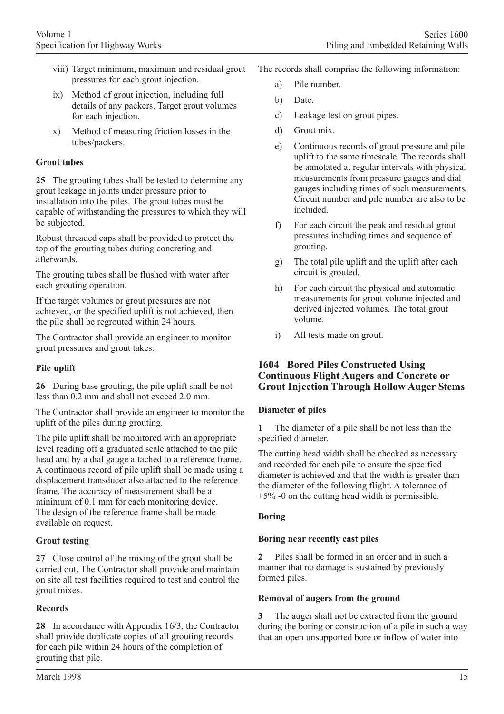- viii) Target minimum, maximum and residual grout pressures for each grout injection.
- ix) Method of grout injection, including full details of any packers. Target grout volumes for each injection.
- x) Method of measuring friction losses in the tubes/packers.

# **Grout tubes**

**25** The grouting tubes shall be tested to determine any grout leakage in joints under pressure prior to installation into the piles. The grout tubes must be capable of withstanding the pressures to which they will be subjected.

Robust threaded caps shall be provided to protect the top of the grouting tubes during concreting and afterwards.

The grouting tubes shall be flushed with water after each grouting operation.

If the target volumes or grout pressures are not achieved, or the specified uplift is not achieved, then the pile shall be regrouted within 24 hours.

The Contractor shall provide an engineer to monitor grout pressures and grout takes.

# **Pile uplift**

**26** During base grouting, the pile uplift shall be not less than 0.2 mm and shall not exceed 2.0 mm.

The Contractor shall provide an engineer to monitor the uplift of the piles during grouting.

The pile uplift shall be monitored with an appropriate level reading off a graduated scale attached to the pile head and by a dial gauge attached to a reference frame. A continuous record of pile uplift shall be made using a displacement transducer also attached to the reference frame. The accuracy of measurement shall be a minimum of 0.1 mm for each monitoring device. The design of the reference frame shall be made available on request.

# **Grout testing**

**27** Close control of the mixing of the grout shall be carried out. The Contractor shall provide and maintain on site all test facilities required to test and control the grout mixes.

# **Records**

March 1998

**28** In accordance with Appendix 16/3, the Contractor shall provide duplicate copies of all grouting records for each pile within 24 hours of the completion of grouting that pile.

- The records shall comprise the following information:
	- a) Pile number.
	- b) Date.
	- c) Leakage test on grout pipes.
	- d) Grout mix.
	- e) Continuous records of grout pressure and pile uplift to the same timescale. The records shall be annotated at regular intervals with physical measurements from pressure gauges and dial gauges including times of such measurements. Circuit number and pile number are also to be included.
	- f) For each circuit the peak and residual grout pressures including times and sequence of grouting.
	- g) The total pile uplift and the uplift after each circuit is grouted.
	- h) For each circuit the physical and automatic measurements for grout volume injected and derived injected volumes. The total grout volume.
	- i) All tests made on grout.

# **1604 Bored Piles Constructed Using Continuous Flight Augers and Concrete or Grout Injection Through Hollow Auger Stems**

# **Diameter of piles**

**1** The diameter of a pile shall be not less than the specified diameter.

The cutting head width shall be checked as necessary and recorded for each pile to ensure the specified diameter is achieved and that the width is greater than the diameter of the following flight. A tolerance of +5% -0 on the cutting head width is permissible.

# **Boring**

# **Boring near recently cast piles**

**2** Piles shall be formed in an order and in such a manner that no damage is sustained by previously formed piles.

# **Removal of augers from the ground**

**3** The auger shall not be extracted from the ground during the boring or construction of a pile in such a way that an open unsupported bore or inflow of water into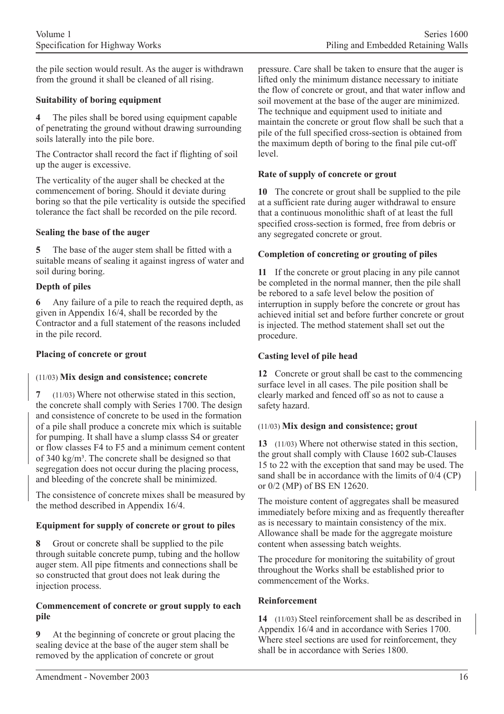the pile section would result. As the auger is withdrawn from the ground it shall be cleaned of all rising.

### **Suitability of boring equipment**

**4** The piles shall be bored using equipment capable of penetrating the ground without drawing surrounding soils laterally into the pile bore.

The Contractor shall record the fact if flighting of soil up the auger is excessive.

The verticality of the auger shall be checked at the commencement of boring. Should it deviate during boring so that the pile verticality is outside the specified tolerance the fact shall be recorded on the pile record.

#### **Sealing the base of the auger**

**5** The base of the auger stem shall be fitted with a suitable means of sealing it against ingress of water and soil during boring.

### **Depth of piles**

**6** Any failure of a pile to reach the required depth, as given in Appendix 16/4, shall be recorded by the Contractor and a full statement of the reasons included in the pile record.

#### **Placing of concrete or grout**

#### (11/03) **Mix design and consistence; concrete**

**7** (11/03) Where not otherwise stated in this section, the concrete shall comply with Series 1700. The design and consistence of concrete to be used in the formation of a pile shall produce a concrete mix which is suitable for pumping. It shall have a slump classs S4 or greater or flow classes F4 to F5 and a minimum cement content of  $340 \text{ kg/m}^3$ . The concrete shall be designed so that segregation does not occur during the placing process, and bleeding of the concrete shall be minimized.

The consistence of concrete mixes shall be measured by the method described in Appendix 16/4.

### **Equipment for supply of concrete or grout to piles**

**8** Grout or concrete shall be supplied to the pile through suitable concrete pump, tubing and the hollow auger stem. All pipe fitments and connections shall be so constructed that grout does not leak during the injection process.

#### **Commencement of concrete or grout supply to each pile**

**9** At the beginning of concrete or grout placing the sealing device at the base of the auger stem shall be removed by the application of concrete or grout

pressure. Care shall be taken to ensure that the auger is lifted only the minimum distance necessary to initiate the flow of concrete or grout, and that water inflow and soil movement at the base of the auger are minimized. The technique and equipment used to initiate and maintain the concrete or grout flow shall be such that a pile of the full specified cross-section is obtained from the maximum depth of boring to the final pile cut-off level.

#### **Rate of supply of concrete or grout**

**10** The concrete or grout shall be supplied to the pile at a sufficient rate during auger withdrawal to ensure that a continuous monolithic shaft of at least the full specified cross-section is formed, free from debris or any segregated concrete or grout.

### **Completion of concreting or grouting of piles**

**11** If the concrete or grout placing in any pile cannot be completed in the normal manner, then the pile shall be rebored to a safe level below the position of interruption in supply before the concrete or grout has achieved initial set and before further concrete or grout is injected. The method statement shall set out the procedure.

#### **Casting level of pile head**

**12** Concrete or grout shall be cast to the commencing surface level in all cases. The pile position shall be clearly marked and fenced off so as not to cause a safety hazard.

#### (11/03) **Mix design and consistence; grout**

**13** (11/03) Where not otherwise stated in this section, the grout shall comply with Clause 1602 sub-Clauses 15 to 22 with the exception that sand may be used. The sand shall be in accordance with the limits of 0/4 (CP) or 0/2 (MP) of BS EN 12620.

The moisture content of aggregates shall be measured immediately before mixing and as frequently thereafter as is necessary to maintain consistency of the mix. Allowance shall be made for the aggregate moisture content when assessing batch weights.

The procedure for monitoring the suitability of grout throughout the Works shall be established prior to commencement of the Works.

#### **Reinforcement**

**14** (11/03) Steel reinforcement shall be as described in Appendix 16/4 and in accordance with Series 1700. Where steel sections are used for reinforcement, they shall be in accordance with Series 1800.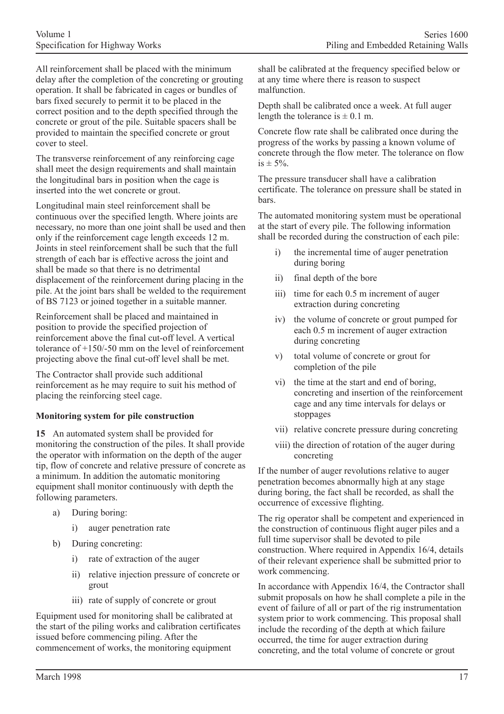All reinforcement shall be placed with the minimum delay after the completion of the concreting or grouting operation. It shall be fabricated in cages or bundles of bars fixed securely to permit it to be placed in the correct position and to the depth specified through the concrete or grout of the pile. Suitable spacers shall be provided to maintain the specified concrete or grout cover to steel.

The transverse reinforcement of any reinforcing cage shall meet the design requirements and shall maintain the longitudinal bars in position when the cage is inserted into the wet concrete or grout.

Longitudinal main steel reinforcement shall be continuous over the specified length. Where joints are necessary, no more than one joint shall be used and then only if the reinforcement cage length exceeds 12 m. Joints in steel reinforcement shall be such that the full strength of each bar is effective across the joint and shall be made so that there is no detrimental displacement of the reinforcement during placing in the pile. At the joint bars shall be welded to the requirement of BS 7123 or joined together in a suitable manner.

Reinforcement shall be placed and maintained in position to provide the specified projection of reinforcement above the final cut-off level. A vertical tolerance of +150/-50 mm on the level of reinforcement projecting above the final cut-off level shall be met.

The Contractor shall provide such additional reinforcement as he may require to suit his method of placing the reinforcing steel cage.

### **Monitoring system for pile construction**

**15** An automated system shall be provided for monitoring the construction of the piles. It shall provide the operator with information on the depth of the auger tip, flow of concrete and relative pressure of concrete as a minimum. In addition the automatic monitoring equipment shall monitor continuously with depth the following parameters.

- a) During boring:
	- auger penetration rate
- b) During concreting:
	- i) rate of extraction of the auger
	- ii) relative injection pressure of concrete or grout
	- iii) rate of supply of concrete or grout

Equipment used for monitoring shall be calibrated at the start of the piling works and calibration certificates issued before commencing piling. After the commencement of works, the monitoring equipment

shall be calibrated at the frequency specified below or at any time where there is reason to suspect malfunction.

Depth shall be calibrated once a week. At full auger length the tolerance is  $\pm$  0.1 m.

Concrete flow rate shall be calibrated once during the progress of the works by passing a known volume of concrete through the flow meter. The tolerance on flow is  $\pm$  5%.

The pressure transducer shall have a calibration certificate. The tolerance on pressure shall be stated in bars.

The automated monitoring system must be operational at the start of every pile. The following information shall be recorded during the construction of each pile:

- i) the incremental time of auger penetration during boring
- ii) final depth of the bore
- iii) time for each 0.5 m increment of auger extraction during concreting
- iv) the volume of concrete or grout pumped for each 0.5 m increment of auger extraction during concreting
- v) total volume of concrete or grout for completion of the pile
- vi) the time at the start and end of boring, concreting and insertion of the reinforcement cage and any time intervals for delays or stoppages
- vii) relative concrete pressure during concreting
- viii) the direction of rotation of the auger during concreting

If the number of auger revolutions relative to auger penetration becomes abnormally high at any stage during boring, the fact shall be recorded, as shall the occurrence of excessive flighting.

The rig operator shall be competent and experienced in the construction of continuous flight auger piles and a full time supervisor shall be devoted to pile construction. Where required in Appendix 16/4, details of their relevant experience shall be submitted prior to work commencing.

In accordance with Appendix 16/4, the Contractor shall submit proposals on how he shall complete a pile in the event of failure of all or part of the rig instrumentation system prior to work commencing. This proposal shall include the recording of the depth at which failure occurred, the time for auger extraction during concreting, and the total volume of concrete or grout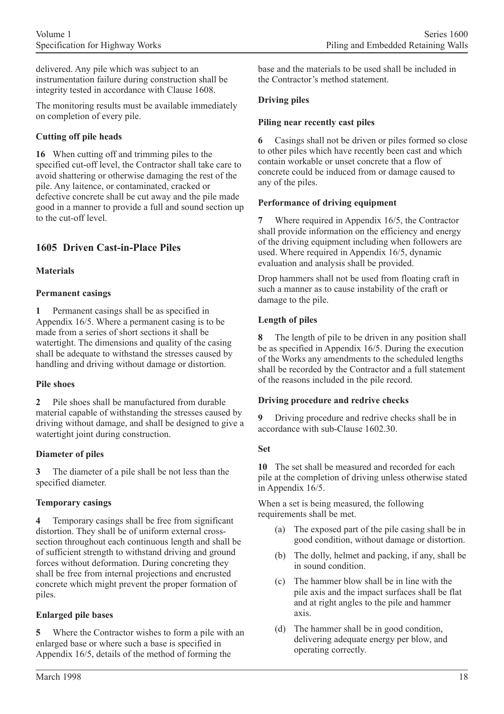delivered. Any pile which was subject to an instrumentation failure during construction shall be integrity tested in accordance with Clause 1608.

The monitoring results must be available immediately on completion of every pile.

# **Cutting off pile heads**

**16** When cutting off and trimming piles to the specified cut-off level, the Contractor shall take care to avoid shattering or otherwise damaging the rest of the pile. Any laitence, or contaminated, cracked or defective concrete shall be cut away and the pile made good in a manner to provide a full and sound section up to the cut-off level.

# **1605 Driven Cast-in-Place Piles**

# **Materials**

# **Permanent casings**

**1** Permanent casings shall be as specified in Appendix 16/5. Where a permanent casing is to be made from a series of short sections it shall be watertight. The dimensions and quality of the casing shall be adequate to withstand the stresses caused by handling and driving without damage or distortion.

# **Pile shoes**

**2** Pile shoes shall be manufactured from durable material capable of withstanding the stresses caused by driving without damage, and shall be designed to give a watertight joint during construction.

# **Diameter of piles**

**3** The diameter of a pile shall be not less than the specified diameter.

# **Temporary casings**

**4** Temporary casings shall be free from significant distortion. They shall be of uniform external crosssection throughout each continuous length and shall be of sufficient strength to withstand driving and ground forces without deformation. During concreting they shall be free from internal projections and encrusted concrete which might prevent the proper formation of piles.

# **Enlarged pile bases**

**5** Where the Contractor wishes to form a pile with an enlarged base or where such a base is specified in Appendix 16/5, details of the method of forming the

base and the materials to be used shall be included in the Contractor's method statement.

# **Driving piles**

### **Piling near recently cast piles**

**6** Casings shall not be driven or piles formed so close to other piles which have recently been cast and which contain workable or unset concrete that a flow of concrete could be induced from or damage caused to any of the piles.

### **Performance of driving equipment**

**7** Where required in Appendix 16/5, the Contractor shall provide information on the efficiency and energy of the driving equipment including when followers are used. Where required in Appendix 16/5, dynamic evaluation and analysis shall be provided.

Drop hammers shall not be used from floating craft in such a manner as to cause instability of the craft or damage to the pile.

# **Length of piles**

**8** The length of pile to be driven in any position shall be as specified in Appendix 16/5. During the execution of the Works any amendments to the scheduled lengths shall be recorded by the Contractor and a full statement of the reasons included in the pile record.

# **Driving procedure and redrive checks**

**9** Driving procedure and redrive checks shall be in accordance with sub-Clause 1602.30.

# **Set**

**10** The set shall be measured and recorded for each pile at the completion of driving unless otherwise stated in Appendix 16/5.

When a set is being measured, the following requirements shall be met.

- (a) The exposed part of the pile casing shall be in good condition, without damage or distortion.
- (b) The dolly, helmet and packing, if any, shall be in sound condition.
- (c) The hammer blow shall be in line with the pile axis and the impact surfaces shall be flat and at right angles to the pile and hammer axis.
- (d) The hammer shall be in good condition, delivering adequate energy per blow, and operating correctly.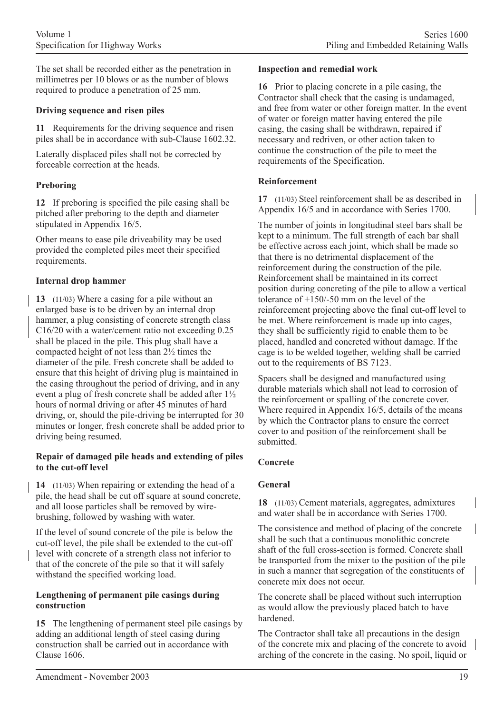The set shall be recorded either as the penetration in millimetres per 10 blows or as the number of blows required to produce a penetration of 25 mm.

### **Driving sequence and risen piles**

**11** Requirements for the driving sequence and risen piles shall be in accordance with sub-Clause 1602.32.

Laterally displaced piles shall not be corrected by forceable correction at the heads.

# **Preboring**

**12** If preboring is specified the pile casing shall be pitched after preboring to the depth and diameter stipulated in Appendix 16/5.

Other means to ease pile driveability may be used provided the completed piles meet their specified requirements.

### **Internal drop hammer**

**13** (11/03) Where a casing for a pile without an enlarged base is to be driven by an internal drop hammer, a plug consisting of concrete strength class C16/20 with a water/cement ratio not exceeding 0.25 shall be placed in the pile. This plug shall have a compacted height of not less than 2½ times the diameter of the pile. Fresh concrete shall be added to ensure that this height of driving plug is maintained in the casing throughout the period of driving, and in any event a plug of fresh concrete shall be added after 1½ hours of normal driving or after 45 minutes of hard driving, or, should the pile-driving be interrupted for 30 minutes or longer, fresh concrete shall be added prior to driving being resumed.

### **Repair of damaged pile heads and extending of piles to the cut-off level**

**14** (11/03) When repairing or extending the head of a pile, the head shall be cut off square at sound concrete, and all loose particles shall be removed by wirebrushing, followed by washing with water.

If the level of sound concrete of the pile is below the cut-off level, the pile shall be extended to the cut-off level with concrete of a strength class not inferior to that of the concrete of the pile so that it will safely withstand the specified working load.

#### **Lengthening of permanent pile casings during construction**

**15** The lengthening of permanent steel pile casings by adding an additional length of steel casing during construction shall be carried out in accordance with Clause 1606.

#### **Inspection and remedial work**

**16** Prior to placing concrete in a pile casing, the Contractor shall check that the casing is undamaged, and free from water or other foreign matter. In the event of water or foreign matter having entered the pile casing, the casing shall be withdrawn, repaired if necessary and redriven, or other action taken to continue the construction of the pile to meet the requirements of the Specification.

### **Reinforcement**

**17** (11/03) Steel reinforcement shall be as described in Appendix 16/5 and in accordance with Series 1700.

The number of joints in longitudinal steel bars shall be kept to a minimum. The full strength of each bar shall be effective across each joint, which shall be made so that there is no detrimental displacement of the reinforcement during the construction of the pile. Reinforcement shall be maintained in its correct position during concreting of the pile to allow a vertical tolerance of +150/-50 mm on the level of the reinforcement projecting above the final cut-off level to be met. Where reinforcement is made up into cages, they shall be sufficiently rigid to enable them to be placed, handled and concreted without damage. If the cage is to be welded together, welding shall be carried out to the requirements of BS 7123.

Spacers shall be designed and manufactured using durable materials which shall not lead to corrosion of the reinforcement or spalling of the concrete cover. Where required in Appendix 16/5, details of the means by which the Contractor plans to ensure the correct cover to and position of the reinforcement shall be submitted.

# **Concrete**

# **General**

**18** (11/03) Cement materials, aggregates, admixtures and water shall be in accordance with Series 1700.

The consistence and method of placing of the concrete shall be such that a continuous monolithic concrete shaft of the full cross-section is formed. Concrete shall be transported from the mixer to the position of the pile in such a manner that segregation of the constituents of concrete mix does not occur.

The concrete shall be placed without such interruption as would allow the previously placed batch to have hardened.

The Contractor shall take all precautions in the design of the concrete mix and placing of the concrete to avoid arching of the concrete in the casing. No spoil, liquid or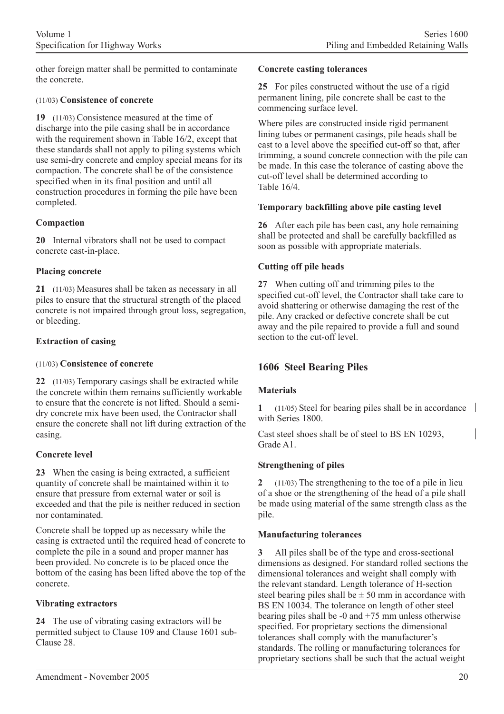other foreign matter shall be permitted to contaminate the concrete.

#### (11/03) **Consistence of concrete**

**19** (11/03) Consistence measured at the time of discharge into the pile casing shall be in accordance with the requirement shown in Table 16/2, except that these standards shall not apply to piling systems which use semi-dry concrete and employ special means for its compaction. The concrete shall be of the consistence specified when in its final position and until all construction procedures in forming the pile have been completed.

### **Compaction**

**20** Internal vibrators shall not be used to compact concrete cast-in-place.

### **Placing concrete**

**21** (11/03) Measures shall be taken as necessary in all piles to ensure that the structural strength of the placed concrete is not impaired through grout loss, segregation, or bleeding.

### **Extraction of casing**

#### (11/03) **Consistence of concrete**

**22** (11/03) Temporary casings shall be extracted while the concrete within them remains sufficiently workable to ensure that the concrete is not lifted. Should a semidry concrete mix have been used, the Contractor shall ensure the concrete shall not lift during extraction of the casing.

### **Concrete level**

**23** When the casing is being extracted, a sufficient quantity of concrete shall be maintained within it to ensure that pressure from external water or soil is exceeded and that the pile is neither reduced in section nor contaminated.

Concrete shall be topped up as necessary while the casing is extracted until the required head of concrete to complete the pile in a sound and proper manner has been provided. No concrete is to be placed once the bottom of the casing has been lifted above the top of the concrete.

### **Vibrating extractors**

**24** The use of vibrating casing extractors will be permitted subject to Clause 109 and Clause 1601 sub-Clause 28.

#### **Concrete casting tolerances**

**25** For piles constructed without the use of a rigid permanent lining, pile concrete shall be cast to the commencing surface level.

Where piles are constructed inside rigid permanent lining tubes or permanent casings, pile heads shall be cast to a level above the specified cut-off so that, after trimming, a sound concrete connection with the pile can be made. In this case the tolerance of casting above the cut-off level shall be determined according to Table 16/4.

#### **Temporary backfilling above pile casting level**

**26** After each pile has been cast, any hole remaining shall be protected and shall be carefully backfilled as soon as possible with appropriate materials.

### **Cutting off pile heads**

**27** When cutting off and trimming piles to the specified cut-off level, the Contractor shall take care to avoid shattering or otherwise damaging the rest of the pile. Any cracked or defective concrete shall be cut away and the pile repaired to provide a full and sound section to the cut-off level.

# **1606 Steel Bearing Piles**

### **Materials**

**1** (11/05) Steel for bearing piles shall be in accordance with Series 1800.

Cast steel shoes shall be of steel to BS EN 10293, Grade A1.

### **Strengthening of piles**

**2** (11/03) The strengthening to the toe of a pile in lieu of a shoe or the strengthening of the head of a pile shall be made using material of the same strength class as the pile.

#### **Manufacturing tolerances**

**3** All piles shall be of the type and cross-sectional dimensions as designed. For standard rolled sections the dimensional tolerances and weight shall comply with the relevant standard. Length tolerance of H-section steel bearing piles shall be  $\pm$  50 mm in accordance with BS EN 10034. The tolerance on length of other steel bearing piles shall be  $-0$  and  $+75$  mm unless otherwise specified. For proprietary sections the dimensional tolerances shall comply with the manufacturer's standards. The rolling or manufacturing tolerances for proprietary sections shall be such that the actual weight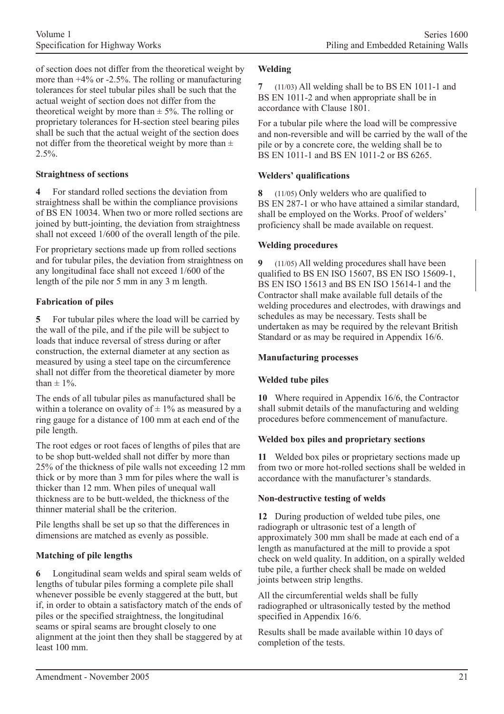of section does not differ from the theoretical weight by more than +4% or -2.5%. The rolling or manufacturing tolerances for steel tubular piles shall be such that the actual weight of section does not differ from the theoretical weight by more than  $\pm$  5%. The rolling or proprietary tolerances for H-section steel bearing piles shall be such that the actual weight of the section does not differ from the theoretical weight by more than  $\pm$  $2.5\%$ .

### **Straightness of sections**

**4** For standard rolled sections the deviation from straightness shall be within the compliance provisions of BS EN 10034. When two or more rolled sections are joined by butt-jointing, the deviation from straightness shall not exceed 1/600 of the overall length of the pile.

For proprietary sections made up from rolled sections and for tubular piles, the deviation from straightness on any longitudinal face shall not exceed 1/600 of the length of the pile nor 5 mm in any 3 m length.

### **Fabrication of piles**

**5** For tubular piles where the load will be carried by the wall of the pile, and if the pile will be subject to loads that induce reversal of stress during or after construction, the external diameter at any section as measured by using a steel tape on the circumference shall not differ from the theoretical diameter by more than  $\pm$  1%.

The ends of all tubular piles as manufactured shall be within a tolerance on ovality of  $\pm 1\%$  as measured by a ring gauge for a distance of 100 mm at each end of the pile length.

The root edges or root faces of lengths of piles that are to be shop butt-welded shall not differ by more than 25% of the thickness of pile walls not exceeding 12 mm thick or by more than 3 mm for piles where the wall is thicker than 12 mm. When piles of unequal wall thickness are to be butt-welded, the thickness of the thinner material shall be the criterion.

Pile lengths shall be set up so that the differences in dimensions are matched as evenly as possible.

# **Matching of pile lengths**

**6** Longitudinal seam welds and spiral seam welds of lengths of tubular piles forming a complete pile shall whenever possible be evenly staggered at the butt, but if, in order to obtain a satisfactory match of the ends of piles or the specified straightness, the longitudinal seams or spiral seams are brought closely to one alignment at the joint then they shall be staggered by at least 100 mm.

### **Welding**

**7** (11/03) All welding shall be to BS EN 1011-1 and BS EN 1011-2 and when appropriate shall be in accordance with Clause 1801.

For a tubular pile where the load will be compressive and non-reversible and will be carried by the wall of the pile or by a concrete core, the welding shall be to BS EN 1011-1 and BS EN 1011-2 or BS 6265.

### **Welders' qualifications**

**8** (11/05) Only welders who are qualified to BS EN 287-1 or who have attained a similar standard, shall be employed on the Works. Proof of welders' proficiency shall be made available on request.

#### **Welding procedures**

**9** (11/05) All welding procedures shall have been qualified to BS EN ISO 15607, BS EN ISO 15609-1, BS EN ISO 15613 and BS EN ISO 15614-1 and the Contractor shall make available full details of the welding procedures and electrodes, with drawings and schedules as may be necessary. Tests shall be undertaken as may be required by the relevant British Standard or as may be required in Appendix 16/6.

#### **Manufacturing processes**

### **Welded tube piles**

**10** Where required in Appendix 16/6, the Contractor shall submit details of the manufacturing and welding procedures before commencement of manufacture.

### **Welded box piles and proprietary sections**

**11** Welded box piles or proprietary sections made up from two or more hot-rolled sections shall be welded in accordance with the manufacturer's standards.

### **Non-destructive testing of welds**

**12** During production of welded tube piles, one radiograph or ultrasonic test of a length of approximately 300 mm shall be made at each end of a length as manufactured at the mill to provide a spot check on weld quality. In addition, on a spirally welded tube pile, a further check shall be made on welded joints between strip lengths.

All the circumferential welds shall be fully radiographed or ultrasonically tested by the method specified in Appendix 16/6.

Results shall be made available within 10 days of completion of the tests.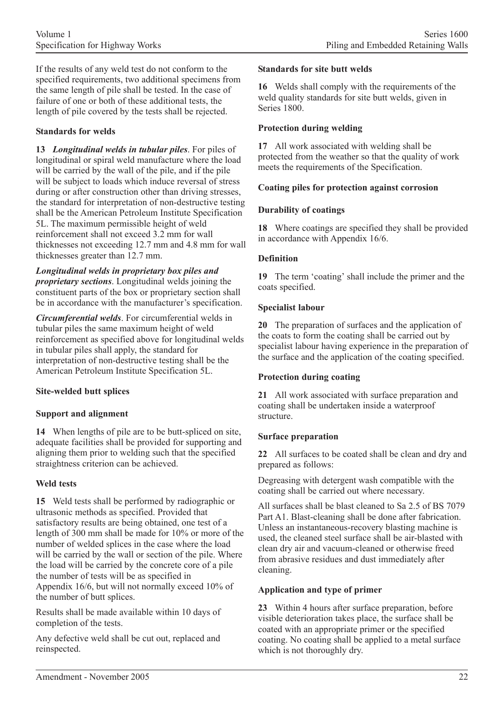If the results of any weld test do not conform to the specified requirements, two additional specimens from the same length of pile shall be tested. In the case of failure of one or both of these additional tests, the length of pile covered by the tests shall be rejected.

### **Standards for welds**

**13** *Longitudinal welds in tubular piles*. For piles of longitudinal or spiral weld manufacture where the load will be carried by the wall of the pile, and if the pile will be subject to loads which induce reversal of stress during or after construction other than driving stresses, the standard for interpretation of non-destructive testing shall be the American Petroleum Institute Specification 5L. The maximum permissible height of weld reinforcement shall not exceed 3.2 mm for wall thicknesses not exceeding 12.7 mm and 4.8 mm for wall thicknesses greater than 12.7 mm.

*Longitudinal welds in proprietary box piles and proprietary sections*. Longitudinal welds joining the constituent parts of the box or proprietary section shall be in accordance with the manufacturer's specification.

*Circumferential welds*. For circumferential welds in tubular piles the same maximum height of weld reinforcement as specified above for longitudinal welds in tubular piles shall apply, the standard for interpretation of non-destructive testing shall be the American Petroleum Institute Specification 5L.

# **Site-welded butt splices**

# **Support and alignment**

**14** When lengths of pile are to be butt-spliced on site, adequate facilities shall be provided for supporting and aligning them prior to welding such that the specified straightness criterion can be achieved.

### **Weld tests**

**15** Weld tests shall be performed by radiographic or ultrasonic methods as specified. Provided that satisfactory results are being obtained, one test of a length of 300 mm shall be made for 10% or more of the number of welded splices in the case where the load will be carried by the wall or section of the pile. Where the load will be carried by the concrete core of a pile the number of tests will be as specified in Appendix 16/6, but will not normally exceed 10% of the number of butt splices.

Results shall be made available within 10 days of completion of the tests.

Any defective weld shall be cut out, replaced and reinspected.

#### **Standards for site butt welds**

**16** Welds shall comply with the requirements of the weld quality standards for site butt welds, given in Series 1800.

### **Protection during welding**

**17** All work associated with welding shall be protected from the weather so that the quality of work meets the requirements of the Specification.

### **Coating piles for protection against corrosion**

### **Durability of coatings**

**18** Where coatings are specified they shall be provided in accordance with Appendix 16/6.

### **Definition**

**19** The term 'coating' shall include the primer and the coats specified.

### **Specialist labour**

**20** The preparation of surfaces and the application of the coats to form the coating shall be carried out by specialist labour having experience in the preparation of the surface and the application of the coating specified.

### **Protection during coating**

**21** All work associated with surface preparation and coating shall be undertaken inside a waterproof structure.

### **Surface preparation**

**22** All surfaces to be coated shall be clean and dry and prepared as follows:

Degreasing with detergent wash compatible with the coating shall be carried out where necessary.

All surfaces shall be blast cleaned to Sa 2.5 of BS 7079 Part A1. Blast-cleaning shall be done after fabrication. Unless an instantaneous-recovery blasting machine is used, the cleaned steel surface shall be air-blasted with clean dry air and vacuum-cleaned or otherwise freed from abrasive residues and dust immediately after cleaning.

### **Application and type of primer**

**23** Within 4 hours after surface preparation, before visible deterioration takes place, the surface shall be coated with an appropriate primer or the specified coating. No coating shall be applied to a metal surface which is not thoroughly dry.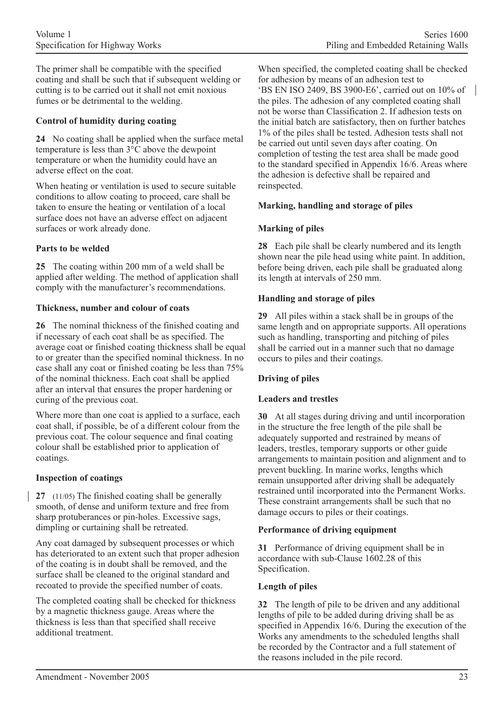The primer shall be compatible with the specified coating and shall be such that if subsequent welding or cutting is to be carried out it shall not emit noxious fumes or be detrimental to the welding.

### **Control of humidity during coating**

**24** No coating shall be applied when the surface metal temperature is less than 3°C above the dewpoint temperature or when the humidity could have an adverse effect on the coat.

When heating or ventilation is used to secure suitable conditions to allow coating to proceed, care shall be taken to ensure the heating or ventilation of a local surface does not have an adverse effect on adjacent surfaces or work already done.

### **Parts to be welded**

**25** The coating within 200 mm of a weld shall be applied after welding. The method of application shall comply with the manufacturer's recommendations.

### **Thickness, number and colour of coats**

**26** The nominal thickness of the finished coating and if necessary of each coat shall be as specified. The average coat or finished coating thickness shall be equal to or greater than the specified nominal thickness. In no case shall any coat or finished coating be less than 75% of the nominal thickness. Each coat shall be applied after an interval that ensures the proper hardening or curing of the previous coat.

Where more than one coat is applied to a surface, each coat shall, if possible, be of a different colour from the previous coat. The colour sequence and final coating colour shall be established prior to application of coatings.

### **Inspection of coatings**

**27** (11/05) The finished coating shall be generally smooth, of dense and uniform texture and free from sharp protuberances or pin-holes. Excessive sags, dimpling or curtaining shall be retreated.

Any coat damaged by subsequent processes or which has deteriorated to an extent such that proper adhesion of the coating is in doubt shall be removed, and the surface shall be cleaned to the original standard and recoated to provide the specified number of coats.

The completed coating shall be checked for thickness by a magnetic thickness gauge. Areas where the thickness is less than that specified shall receive additional treatment.

When specified, the completed coating shall be checked for adhesion by means of an adhesion test to 'BS EN ISO 2409, BS 3900-E6', carried out on 10% of the piles. The adhesion of any completed coating shall not be worse than Classification 2. If adhesion tests on the initial batch are satisfactory, then on further batches 1% of the piles shall be tested. Adhesion tests shall not be carried out until seven days after coating. On completion of testing the test area shall be made good to the standard specified in Appendix 16/6. Areas where the adhesion is defective shall be repaired and reinspected.

### **Marking, handling and storage of piles**

### **Marking of piles**

**28** Each pile shall be clearly numbered and its length shown near the pile head using white paint. In addition, before being driven, each pile shall be graduated along its length at intervals of 250 mm.

### **Handling and storage of piles**

**29** All piles within a stack shall be in groups of the same length and on appropriate supports. All operations such as handling, transporting and pitching of piles shall be carried out in a manner such that no damage occurs to piles and their coatings.

### **Driving of piles**

### **Leaders and trestles**

**30** At all stages during driving and until incorporation in the structure the free length of the pile shall be adequately supported and restrained by means of leaders, trestles, temporary supports or other guide arrangements to maintain position and alignment and to prevent buckling. In marine works, lengths which remain unsupported after driving shall be adequately restrained until incorporated into the Permanent Works. These constraint arrangements shall be such that no damage occurs to piles or their coatings.

### **Performance of driving equipment**

**31** Performance of driving equipment shall be in accordance with sub-Clause 1602.28 of this Specification.

### **Length of piles**

**32** The length of pile to be driven and any additional lengths of pile to be added during driving shall be as specified in Appendix 16/6. During the execution of the Works any amendments to the scheduled lengths shall be recorded by the Contractor and a full statement of the reasons included in the pile record.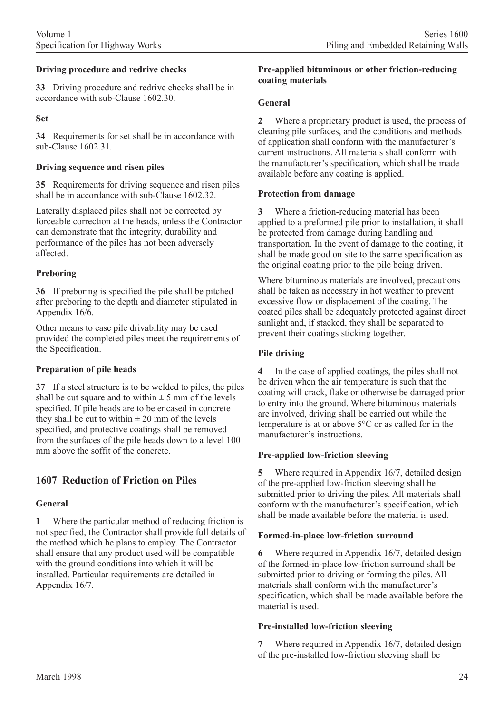### **Driving procedure and redrive checks**

**33** Driving procedure and redrive checks shall be in accordance with sub-Clause 1602.30.

### **Set**

**34** Requirements for set shall be in accordance with sub-Clause 1602.31.

### **Driving sequence and risen piles**

**35** Requirements for driving sequence and risen piles shall be in accordance with sub-Clause 1602.32.

Laterally displaced piles shall not be corrected by forceable correction at the heads, unless the Contractor can demonstrate that the integrity, durability and performance of the piles has not been adversely affected.

### **Preboring**

**36** If preboring is specified the pile shall be pitched after preboring to the depth and diameter stipulated in Appendix 16/6.

Other means to ease pile drivability may be used provided the completed piles meet the requirements of the Specification.

### **Preparation of pile heads**

**37** If a steel structure is to be welded to piles, the piles shall be cut square and to within  $\pm$  5 mm of the levels specified. If pile heads are to be encased in concrete they shall be cut to within  $\pm 20$  mm of the levels specified, and protective coatings shall be removed from the surfaces of the pile heads down to a level 100 mm above the soffit of the concrete.

# **1607 Reduction of Friction on Piles**

# **General**

**1** Where the particular method of reducing friction is not specified, the Contractor shall provide full details of the method which he plans to employ. The Contractor shall ensure that any product used will be compatible with the ground conditions into which it will be installed. Particular requirements are detailed in Appendix 16/7.

#### **Pre-applied bituminous or other friction-reducing coating materials**

### **General**

**2** Where a proprietary product is used, the process of cleaning pile surfaces, and the conditions and methods of application shall conform with the manufacturer's current instructions. All materials shall conform with the manufacturer's specification, which shall be made available before any coating is applied.

### **Protection from damage**

**3** Where a friction-reducing material has been applied to a preformed pile prior to installation, it shall be protected from damage during handling and transportation. In the event of damage to the coating, it shall be made good on site to the same specification as the original coating prior to the pile being driven.

Where bituminous materials are involved, precautions shall be taken as necessary in hot weather to prevent excessive flow or displacement of the coating. The coated piles shall be adequately protected against direct sunlight and, if stacked, they shall be separated to prevent their coatings sticking together.

### **Pile driving**

**4** In the case of applied coatings, the piles shall not be driven when the air temperature is such that the coating will crack, flake or otherwise be damaged prior to entry into the ground. Where bituminous materials are involved, driving shall be carried out while the temperature is at or above 5°C or as called for in the manufacturer's instructions.

### **Pre-applied low-friction sleeving**

**5** Where required in Appendix 16/7, detailed design of the pre-applied low-friction sleeving shall be submitted prior to driving the piles. All materials shall conform with the manufacturer's specification, which shall be made available before the material is used.

### **Formed-in-place low-friction surround**

**6** Where required in Appendix 16/7, detailed design of the formed-in-place low-friction surround shall be submitted prior to driving or forming the piles. All materials shall conform with the manufacturer's specification, which shall be made available before the material is used.

### **Pre-installed low-friction sleeving**

**7** Where required in Appendix 16/7, detailed design of the pre-installed low-friction sleeving shall be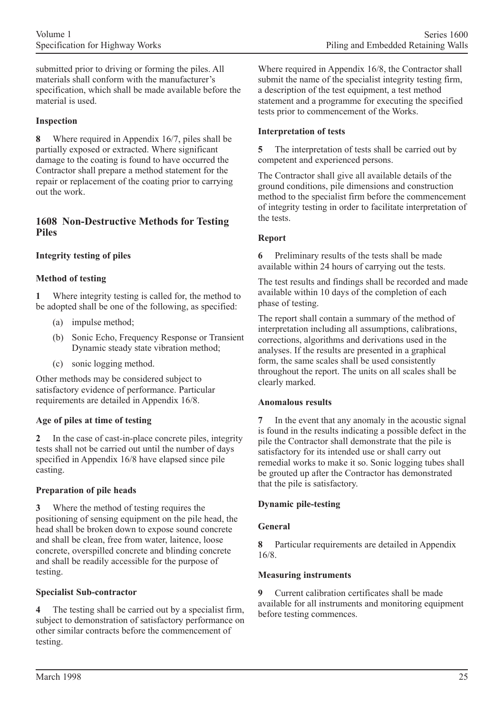submitted prior to driving or forming the piles. All materials shall conform with the manufacturer's specification, which shall be made available before the material is used.

### **Inspection**

**8** Where required in Appendix 16/7, piles shall be partially exposed or extracted. Where significant damage to the coating is found to have occurred the Contractor shall prepare a method statement for the repair or replacement of the coating prior to carrying out the work.

### **1608 Non-Destructive Methods for Testing Piles**

### **Integrity testing of piles**

### **Method of testing**

**1** Where integrity testing is called for, the method to be adopted shall be one of the following, as specified:

- (a) impulse method;
- (b) Sonic Echo, Frequency Response or Transient Dynamic steady state vibration method;
- (c) sonic logging method.

Other methods may be considered subject to satisfactory evidence of performance. Particular requirements are detailed in Appendix 16/8.

### **Age of piles at time of testing**

**2** In the case of cast-in-place concrete piles, integrity tests shall not be carried out until the number of days specified in Appendix 16/8 have elapsed since pile casting.

### **Preparation of pile heads**

**3** Where the method of testing requires the positioning of sensing equipment on the pile head, the head shall be broken down to expose sound concrete and shall be clean, free from water, laitence, loose concrete, overspilled concrete and blinding concrete and shall be readily accessible for the purpose of testing.

### **Specialist Sub-contractor**

**4** The testing shall be carried out by a specialist firm, subject to demonstration of satisfactory performance on other similar contracts before the commencement of testing.

Where required in Appendix 16/8, the Contractor shall submit the name of the specialist integrity testing firm, a description of the test equipment, a test method statement and a programme for executing the specified tests prior to commencement of the Works.

#### **Interpretation of tests**

**5** The interpretation of tests shall be carried out by competent and experienced persons.

The Contractor shall give all available details of the ground conditions, pile dimensions and construction method to the specialist firm before the commencement of integrity testing in order to facilitate interpretation of the tests.

#### **Report**

**6** Preliminary results of the tests shall be made available within 24 hours of carrying out the tests.

The test results and findings shall be recorded and made available within 10 days of the completion of each phase of testing.

The report shall contain a summary of the method of interpretation including all assumptions, calibrations, corrections, algorithms and derivations used in the analyses. If the results are presented in a graphical form, the same scales shall be used consistently throughout the report. The units on all scales shall be clearly marked.

#### **Anomalous results**

**7** In the event that any anomaly in the acoustic signal is found in the results indicating a possible defect in the pile the Contractor shall demonstrate that the pile is satisfactory for its intended use or shall carry out remedial works to make it so. Sonic logging tubes shall be grouted up after the Contractor has demonstrated that the pile is satisfactory.

### **Dynamic pile-testing**

### **General**

**8** Particular requirements are detailed in Appendix 16/8.

### **Measuring instruments**

**9** Current calibration certificates shall be made available for all instruments and monitoring equipment before testing commences.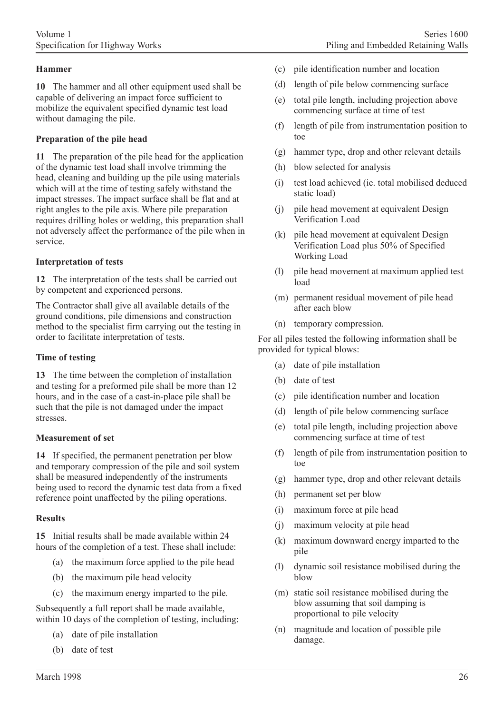### **Hammer**

**10** The hammer and all other equipment used shall be capable of delivering an impact force sufficient to mobilize the equivalent specified dynamic test load without damaging the pile.

#### **Preparation of the pile head**

**11** The preparation of the pile head for the application of the dynamic test load shall involve trimming the head, cleaning and building up the pile using materials which will at the time of testing safely withstand the impact stresses. The impact surface shall be flat and at right angles to the pile axis. Where pile preparation requires drilling holes or welding, this preparation shall not adversely affect the performance of the pile when in service.

#### **Interpretation of tests**

**12** The interpretation of the tests shall be carried out by competent and experienced persons.

The Contractor shall give all available details of the ground conditions, pile dimensions and construction method to the specialist firm carrying out the testing in order to facilitate interpretation of tests.

#### **Time of testing**

**13** The time between the completion of installation and testing for a preformed pile shall be more than 12 hours, and in the case of a cast-in-place pile shall be such that the pile is not damaged under the impact stresses.

#### **Measurement of set**

**14** If specified, the permanent penetration per blow and temporary compression of the pile and soil system shall be measured independently of the instruments being used to record the dynamic test data from a fixed reference point unaffected by the piling operations.

#### **Results**

**15** Initial results shall be made available within 24 hours of the completion of a test. These shall include:

- (a) the maximum force applied to the pile head
- (b) the maximum pile head velocity
- (c) the maximum energy imparted to the pile.

Subsequently a full report shall be made available, within 10 days of the completion of testing, including:

- (a) date of pile installation
- (b) date of test
- (c) pile identification number and location
- (d) length of pile below commencing surface
- (e) total pile length, including projection above commencing surface at time of test
- (f) length of pile from instrumentation position to toe
- (g) hammer type, drop and other relevant details
- (h) blow selected for analysis
- (i) test load achieved (ie. total mobilised deduced static load)
- (j) pile head movement at equivalent Design Verification Load
- (k) pile head movement at equivalent Design Verification Load plus 50% of Specified Working Load
- (l) pile head movement at maximum applied test load
- (m) permanent residual movement of pile head after each blow
- (n) temporary compression.

For all piles tested the following information shall be provided for typical blows:

- (a) date of pile installation
- (b) date of test
- (c) pile identification number and location
- (d) length of pile below commencing surface
- (e) total pile length, including projection above commencing surface at time of test
- (f) length of pile from instrumentation position to toe
- (g) hammer type, drop and other relevant details
- (h) permanent set per blow
- (i) maximum force at pile head
- (j) maximum velocity at pile head
- (k) maximum downward energy imparted to the pile
- (l) dynamic soil resistance mobilised during the blow
- (m) static soil resistance mobilised during the blow assuming that soil damping is proportional to pile velocity
- (n) magnitude and location of possible pile damage.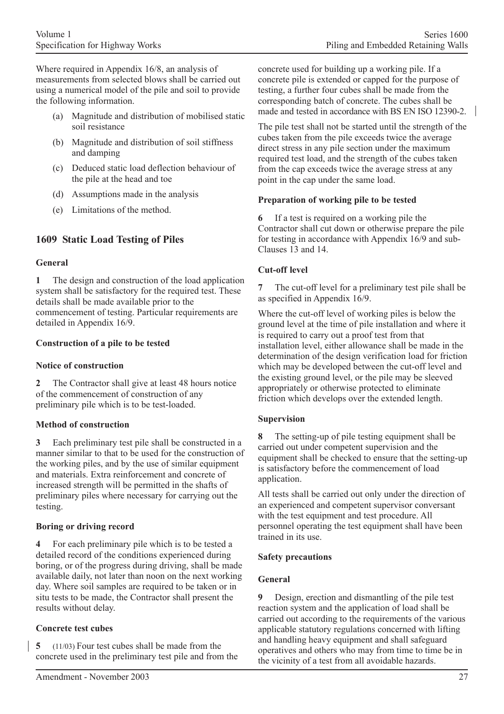Where required in Appendix 16/8, an analysis of measurements from selected blows shall be carried out using a numerical model of the pile and soil to provide the following information.

- (a) Magnitude and distribution of mobilised static soil resistance
- (b) Magnitude and distribution of soil stiffness and damping
- (c) Deduced static load deflection behaviour of the pile at the head and toe
- (d) Assumptions made in the analysis
- (e) Limitations of the method.

# **1609 Static Load Testing of Piles**

### **General**

**1** The design and construction of the load application system shall be satisfactory for the required test. These details shall be made available prior to the commencement of testing. Particular requirements are detailed in Appendix 16/9.

### **Construction of a pile to be tested**

### **Notice of construction**

**2** The Contractor shall give at least 48 hours notice of the commencement of construction of any preliminary pile which is to be test-loaded.

# **Method of construction**

**3** Each preliminary test pile shall be constructed in a manner similar to that to be used for the construction of the working piles, and by the use of similar equipment and materials. Extra reinforcement and concrete of increased strength will be permitted in the shafts of preliminary piles where necessary for carrying out the testing.

# **Boring or driving record**

**4** For each preliminary pile which is to be tested a detailed record of the conditions experienced during boring, or of the progress during driving, shall be made available daily, not later than noon on the next working day. Where soil samples are required to be taken or in situ tests to be made, the Contractor shall present the results without delay.

### **Concrete test cubes**

**5** (11/03) Four test cubes shall be made from the concrete used in the preliminary test pile and from the concrete used for building up a working pile. If a concrete pile is extended or capped for the purpose of testing, a further four cubes shall be made from the corresponding batch of concrete. The cubes shall be made and tested in accordance with BS EN ISO 12390-2.

The pile test shall not be started until the strength of the cubes taken from the pile exceeds twice the average direct stress in any pile section under the maximum required test load, and the strength of the cubes taken from the cap exceeds twice the average stress at any point in the cap under the same load.

### **Preparation of working pile to be tested**

**6** If a test is required on a working pile the Contractor shall cut down or otherwise prepare the pile for testing in accordance with Appendix 16/9 and sub-Clauses 13 and 14.

# **Cut-off level**

**7** The cut-off level for a preliminary test pile shall be as specified in Appendix 16/9.

Where the cut-off level of working piles is below the ground level at the time of pile installation and where it is required to carry out a proof test from that installation level, either allowance shall be made in the determination of the design verification load for friction which may be developed between the cut-off level and the existing ground level, or the pile may be sleeved appropriately or otherwise protected to eliminate friction which develops over the extended length.

### **Supervision**

**8** The setting-up of pile testing equipment shall be carried out under competent supervision and the equipment shall be checked to ensure that the setting-up is satisfactory before the commencement of load application.

All tests shall be carried out only under the direction of an experienced and competent supervisor conversant with the test equipment and test procedure. All personnel operating the test equipment shall have been trained in its use.

### **Safety precautions**

### **General**

**9** Design, erection and dismantling of the pile test reaction system and the application of load shall be carried out according to the requirements of the various applicable statutory regulations concerned with lifting and handling heavy equipment and shall safeguard operatives and others who may from time to time be in the vicinity of a test from all avoidable hazards.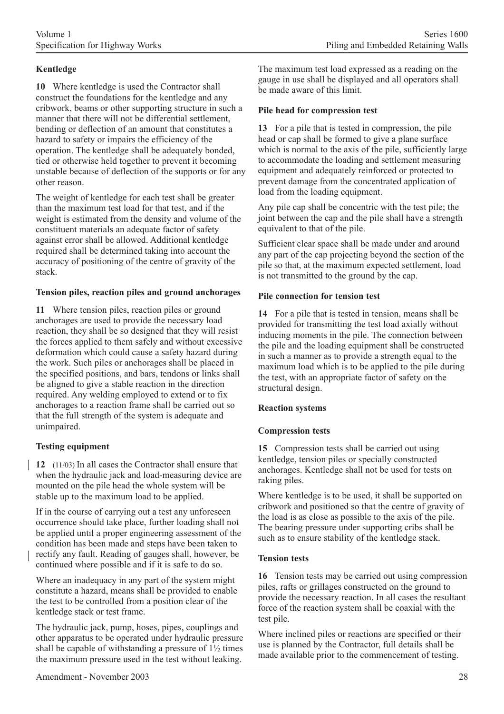# **Kentledge**

**10** Where kentledge is used the Contractor shall construct the foundations for the kentledge and any cribwork, beams or other supporting structure in such a manner that there will not be differential settlement. bending or deflection of an amount that constitutes a hazard to safety or impairs the efficiency of the operation. The kentledge shall be adequately bonded, tied or otherwise held together to prevent it becoming unstable because of deflection of the supports or for any other reason.

The weight of kentledge for each test shall be greater than the maximum test load for that test, and if the weight is estimated from the density and volume of the constituent materials an adequate factor of safety against error shall be allowed. Additional kentledge required shall be determined taking into account the accuracy of positioning of the centre of gravity of the stack.

### **Tension piles, reaction piles and ground anchorages**

**11** Where tension piles, reaction piles or ground anchorages are used to provide the necessary load reaction, they shall be so designed that they will resist the forces applied to them safely and without excessive deformation which could cause a safety hazard during the work. Such piles or anchorages shall be placed in the specified positions, and bars, tendons or links shall be aligned to give a stable reaction in the direction required. Any welding employed to extend or to fix anchorages to a reaction frame shall be carried out so that the full strength of the system is adequate and unimpaired.

# **Testing equipment**

**12** (11/03) In all cases the Contractor shall ensure that when the hydraulic jack and load-measuring device are mounted on the pile head the whole system will be stable up to the maximum load to be applied.

If in the course of carrying out a test any unforeseen occurrence should take place, further loading shall not be applied until a proper engineering assessment of the condition has been made and steps have been taken to rectify any fault. Reading of gauges shall, however, be continued where possible and if it is safe to do so.

Where an inadequacy in any part of the system might constitute a hazard, means shall be provided to enable the test to be controlled from a position clear of the kentledge stack or test frame.

The hydraulic jack, pump, hoses, pipes, couplings and other apparatus to be operated under hydraulic pressure shall be capable of withstanding a pressure of  $1\frac{1}{2}$  times the maximum pressure used in the test without leaking.

The maximum test load expressed as a reading on the gauge in use shall be displayed and all operators shall be made aware of this limit.

### **Pile head for compression test**

**13** For a pile that is tested in compression, the pile head or cap shall be formed to give a plane surface which is normal to the axis of the pile, sufficiently large to accommodate the loading and settlement measuring equipment and adequately reinforced or protected to prevent damage from the concentrated application of load from the loading equipment.

Any pile cap shall be concentric with the test pile; the joint between the cap and the pile shall have a strength equivalent to that of the pile.

Sufficient clear space shall be made under and around any part of the cap projecting beyond the section of the pile so that, at the maximum expected settlement, load is not transmitted to the ground by the cap.

### **Pile connection for tension test**

**14** For a pile that is tested in tension, means shall be provided for transmitting the test load axially without inducing moments in the pile. The connection between the pile and the loading equipment shall be constructed in such a manner as to provide a strength equal to the maximum load which is to be applied to the pile during the test, with an appropriate factor of safety on the structural design.

### **Reaction systems**

# **Compression tests**

**15** Compression tests shall be carried out using kentledge, tension piles or specially constructed anchorages. Kentledge shall not be used for tests on raking piles.

Where kentledge is to be used, it shall be supported on cribwork and positioned so that the centre of gravity of the load is as close as possible to the axis of the pile. The bearing pressure under supporting cribs shall be such as to ensure stability of the kentledge stack.

# **Tension tests**

**16** Tension tests may be carried out using compression piles, rafts or grillages constructed on the ground to provide the necessary reaction. In all cases the resultant force of the reaction system shall be coaxial with the test pile.

Where inclined piles or reactions are specified or their use is planned by the Contractor, full details shall be made available prior to the commencement of testing.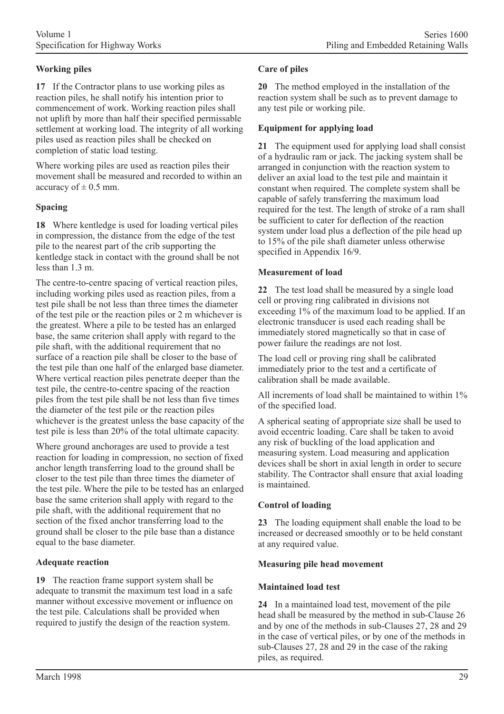# **Working piles**

**17** If the Contractor plans to use working piles as reaction piles, he shall notify his intention prior to commencement of work. Working reaction piles shall not uplift by more than half their specified permissable settlement at working load. The integrity of all working piles used as reaction piles shall be checked on completion of static load testing.

Where working piles are used as reaction piles their movement shall be measured and recorded to within an accuracy of  $\pm$  0.5 mm.

### **Spacing**

**18** Where kentledge is used for loading vertical piles in compression, the distance from the edge of the test pile to the nearest part of the crib supporting the kentledge stack in contact with the ground shall be not less than  $1.3 \text{ m}$ .

The centre-to-centre spacing of vertical reaction piles, including working piles used as reaction piles, from a test pile shall be not less than three times the diameter of the test pile or the reaction piles or 2 m whichever is the greatest. Where a pile to be tested has an enlarged base, the same criterion shall apply with regard to the pile shaft, with the additional requirement that no surface of a reaction pile shall be closer to the base of the test pile than one half of the enlarged base diameter. Where vertical reaction piles penetrate deeper than the test pile, the centre-to-centre spacing of the reaction piles from the test pile shall be not less than five times the diameter of the test pile or the reaction piles whichever is the greatest unless the base capacity of the test pile is less than 20% of the total ultimate capacity.

Where ground anchorages are used to provide a test reaction for loading in compression, no section of fixed anchor length transferring load to the ground shall be closer to the test pile than three times the diameter of the test pile. Where the pile to be tested has an enlarged base the same criterion shall apply with regard to the pile shaft, with the additional requirement that no section of the fixed anchor transferring load to the ground shall be closer to the pile base than a distance equal to the base diameter.

# **Adequate reaction**

**19** The reaction frame support system shall be adequate to transmit the maximum test load in a safe manner without excessive movement or influence on the test pile. Calculations shall be provided when required to justify the design of the reaction system.

### **Care of piles**

**20** The method employed in the installation of the reaction system shall be such as to prevent damage to any test pile or working pile.

### **Equipment for applying load**

**21** The equipment used for applying load shall consist of a hydraulic ram or jack. The jacking system shall be arranged in conjunction with the reaction system to deliver an axial load to the test pile and maintain it constant when required. The complete system shall be capable of safely transferring the maximum load required for the test. The length of stroke of a ram shall be sufficient to cater for deflection of the reaction system under load plus a deflection of the pile head up to 15% of the pile shaft diameter unless otherwise specified in Appendix 16/9.

### **Measurement of load**

**22** The test load shall be measured by a single load cell or proving ring calibrated in divisions not exceeding 1% of the maximum load to be applied. If an electronic transducer is used each reading shall be immediately stored magnetically so that in case of power failure the readings are not lost.

The load cell or proving ring shall be calibrated immediately prior to the test and a certificate of calibration shall be made available.

All increments of load shall be maintained to within  $1\%$ of the specified load.

A spherical seating of appropriate size shall be used to avoid eccentric loading. Care shall be taken to avoid any risk of buckling of the load application and measuring system. Load measuring and application devices shall be short in axial length in order to secure stability. The Contractor shall ensure that axial loading is maintained.

# **Control of loading**

**23** The loading equipment shall enable the load to be increased or decreased smoothly or to be held constant at any required value.

### **Measuring pile head movement**

### **Maintained load test**

**24** In a maintained load test, movement of the pile head shall be measured by the method in sub-Clause 26 and by one of the methods in sub-Clauses 27, 28 and 29 in the case of vertical piles, or by one of the methods in sub-Clauses 27, 28 and 29 in the case of the raking piles, as required.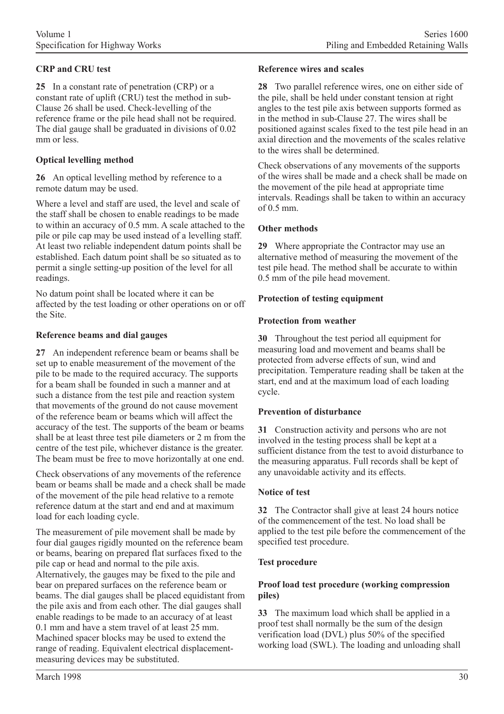# **CRP and CRU test**

**25** In a constant rate of penetration (CRP) or a constant rate of uplift (CRU) test the method in sub-Clause 26 shall be used. Check-levelling of the reference frame or the pile head shall not be required. The dial gauge shall be graduated in divisions of 0.02 mm or less.

### **Optical levelling method**

**26** An optical levelling method by reference to a remote datum may be used.

Where a level and staff are used, the level and scale of the staff shall be chosen to enable readings to be made to within an accuracy of 0.5 mm. A scale attached to the pile or pile cap may be used instead of a levelling staff. At least two reliable independent datum points shall be established. Each datum point shall be so situated as to permit a single setting-up position of the level for all readings.

No datum point shall be located where it can be affected by the test loading or other operations on or off the Site.

### **Reference beams and dial gauges**

**27** An independent reference beam or beams shall be set up to enable measurement of the movement of the pile to be made to the required accuracy. The supports for a beam shall be founded in such a manner and at such a distance from the test pile and reaction system that movements of the ground do not cause movement of the reference beam or beams which will affect the accuracy of the test. The supports of the beam or beams shall be at least three test pile diameters or 2 m from the centre of the test pile, whichever distance is the greater. The beam must be free to move horizontally at one end.

Check observations of any movements of the reference beam or beams shall be made and a check shall be made of the movement of the pile head relative to a remote reference datum at the start and end and at maximum load for each loading cycle.

The measurement of pile movement shall be made by four dial gauges rigidly mounted on the reference beam or beams, bearing on prepared flat surfaces fixed to the pile cap or head and normal to the pile axis. Alternatively, the gauges may be fixed to the pile and bear on prepared surfaces on the reference beam or beams. The dial gauges shall be placed equidistant from the pile axis and from each other. The dial gauges shall enable readings to be made to an accuracy of at least 0.1 mm and have a stem travel of at least 25 mm. Machined spacer blocks may be used to extend the range of reading. Equivalent electrical displacementmeasuring devices may be substituted.

#### **Reference wires and scales**

**28** Two parallel reference wires, one on either side of the pile, shall be held under constant tension at right angles to the test pile axis between supports formed as in the method in sub-Clause 27. The wires shall be positioned against scales fixed to the test pile head in an axial direction and the movements of the scales relative to the wires shall be determined.

Check observations of any movements of the supports of the wires shall be made and a check shall be made on the movement of the pile head at appropriate time intervals. Readings shall be taken to within an accuracy  $of 0.5$  mm.

### **Other methods**

**29** Where appropriate the Contractor may use an alternative method of measuring the movement of the test pile head. The method shall be accurate to within 0.5 mm of the pile head movement.

### **Protection of testing equipment**

### **Protection from weather**

**30** Throughout the test period all equipment for measuring load and movement and beams shall be protected from adverse effects of sun, wind and precipitation. Temperature reading shall be taken at the start, end and at the maximum load of each loading cycle.

### **Prevention of disturbance**

**31** Construction activity and persons who are not involved in the testing process shall be kept at a sufficient distance from the test to avoid disturbance to the measuring apparatus. Full records shall be kept of any unavoidable activity and its effects.

### **Notice of test**

**32** The Contractor shall give at least 24 hours notice of the commencement of the test. No load shall be applied to the test pile before the commencement of the specified test procedure.

### **Test procedure**

### **Proof load test procedure (working compression piles)**

**33** The maximum load which shall be applied in a proof test shall normally be the sum of the design verification load (DVL) plus 50% of the specified working load (SWL). The loading and unloading shall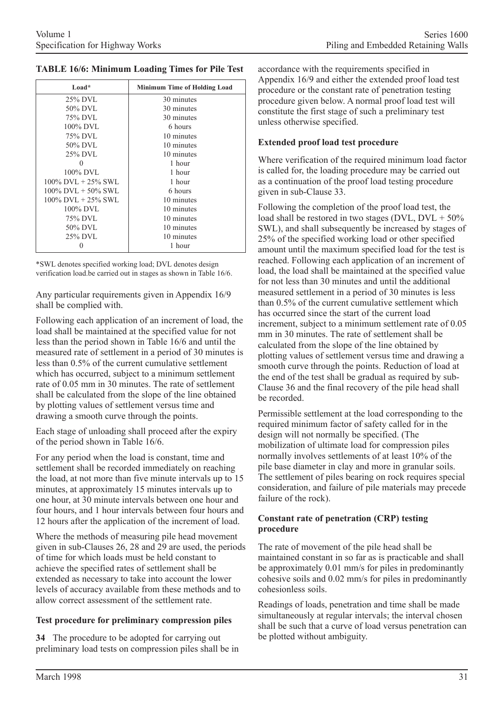**TABLE 16/6: Minimum Loading Times for Pile Test**

| Load*                    | <b>Minimum Time of Holding Load</b> |
|--------------------------|-------------------------------------|
| 25% DVL                  | 30 minutes                          |
| 50% DVL                  | 30 minutes                          |
| 75% DVL                  | 30 minutes                          |
| 100% DVL                 | 6 hours                             |
| 75% DVL                  | 10 minutes                          |
| 50% DVL                  | 10 minutes                          |
| 25% DVL                  | 10 minutes                          |
| 0                        | 1 hour                              |
| 100% DVL                 | 1 hour                              |
| $100\%$ DVL $+ 25\%$ SWL | 1 hour                              |
| $100\%$ DVL + 50% SWL    | 6 hours                             |
| $100\%$ DVL + 25% SWL    | 10 minutes                          |
| $100\%$ DVL              | 10 minutes                          |
| 75% DVL                  | 10 minutes                          |
| 50% DVL                  | 10 minutes                          |
| 25% DVL                  | 10 minutes                          |
|                          | 1 hour                              |

\*SWL denotes specified working load; DVL denotes design verification load.be carried out in stages as shown in Table 16/6.

Any particular requirements given in Appendix 16/9 shall be complied with.

Following each application of an increment of load, the load shall be maintained at the specified value for not less than the period shown in Table 16/6 and until the measured rate of settlement in a period of 30 minutes is less than 0.5% of the current cumulative settlement which has occurred, subject to a minimum settlement rate of 0.05 mm in 30 minutes. The rate of settlement shall be calculated from the slope of the line obtained by plotting values of settlement versus time and drawing a smooth curve through the points.

Each stage of unloading shall proceed after the expiry of the period shown in Table 16/6.

For any period when the load is constant, time and settlement shall be recorded immediately on reaching the load, at not more than five minute intervals up to 15 minutes, at approximately 15 minutes intervals up to one hour, at 30 minute intervals between one hour and four hours, and 1 hour intervals between four hours and 12 hours after the application of the increment of load.

Where the methods of measuring pile head movement given in sub-Clauses 26, 28 and 29 are used, the periods of time for which loads must be held constant to achieve the specified rates of settlement shall be extended as necessary to take into account the lower levels of accuracy available from these methods and to allow correct assessment of the settlement rate.

# **Test procedure for preliminary compression piles**

**34** The procedure to be adopted for carrying out preliminary load tests on compression piles shall be in

accordance with the requirements specified in Appendix 16/9 and either the extended proof load test procedure or the constant rate of penetration testing procedure given below. A normal proof load test will constitute the first stage of such a preliminary test unless otherwise specified.

### **Extended proof load test procedure**

Where verification of the required minimum load factor is called for, the loading procedure may be carried out as a continuation of the proof load testing procedure given in sub-Clause 33.

Following the completion of the proof load test, the load shall be restored in two stages (DVL, DVL + 50% SWL), and shall subsequently be increased by stages of 25% of the specified working load or other specified amount until the maximum specified load for the test is reached. Following each application of an increment of load, the load shall be maintained at the specified value for not less than 30 minutes and until the additional measured settlement in a period of 30 minutes is less than 0.5% of the current cumulative settlement which has occurred since the start of the current load increment, subject to a minimum settlement rate of 0.05 mm in 30 minutes. The rate of settlement shall be calculated from the slope of the line obtained by plotting values of settlement versus time and drawing a smooth curve through the points. Reduction of load at the end of the test shall be gradual as required by sub-Clause 36 and the final recovery of the pile head shall be recorded.

Permissible settlement at the load corresponding to the required minimum factor of safety called for in the design will not normally be specified. (The mobilization of ultimate load for compression piles normally involves settlements of at least 10% of the pile base diameter in clay and more in granular soils. The settlement of piles bearing on rock requires special consideration, and failure of pile materials may precede failure of the rock).

### **Constant rate of penetration (CRP) testing procedure**

The rate of movement of the pile head shall be maintained constant in so far as is practicable and shall be approximately 0.01 mm/s for piles in predominantly cohesive soils and 0.02 mm/s for piles in predominantly cohesionless soils.

Readings of loads, penetration and time shall be made simultaneously at regular intervals; the interval chosen shall be such that a curve of load versus penetration can be plotted without ambiguity.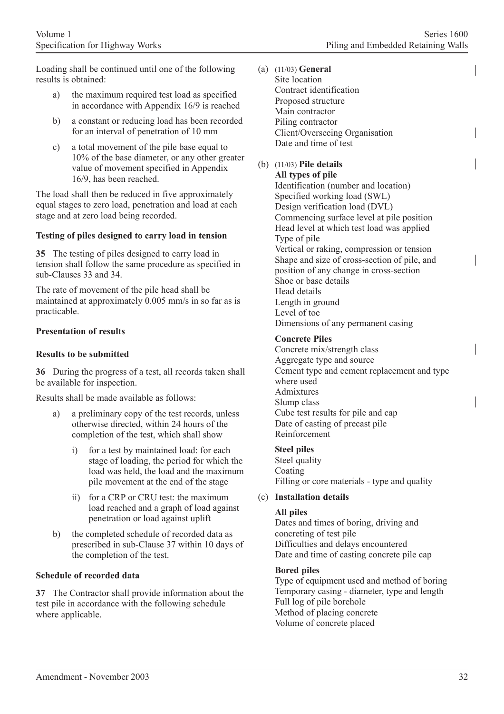Loading shall be continued until one of the following results is obtained:

- a) the maximum required test load as specified in accordance with Appendix 16/9 is reached
- b) a constant or reducing load has been recorded for an interval of penetration of 10 mm
- c) a total movement of the pile base equal to 10% of the base diameter, or any other greater value of movement specified in Appendix 16/9, has been reached.

The load shall then be reduced in five approximately equal stages to zero load, penetration and load at each stage and at zero load being recorded.

### **Testing of piles designed to carry load in tension**

**35** The testing of piles designed to carry load in tension shall follow the same procedure as specified in sub-Clauses 33 and 34.

The rate of movement of the pile head shall be maintained at approximately 0.005 mm/s in so far as is practicable.

### **Presentation of results**

### **Results to be submitted**

**36** During the progress of a test, all records taken shall be available for inspection.

Results shall be made available as follows:

- a) a preliminary copy of the test records, unless otherwise directed, within 24 hours of the completion of the test, which shall show
	- i) for a test by maintained load: for each stage of loading, the period for which the load was held, the load and the maximum pile movement at the end of the stage
	- ii) for a CRP or CRU test: the maximum load reached and a graph of load against penetration or load against uplift
- b) the completed schedule of recorded data as prescribed in sub-Clause 37 within 10 days of the completion of the test.

#### **Schedule of recorded data**

**37** The Contractor shall provide information about the test pile in accordance with the following schedule where applicable.

(a) (11/03) **General** Site location Contract identification Proposed structure Main contractor Piling contractor Client/Overseeing Organisation Date and time of test

#### (b) (11/03) **Pile details All types of pile**

Identification (number and location) Specified working load (SWL) Design verification load (DVL) Commencing surface level at pile position Head level at which test load was applied Type of pile Vertical or raking, compression or tension Shape and size of cross-section of pile, and position of any change in cross-section Shoe or base details Head details Length in ground Level of toe Dimensions of any permanent casing

### **Concrete Piles**

Concrete mix/strength class Aggregate type and source Cement type and cement replacement and type where used Admixtures Slump class Cube test results for pile and cap Date of casting of precast pile Reinforcement

### **Steel piles**

Steel quality Coating Filling or core materials - type and quality

### (c) **Installation details**

### **All piles**

Dates and times of boring, driving and concreting of test pile Difficulties and delays encountered Date and time of casting concrete pile cap

### **Bored piles**

Type of equipment used and method of boring Temporary casing - diameter, type and length Full log of pile borehole Method of placing concrete Volume of concrete placed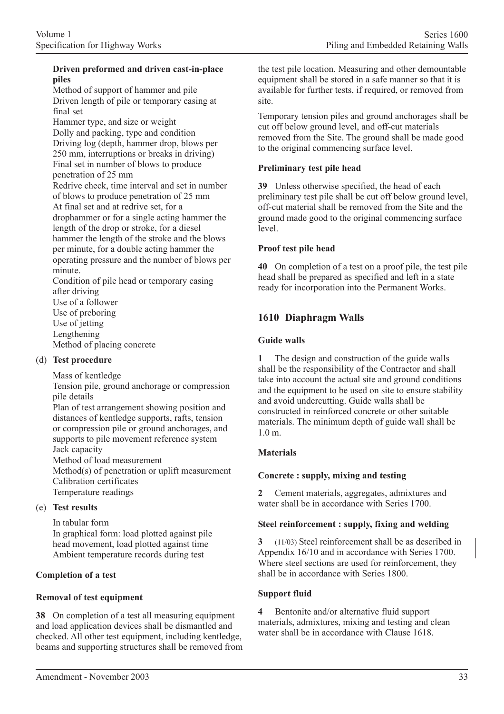### **Driven preformed and driven cast-in-place piles**

Method of support of hammer and pile Driven length of pile or temporary casing at final set

Hammer type, and size or weight Dolly and packing, type and condition Driving log (depth, hammer drop, blows per 250 mm, interruptions or breaks in driving) Final set in number of blows to produce penetration of 25 mm

Redrive check, time interval and set in number of blows to produce penetration of 25 mm At final set and at redrive set, for a drophammer or for a single acting hammer the length of the drop or stroke, for a diesel hammer the length of the stroke and the blows per minute, for a double acting hammer the operating pressure and the number of blows per minute.

Condition of pile head or temporary casing after driving Use of a follower Use of preboring Use of jetting Lengthening Method of placing concrete

### (d) **Test procedure**

Mass of kentledge

Tension pile, ground anchorage or compression pile details

Plan of test arrangement showing position and distances of kentledge supports, rafts, tension or compression pile or ground anchorages, and supports to pile movement reference system Jack capacity Method of load measurement Method(s) of penetration or uplift measurement Calibration certificates

Temperature readings

### (e) **Test results**

In tabular form In graphical form: load plotted against pile head movement, load plotted against time Ambient temperature records during test

# **Completion of a test**

# **Removal of test equipment**

**38** On completion of a test all measuring equipment and load application devices shall be dismantled and checked. All other test equipment, including kentledge, beams and supporting structures shall be removed from the test pile location. Measuring and other demountable equipment shall be stored in a safe manner so that it is available for further tests, if required, or removed from site.

Temporary tension piles and ground anchorages shall be cut off below ground level, and off-cut materials removed from the Site. The ground shall be made good to the original commencing surface level.

### **Preliminary test pile head**

**39** Unless otherwise specified, the head of each preliminary test pile shall be cut off below ground level, off-cut material shall be removed from the Site and the ground made good to the original commencing surface level.

### **Proof test pile head**

**40** On completion of a test on a proof pile, the test pile head shall be prepared as specified and left in a state ready for incorporation into the Permanent Works.

# **1610 Diaphragm Walls**

### **Guide walls**

**1** The design and construction of the guide walls shall be the responsibility of the Contractor and shall take into account the actual site and ground conditions and the equipment to be used on site to ensure stability and avoid undercutting. Guide walls shall be constructed in reinforced concrete or other suitable materials. The minimum depth of guide wall shall be 1.0 m.

# **Materials**

# **Concrete : supply, mixing and testing**

**2** Cement materials, aggregates, admixtures and water shall be in accordance with Series 1700.

### **Steel reinforcement : supply, fixing and welding**

**3** (11/03) Steel reinforcement shall be as described in Appendix 16/10 and in accordance with Series 1700. Where steel sections are used for reinforcement, they shall be in accordance with Series 1800.

# **Support fluid**

**4** Bentonite and/or alternative fluid support materials, admixtures, mixing and testing and clean water shall be in accordance with Clause 1618.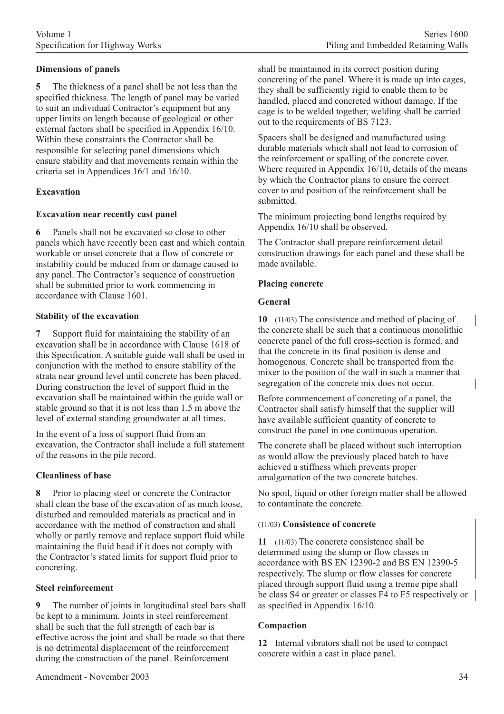### **Dimensions of panels**

**5** The thickness of a panel shall be not less than the specified thickness. The length of panel may be varied to suit an individual Contractor's equipment but any upper limits on length because of geological or other external factors shall be specified in Appendix 16/10. Within these constraints the Contractor shall be responsible for selecting panel dimensions which ensure stability and that movements remain within the criteria set in Appendices 16/1 and 16/10.

### **Excavation**

### **Excavation near recently cast panel**

**6** Panels shall not be excavated so close to other panels which have recently been cast and which contain workable or unset concrete that a flow of concrete or instability could be induced from or damage caused to any panel. The Contractor's sequence of construction shall be submitted prior to work commencing in accordance with Clause 1601.

### **Stability of the excavation**

**7** Support fluid for maintaining the stability of an excavation shall be in accordance with Clause 1618 of this Specification. A suitable guide wall shall be used in conjunction with the method to ensure stability of the strata near ground level until concrete has been placed. During construction the level of support fluid in the excavation shall be maintained within the guide wall or stable ground so that it is not less than 1.5 m above the level of external standing groundwater at all times.

In the event of a loss of support fluid from an excavation, the Contractor shall include a full statement of the reasons in the pile record.

### **Cleanliness of base**

**8** Prior to placing steel or concrete the Contractor shall clean the base of the excavation of as much loose, disturbed and remoulded materials as practical and in accordance with the method of construction and shall wholly or partly remove and replace support fluid while maintaining the fluid head if it does not comply with the Contractor's stated limits for support fluid prior to concreting.

### **Steel reinforcement**

**9** The number of joints in longitudinal steel bars shall be kept to a minimum. Joints in steel reinforcement shall be such that the full strength of each bar is effective across the joint and shall be made so that there is no detrimental displacement of the reinforcement during the construction of the panel. Reinforcement

shall be maintained in its correct position during concreting of the panel. Where it is made up into cages, they shall be sufficiently rigid to enable them to be handled, placed and concreted without damage. If the cage is to be welded together, welding shall be carried out to the requirements of BS 7123.

Spacers shall be designed and manufactured using durable materials which shall not lead to corrosion of the reinforcement or spalling of the concrete cover. Where required in Appendix 16/10, details of the means by which the Contractor plans to ensure the correct cover to and position of the reinforcement shall be submitted.

The minimum projecting bond lengths required by Appendix 16/10 shall be observed.

The Contractor shall prepare reinforcement detail construction drawings for each panel and these shall be made available.

### **Placing concrete**

### **General**

**10** (11/03) The consistence and method of placing of the concrete shall be such that a continuous monolithic concrete panel of the full cross-section is formed, and that the concrete in its final position is dense and homogenous. Concrete shall be transported from the mixer to the position of the wall in such a manner that segregation of the concrete mix does not occur.

Before commencement of concreting of a panel, the Contractor shall satisfy himself that the supplier will have available sufficient quantity of concrete to construct the panel in one continuous operation.

The concrete shall be placed without such interruption as would allow the previously placed batch to have achieved a stiffness which prevents proper amalgamation of the two concrete batches.

No spoil, liquid or other foreign matter shall be allowed to contaminate the concrete.

### (11/03) **Consistence of concrete**

**11** (11/03) The concrete consistence shall be determined using the slump or flow classes in accordance with BS EN 12390-2 and BS EN 12390-5 respectively. The slump or flow classes for concrete placed through support fluid using a tremie pipe shall be class S4 or greater or classes F4 to F5 respectively or as specified in Appendix 16/10.

### **Compaction**

**12** Internal vibrators shall not be used to compact concrete within a cast in place panel.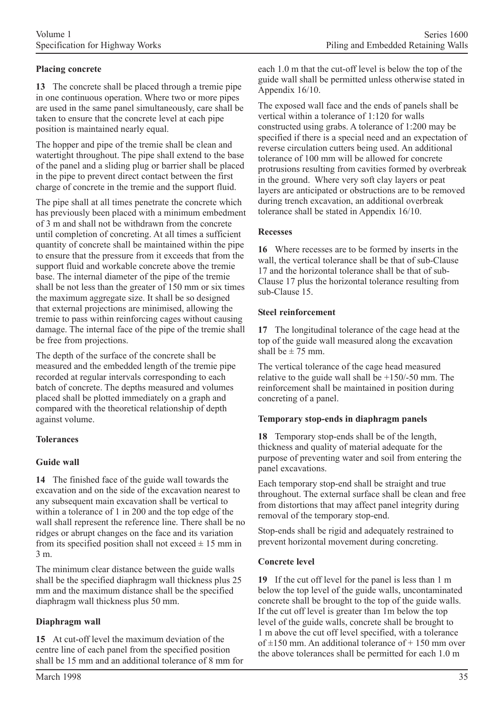# **Placing concrete**

**13** The concrete shall be placed through a tremie pipe in one continuous operation. Where two or more pipes are used in the same panel simultaneously, care shall be taken to ensure that the concrete level at each pipe position is maintained nearly equal.

The hopper and pipe of the tremie shall be clean and watertight throughout. The pipe shall extend to the base of the panel and a sliding plug or barrier shall be placed in the pipe to prevent direct contact between the first charge of concrete in the tremie and the support fluid.

The pipe shall at all times penetrate the concrete which has previously been placed with a minimum embedment of 3 m and shall not be withdrawn from the concrete until completion of concreting. At all times a sufficient quantity of concrete shall be maintained within the pipe to ensure that the pressure from it exceeds that from the support fluid and workable concrete above the tremie base. The internal diameter of the pipe of the tremie shall be not less than the greater of 150 mm or six times the maximum aggregate size. It shall be so designed that external projections are minimised, allowing the tremie to pass within reinforcing cages without causing damage. The internal face of the pipe of the tremie shall be free from projections.

The depth of the surface of the concrete shall be measured and the embedded length of the tremie pipe recorded at regular intervals corresponding to each batch of concrete. The depths measured and volumes placed shall be plotted immediately on a graph and compared with the theoretical relationship of depth against volume.

### **Tolerances**

# **Guide wall**

**14** The finished face of the guide wall towards the excavation and on the side of the excavation nearest to any subsequent main excavation shall be vertical to within a tolerance of 1 in 200 and the top edge of the wall shall represent the reference line. There shall be no ridges or abrupt changes on the face and its variation from its specified position shall not exceed  $\pm$  15 mm in 3 m.

The minimum clear distance between the guide walls shall be the specified diaphragm wall thickness plus 25 mm and the maximum distance shall be the specified diaphragm wall thickness plus 50 mm.

# **Diaphragm wall**

**15** At cut-off level the maximum deviation of the centre line of each panel from the specified position shall be 15 mm and an additional tolerance of 8 mm for each 1.0 m that the cut-off level is below the top of the guide wall shall be permitted unless otherwise stated in Appendix 16/10.

The exposed wall face and the ends of panels shall be vertical within a tolerance of 1:120 for walls constructed using grabs. A tolerance of 1:200 may be specified if there is a special need and an expectation of reverse circulation cutters being used. An additional tolerance of 100 mm will be allowed for concrete protrusions resulting from cavities formed by overbreak in the ground. Where very soft clay layers or peat layers are anticipated or obstructions are to be removed during trench excavation, an additional overbreak tolerance shall be stated in Appendix 16/10.

### **Recesses**

**16** Where recesses are to be formed by inserts in the wall, the vertical tolerance shall be that of sub-Clause 17 and the horizontal tolerance shall be that of sub-Clause 17 plus the horizontal tolerance resulting from sub-Clause 15.

#### **Steel reinforcement**

**17** The longitudinal tolerance of the cage head at the top of the guide wall measured along the excavation shall be  $\pm$  75 mm.

The vertical tolerance of the cage head measured relative to the guide wall shall be +150/-50 mm. The reinforcement shall be maintained in position during concreting of a panel.

### **Temporary stop-ends in diaphragm panels**

**18** Temporary stop-ends shall be of the length, thickness and quality of material adequate for the purpose of preventing water and soil from entering the panel excavations.

Each temporary stop-end shall be straight and true throughout. The external surface shall be clean and free from distortions that may affect panel integrity during removal of the temporary stop-end.

Stop-ends shall be rigid and adequately restrained to prevent horizontal movement during concreting.

### **Concrete level**

**19** If the cut off level for the panel is less than 1 m below the top level of the guide walls, uncontaminated concrete shall be brought to the top of the guide walls. If the cut off level is greater than 1m below the top level of the guide walls, concrete shall be brought to 1 m above the cut off level specified, with a tolerance of  $\pm$ 150 mm. An additional tolerance of  $+$  150 mm over the above tolerances shall be permitted for each 1.0 m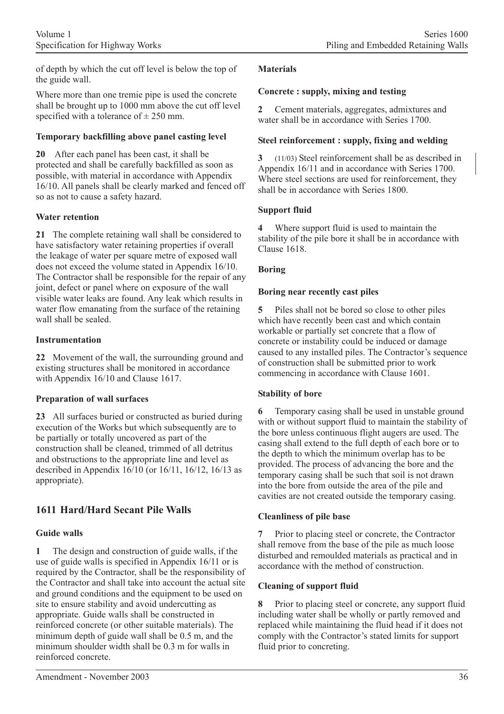of depth by which the cut off level is below the top of the guide wall.

Where more than one tremie pipe is used the concrete shall be brought up to 1000 mm above the cut off level specified with a tolerance of  $\pm$  250 mm.

### **Temporary backfilling above panel casting level**

**20** After each panel has been cast, it shall be protected and shall be carefully backfilled as soon as possible, with material in accordance with Appendix 16/10. All panels shall be clearly marked and fenced off so as not to cause a safety hazard.

### **Water retention**

**21** The complete retaining wall shall be considered to have satisfactory water retaining properties if overall the leakage of water per square metre of exposed wall does not exceed the volume stated in Appendix 16/10. The Contractor shall be responsible for the repair of any joint, defect or panel where on exposure of the wall visible water leaks are found. Any leak which results in water flow emanating from the surface of the retaining wall shall be sealed.

### **Instrumentation**

**22** Movement of the wall, the surrounding ground and existing structures shall be monitored in accordance with Appendix 16/10 and Clause 1617.

# **Preparation of wall surfaces**

**23** All surfaces buried or constructed as buried during execution of the Works but which subsequently are to be partially or totally uncovered as part of the construction shall be cleaned, trimmed of all detritus and obstructions to the appropriate line and level as described in Appendix 16/10 (or 16/11, 16/12, 16/13 as appropriate).

# **1611 Hard/Hard Secant Pile Walls**

# **Guide walls**

**1** The design and construction of guide walls, if the use of guide walls is specified in Appendix 16/11 or is required by the Contractor, shall be the responsibility of the Contractor and shall take into account the actual site and ground conditions and the equipment to be used on site to ensure stability and avoid undercutting as appropriate. Guide walls shall be constructed in reinforced concrete (or other suitable materials). The minimum depth of guide wall shall be 0.5 m, and the minimum shoulder width shall be 0.3 m for walls in reinforced concrete.

### **Materials**

### **Concrete : supply, mixing and testing**

**2** Cement materials, aggregates, admixtures and water shall be in accordance with Series 1700.

### **Steel reinforcement : supply, fixing and welding**

**3** (11/03) Steel reinforcement shall be as described in Appendix 16/11 and in accordance with Series 1700. Where steel sections are used for reinforcement, they shall be in accordance with Series 1800.

### **Support fluid**

**4** Where support fluid is used to maintain the stability of the pile bore it shall be in accordance with Clause 1618.

### **Boring**

### **Boring near recently cast piles**

**5** Piles shall not be bored so close to other piles which have recently been cast and which contain workable or partially set concrete that a flow of concrete or instability could be induced or damage caused to any installed piles. The Contractor's sequence of construction shall be submitted prior to work commencing in accordance with Clause 1601.

### **Stability of bore**

Temporary casing shall be used in unstable ground with or without support fluid to maintain the stability of the bore unless continuous flight augers are used. The casing shall extend to the full depth of each bore or to the depth to which the minimum overlap has to be provided. The process of advancing the bore and the temporary casing shall be such that soil is not drawn into the bore from outside the area of the pile and cavities are not created outside the temporary casing.

### **Cleanliness of pile base**

**7** Prior to placing steel or concrete, the Contractor shall remove from the base of the pile as much loose disturbed and remoulded materials as practical and in accordance with the method of construction.

# **Cleaning of support fluid**

**8** Prior to placing steel or concrete, any support fluid including water shall be wholly or partly removed and replaced while maintaining the fluid head if it does not comply with the Contractor's stated limits for support fluid prior to concreting.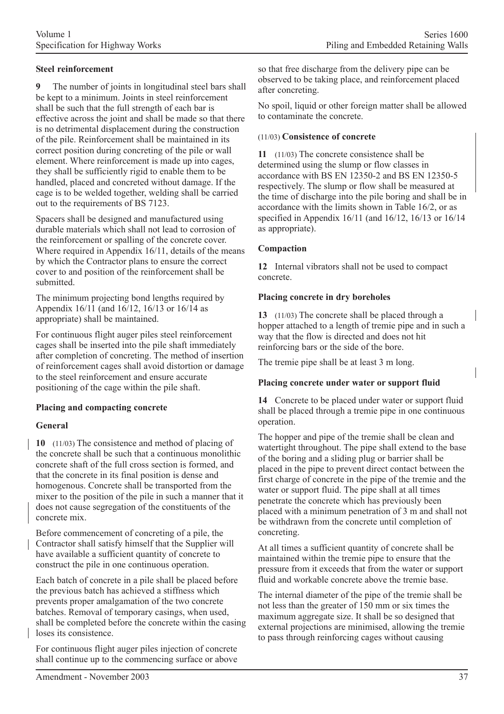### **Steel reinforcement**

**9** The number of joints in longitudinal steel bars shall be kept to a minimum. Joints in steel reinforcement shall be such that the full strength of each bar is effective across the joint and shall be made so that there is no detrimental displacement during the construction of the pile. Reinforcement shall be maintained in its correct position during concreting of the pile or wall element. Where reinforcement is made up into cages, they shall be sufficiently rigid to enable them to be handled, placed and concreted without damage. If the cage is to be welded together, welding shall be carried out to the requirements of BS 7123.

Spacers shall be designed and manufactured using durable materials which shall not lead to corrosion of the reinforcement or spalling of the concrete cover. Where required in Appendix 16/11, details of the means by which the Contractor plans to ensure the correct cover to and position of the reinforcement shall be submitted.

The minimum projecting bond lengths required by Appendix 16/11 (and 16/12, 16/13 or 16/14 as appropriate) shall be maintained.

For continuous flight auger piles steel reinforcement cages shall be inserted into the pile shaft immediately after completion of concreting. The method of insertion of reinforcement cages shall avoid distortion or damage to the steel reinforcement and ensure accurate positioning of the cage within the pile shaft.

### **Placing and compacting concrete**

### **General**

**10** (11/03) The consistence and method of placing of the concrete shall be such that a continuous monolithic concrete shaft of the full cross section is formed, and that the concrete in its final position is dense and homogenous. Concrete shall be transported from the mixer to the position of the pile in such a manner that it does not cause segregation of the constituents of the concrete mix.

Before commencement of concreting of a pile, the Contractor shall satisfy himself that the Supplier will have available a sufficient quantity of concrete to construct the pile in one continuous operation.

Each batch of concrete in a pile shall be placed before the previous batch has achieved a stiffness which prevents proper amalgamation of the two concrete batches. Removal of temporary casings, when used, shall be completed before the concrete within the casing loses its consistence.

For continuous flight auger piles injection of concrete shall continue up to the commencing surface or above so that free discharge from the delivery pipe can be observed to be taking place, and reinforcement placed after concreting.

No spoil, liquid or other foreign matter shall be allowed to contaminate the concrete.

### (11/03) **Consistence of concrete**

**11** (11/03) The concrete consistence shall be determined using the slump or flow classes in accordance with BS EN 12350-2 and BS EN 12350-5 respectively. The slump or flow shall be measured at the time of discharge into the pile boring and shall be in accordance with the limits shown in Table 16/2, or as specified in Appendix 16/11 (and 16/12, 16/13 or 16/14 as appropriate).

### **Compaction**

**12** Internal vibrators shall not be used to compact concrete.

#### **Placing concrete in dry boreholes**

**13** (11/03) The concrete shall be placed through a hopper attached to a length of tremie pipe and in such a way that the flow is directed and does not hit reinforcing bars or the side of the bore.

The tremie pipe shall be at least 3 m long.

### **Placing concrete under water or support fluid**

**14** Concrete to be placed under water or support fluid shall be placed through a tremie pipe in one continuous operation.

The hopper and pipe of the tremie shall be clean and watertight throughout. The pipe shall extend to the base of the boring and a sliding plug or barrier shall be placed in the pipe to prevent direct contact between the first charge of concrete in the pipe of the tremie and the water or support fluid. The pipe shall at all times penetrate the concrete which has previously been placed with a minimum penetration of 3 m and shall not be withdrawn from the concrete until completion of concreting.

At all times a sufficient quantity of concrete shall be maintained within the tremie pipe to ensure that the pressure from it exceeds that from the water or support fluid and workable concrete above the tremie base.

The internal diameter of the pipe of the tremie shall be not less than the greater of 150 mm or six times the maximum aggregate size. It shall be so designed that external projections are minimised, allowing the tremie to pass through reinforcing cages without causing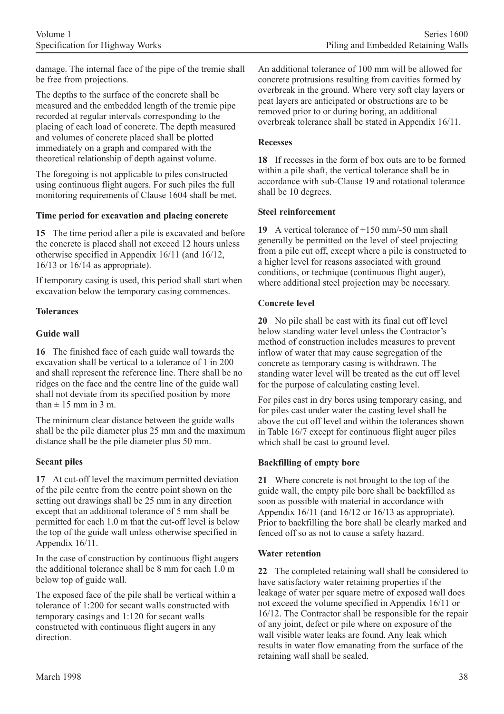damage. The internal face of the pipe of the tremie shall be free from projections.

The depths to the surface of the concrete shall be measured and the embedded length of the tremie pipe recorded at regular intervals corresponding to the placing of each load of concrete. The depth measured and volumes of concrete placed shall be plotted immediately on a graph and compared with the theoretical relationship of depth against volume.

The foregoing is not applicable to piles constructed using continuous flight augers. For such piles the full monitoring requirements of Clause 1604 shall be met.

### **Time period for excavation and placing concrete**

**15** The time period after a pile is excavated and before the concrete is placed shall not exceed 12 hours unless otherwise specified in Appendix 16/11 (and 16/12, 16/13 or 16/14 as appropriate).

If temporary casing is used, this period shall start when excavation below the temporary casing commences.

# **Tolerances**

### **Guide wall**

**16** The finished face of each guide wall towards the excavation shall be vertical to a tolerance of 1 in 200 and shall represent the reference line. There shall be no ridges on the face and the centre line of the guide wall shall not deviate from its specified position by more than  $\pm$  15 mm in 3 m.

The minimum clear distance between the guide walls shall be the pile diameter plus 25 mm and the maximum distance shall be the pile diameter plus 50 mm.

### **Secant piles**

**17** At cut-off level the maximum permitted deviation of the pile centre from the centre point shown on the setting out drawings shall be 25 mm in any direction except that an additional tolerance of 5 mm shall be permitted for each 1.0 m that the cut-off level is below the top of the guide wall unless otherwise specified in Appendix 16/11.

In the case of construction by continuous flight augers the additional tolerance shall be 8 mm for each 1.0 m below top of guide wall.

The exposed face of the pile shall be vertical within a tolerance of 1:200 for secant walls constructed with temporary casings and 1:120 for secant walls constructed with continuous flight augers in any direction.

An additional tolerance of 100 mm will be allowed for concrete protrusions resulting from cavities formed by overbreak in the ground. Where very soft clay layers or peat layers are anticipated or obstructions are to be removed prior to or during boring, an additional overbreak tolerance shall be stated in Appendix 16/11.

### **Recesses**

**18** If recesses in the form of box outs are to be formed within a pile shaft, the vertical tolerance shall be in accordance with sub-Clause 19 and rotational tolerance shall be 10 degrees.

### **Steel reinforcement**

**19** A vertical tolerance of +150 mm/-50 mm shall generally be permitted on the level of steel projecting from a pile cut off, except where a pile is constructed to a higher level for reasons associated with ground conditions, or technique (continuous flight auger), where additional steel projection may be necessary.

### **Concrete level**

**20** No pile shall be cast with its final cut off level below standing water level unless the Contractor's method of construction includes measures to prevent inflow of water that may cause segregation of the concrete as temporary casing is withdrawn. The standing water level will be treated as the cut off level for the purpose of calculating casting level.

For piles cast in dry bores using temporary casing, and for piles cast under water the casting level shall be above the cut off level and within the tolerances shown in Table 16/7 except for continuous flight auger piles which shall be cast to ground level.

### **Backfilling of empty bore**

**21** Where concrete is not brought to the top of the guide wall, the empty pile bore shall be backfilled as soon as possible with material in accordance with Appendix 16/11 (and 16/12 or 16/13 as appropriate). Prior to backfilling the bore shall be clearly marked and fenced off so as not to cause a safety hazard.

### **Water retention**

**22** The completed retaining wall shall be considered to have satisfactory water retaining properties if the leakage of water per square metre of exposed wall does not exceed the volume specified in Appendix 16/11 or 16/12. The Contractor shall be responsible for the repair of any joint, defect or pile where on exposure of the wall visible water leaks are found. Any leak which results in water flow emanating from the surface of the retaining wall shall be sealed.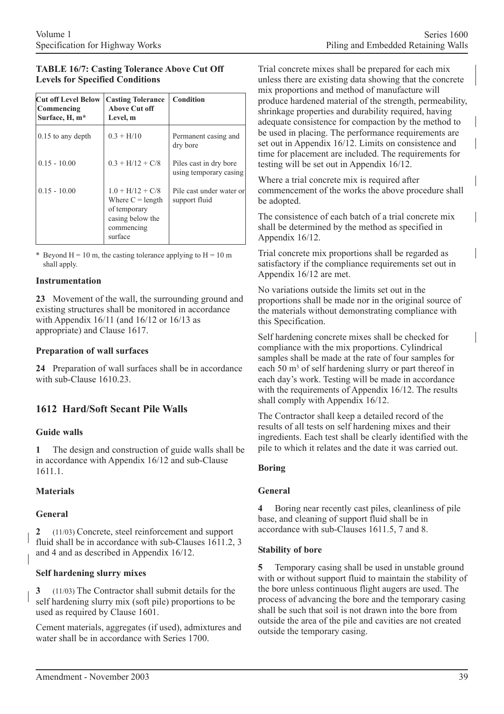### **TABLE 16/7: Casting Tolerance Above Cut Off Levels for Specified Conditions**

| <b>Cut off Level Below</b><br>Commencing<br>Surface, H, m* | <b>Casting Tolerance</b><br>Above Cut off<br>Level, m                                                 | <b>Condition</b>                                 |  |  |
|------------------------------------------------------------|-------------------------------------------------------------------------------------------------------|--------------------------------------------------|--|--|
| $0.15$ to any depth                                        | $0.3 + H/10$                                                                                          | Permanent casing and<br>dry bore                 |  |  |
| $0.15 - 10.00$                                             | $0.3 + H/12 + C/8$                                                                                    | Piles cast in dry bore<br>using temporary casing |  |  |
| $0.15 - 10.00$                                             | $1.0 + H/12 + C/8$<br>Where $C =$ length<br>of temporary<br>casing below the<br>commencing<br>surface | Pile cast under water or<br>support fluid        |  |  |

\* Beyond H = 10 m, the casting tolerance applying to H = 10 m shall apply.

### **Instrumentation**

**23** Movement of the wall, the surrounding ground and existing structures shall be monitored in accordance with Appendix 16/11 (and 16/12 or 16/13 as appropriate) and Clause 1617.

### **Preparation of wall surfaces**

**24** Preparation of wall surfaces shall be in accordance with sub-Clause 1610.23.

# **1612 Hard/Soft Secant Pile Walls**

### **Guide walls**

**1** The design and construction of guide walls shall be in accordance with Appendix 16/12 and sub-Clause 1611.1.

### **Materials**

### **General**

**2** (11/03) Concrete, steel reinforcement and support fluid shall be in accordance with sub-Clauses 1611.2, 3 and 4 and as described in Appendix 16/12.

### **Self hardening slurry mixes**

**3** (11/03) The Contractor shall submit details for the self hardening slurry mix (soft pile) proportions to be used as required by Clause 1601.

Cement materials, aggregates (if used), admixtures and water shall be in accordance with Series 1700.

Trial concrete mixes shall be prepared for each mix unless there are existing data showing that the concrete mix proportions and method of manufacture will produce hardened material of the strength, permeability, shrinkage properties and durability required, having adequate consistence for compaction by the method to be used in placing. The performance requirements are set out in Appendix 16/12. Limits on consistence and time for placement are included. The requirements for testing will be set out in Appendix 16/12.

Where a trial concrete mix is required after commencement of the works the above procedure shall be adopted.

The consistence of each batch of a trial concrete mix shall be determined by the method as specified in Appendix 16/12.

Trial concrete mix proportions shall be regarded as satisfactory if the compliance requirements set out in Appendix 16/12 are met.

No variations outside the limits set out in the proportions shall be made nor in the original source of the materials without demonstrating compliance with this Specification.

Self hardening concrete mixes shall be checked for compliance with the mix proportions. Cylindrical samples shall be made at the rate of four samples for each 50 m<sup>3</sup> of self hardening slurry or part thereof in each day's work. Testing will be made in accordance with the requirements of Appendix 16/12. The results shall comply with Appendix 16/12.

The Contractor shall keep a detailed record of the results of all tests on self hardening mixes and their ingredients. Each test shall be clearly identified with the pile to which it relates and the date it was carried out.

### **Boring**

### **General**

**4** Boring near recently cast piles, cleanliness of pile base, and cleaning of support fluid shall be in accordance with sub-Clauses 1611.5, 7 and 8.

### **Stability of bore**

**5** Temporary casing shall be used in unstable ground with or without support fluid to maintain the stability of the bore unless continuous flight augers are used. The process of advancing the bore and the temporary casing shall be such that soil is not drawn into the bore from outside the area of the pile and cavities are not created outside the temporary casing.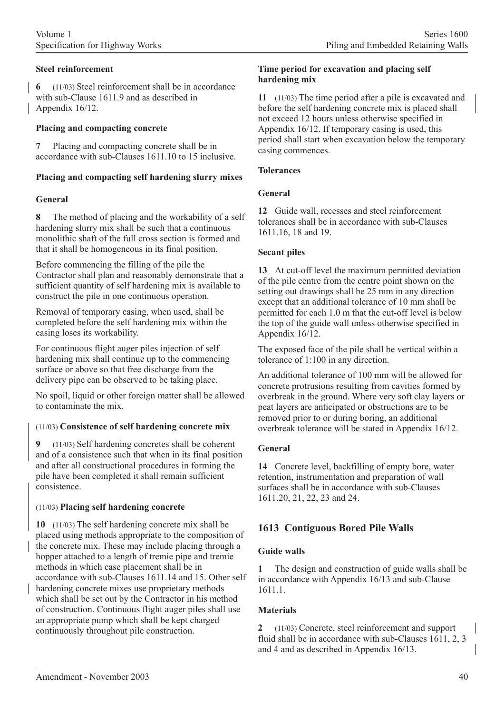**6** (11/03) Steel reinforcement shall be in accordance with sub-Clause 1611.9 and as described in Appendix 16/12.

### **Placing and compacting concrete**

**7** Placing and compacting concrete shall be in accordance with sub-Clauses 1611.10 to 15 inclusive.

### **Placing and compacting self hardening slurry mixes**

### **General**

**8** The method of placing and the workability of a self hardening slurry mix shall be such that a continuous monolithic shaft of the full cross section is formed and that it shall be homogeneous in its final position.

Before commencing the filling of the pile the Contractor shall plan and reasonably demonstrate that a sufficient quantity of self hardening mix is available to construct the pile in one continuous operation.

Removal of temporary casing, when used, shall be completed before the self hardening mix within the casing loses its workability.

For continuous flight auger piles injection of self hardening mix shall continue up to the commencing surface or above so that free discharge from the delivery pipe can be observed to be taking place.

No spoil, liquid or other foreign matter shall be allowed to contaminate the mix.

### (11/03) **Consistence of self hardening concrete mix**

**9** (11/03) Self hardening concretes shall be coherent and of a consistence such that when in its final position and after all constructional procedures in forming the pile have been completed it shall remain sufficient consistence.

### (11/03) **Placing self hardening concrete**

**10** (11/03) The self hardening concrete mix shall be placed using methods appropriate to the composition of the concrete mix. These may include placing through a hopper attached to a length of tremie pipe and tremie methods in which case placement shall be in accordance with sub-Clauses 1611.14 and 15. Other self hardening concrete mixes use proprietary methods which shall be set out by the Contractor in his method of construction. Continuous flight auger piles shall use an appropriate pump which shall be kept charged continuously throughout pile construction.

### **Time period for excavation and placing self hardening mix**

**11** (11/03) The time period after a pile is excavated and before the self hardening concrete mix is placed shall not exceed 12 hours unless otherwise specified in Appendix 16/12. If temporary casing is used, this period shall start when excavation below the temporary casing commences.

### **Tolerances**

### **General**

**12** Guide wall, recesses and steel reinforcement tolerances shall be in accordance with sub-Clauses 1611.16, 18 and 19.

### **Secant piles**

**13** At cut-off level the maximum permitted deviation of the pile centre from the centre point shown on the setting out drawings shall be 25 mm in any direction except that an additional tolerance of 10 mm shall be permitted for each 1.0 m that the cut-off level is below the top of the guide wall unless otherwise specified in Appendix 16/12.

The exposed face of the pile shall be vertical within a tolerance of 1:100 in any direction.

An additional tolerance of 100 mm will be allowed for concrete protrusions resulting from cavities formed by overbreak in the ground. Where very soft clay layers or peat layers are anticipated or obstructions are to be removed prior to or during boring, an additional overbreak tolerance will be stated in Appendix 16/12.

# **General**

**14** Concrete level, backfilling of empty bore, water retention, instrumentation and preparation of wall surfaces shall be in accordance with sub-Clauses 1611.20, 21, 22, 23 and 24.

# **1613 Contiguous Bored Pile Walls**

# **Guide walls**

**1** The design and construction of guide walls shall be in accordance with Appendix 16/13 and sub-Clause 1611.1.

# **Materials**

**2** (11/03) Concrete, steel reinforcement and support fluid shall be in accordance with sub-Clauses 1611, 2, 3 and 4 and as described in Appendix 16/13.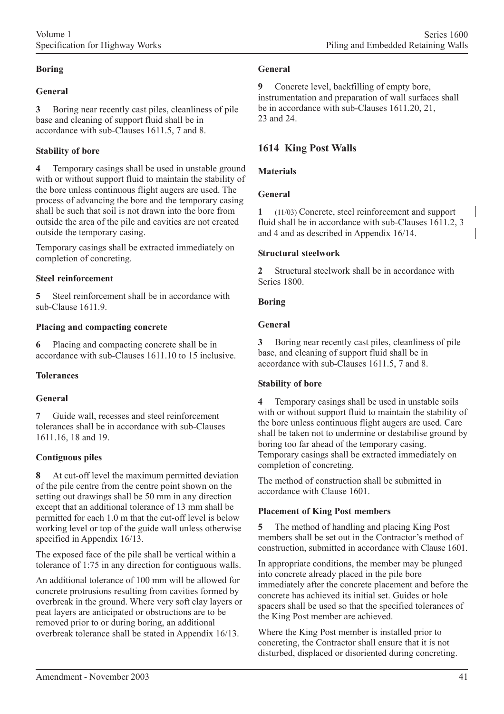### **Boring**

### **General**

**3** Boring near recently cast piles, cleanliness of pile base and cleaning of support fluid shall be in accordance with sub-Clauses 1611.5, 7 and 8.

### **Stability of bore**

**4** Temporary casings shall be used in unstable ground with or without support fluid to maintain the stability of the bore unless continuous flight augers are used. The process of advancing the bore and the temporary casing shall be such that soil is not drawn into the bore from outside the area of the pile and cavities are not created outside the temporary casing.

Temporary casings shall be extracted immediately on completion of concreting.

### **Steel reinforcement**

**5** Steel reinforcement shall be in accordance with sub-Clause 1611.9.

### **Placing and compacting concrete**

**6** Placing and compacting concrete shall be in accordance with sub-Clauses 1611.10 to 15 inclusive.

# **Tolerances**

### **General**

**7** Guide wall, recesses and steel reinforcement tolerances shall be in accordance with sub-Clauses 1611.16, 18 and 19.

### **Contiguous piles**

**8** At cut-off level the maximum permitted deviation of the pile centre from the centre point shown on the setting out drawings shall be 50 mm in any direction except that an additional tolerance of 13 mm shall be permitted for each 1.0 m that the cut-off level is below working level or top of the guide wall unless otherwise specified in Appendix 16/13.

The exposed face of the pile shall be vertical within a tolerance of 1:75 in any direction for contiguous walls.

An additional tolerance of 100 mm will be allowed for concrete protrusions resulting from cavities formed by overbreak in the ground. Where very soft clay layers or peat layers are anticipated or obstructions are to be removed prior to or during boring, an additional overbreak tolerance shall be stated in Appendix 16/13.

### **General**

**9** Concrete level, backfilling of empty bore, instrumentation and preparation of wall surfaces shall be in accordance with sub-Clauses 1611.20, 21, 23 and 24.

# **1614 King Post Walls**

### **Materials**

### **General**

**1** (11/03) Concrete, steel reinforcement and support fluid shall be in accordance with sub-Clauses 1611.2, 3 and 4 and as described in Appendix 16/14.

### **Structural steelwork**

**2** Structural steelwork shall be in accordance with Series 1800.

### **Boring**

### **General**

**3** Boring near recently cast piles, cleanliness of pile base, and cleaning of support fluid shall be in accordance with sub-Clauses 1611.5, 7 and 8.

### **Stability of bore**

**4** Temporary casings shall be used in unstable soils with or without support fluid to maintain the stability of the bore unless continuous flight augers are used. Care shall be taken not to undermine or destabilise ground by boring too far ahead of the temporary casing. Temporary casings shall be extracted immediately on completion of concreting.

The method of construction shall be submitted in accordance with Clause 1601.

# **Placement of King Post members**

**5** The method of handling and placing King Post members shall be set out in the Contractor's method of construction, submitted in accordance with Clause 1601.

In appropriate conditions, the member may be plunged into concrete already placed in the pile bore immediately after the concrete placement and before the concrete has achieved its initial set. Guides or hole spacers shall be used so that the specified tolerances of the King Post member are achieved.

Where the King Post member is installed prior to concreting, the Contractor shall ensure that it is not disturbed, displaced or disoriented during concreting.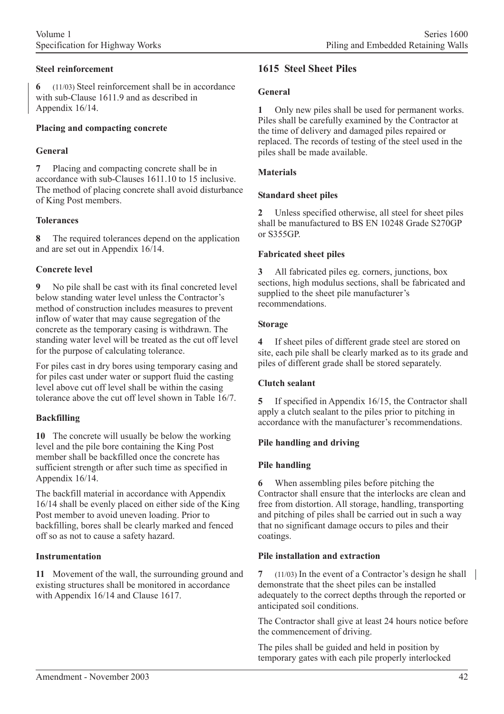### **Steel reinforcement**

**6** (11/03) Steel reinforcement shall be in accordance with sub-Clause 1611.9 and as described in Appendix 16/14.

### **Placing and compacting concrete**

### **General**

**7** Placing and compacting concrete shall be in accordance with sub-Clauses 1611.10 to 15 inclusive. The method of placing concrete shall avoid disturbance of King Post members.

### **Tolerances**

**8** The required tolerances depend on the application and are set out in Appendix 16/14.

### **Concrete level**

**9** No pile shall be cast with its final concreted level below standing water level unless the Contractor's method of construction includes measures to prevent inflow of water that may cause segregation of the concrete as the temporary casing is withdrawn. The standing water level will be treated as the cut off level for the purpose of calculating tolerance.

For piles cast in dry bores using temporary casing and for piles cast under water or support fluid the casting level above cut off level shall be within the casing tolerance above the cut off level shown in Table 16/7.

# **Backfilling**

**10** The concrete will usually be below the working level and the pile bore containing the King Post member shall be backfilled once the concrete has sufficient strength or after such time as specified in Appendix 16/14.

The backfill material in accordance with Appendix 16/14 shall be evenly placed on either side of the King Post member to avoid uneven loading. Prior to backfilling, bores shall be clearly marked and fenced off so as not to cause a safety hazard.

# **Instrumentation**

**11** Movement of the wall, the surrounding ground and existing structures shall be monitored in accordance with Appendix 16/14 and Clause 1617.

# **1615 Steel Sheet Piles**

### **General**

**1** Only new piles shall be used for permanent works. Piles shall be carefully examined by the Contractor at the time of delivery and damaged piles repaired or replaced. The records of testing of the steel used in the piles shall be made available.

### **Materials**

### **Standard sheet piles**

**2** Unless specified otherwise, all steel for sheet piles shall be manufactured to BS EN 10248 Grade S270GP or S355GP.

### **Fabricated sheet piles**

**3** All fabricated piles eg. corners, junctions, box sections, high modulus sections, shall be fabricated and supplied to the sheet pile manufacturer's recommendations.

### **Storage**

**4** If sheet piles of different grade steel are stored on site, each pile shall be clearly marked as to its grade and piles of different grade shall be stored separately.

### **Clutch sealant**

**5** If specified in Appendix 16/15, the Contractor shall apply a clutch sealant to the piles prior to pitching in accordance with the manufacturer's recommendations.

### **Pile handling and driving**

### **Pile handling**

**6** When assembling piles before pitching the Contractor shall ensure that the interlocks are clean and free from distortion. All storage, handling, transporting and pitching of piles shall be carried out in such a way that no significant damage occurs to piles and their coatings.

# **Pile installation and extraction**

**7** (11/03) In the event of a Contractor's design he shall demonstrate that the sheet piles can be installed adequately to the correct depths through the reported or anticipated soil conditions.

The Contractor shall give at least 24 hours notice before the commencement of driving.

The piles shall be guided and held in position by temporary gates with each pile properly interlocked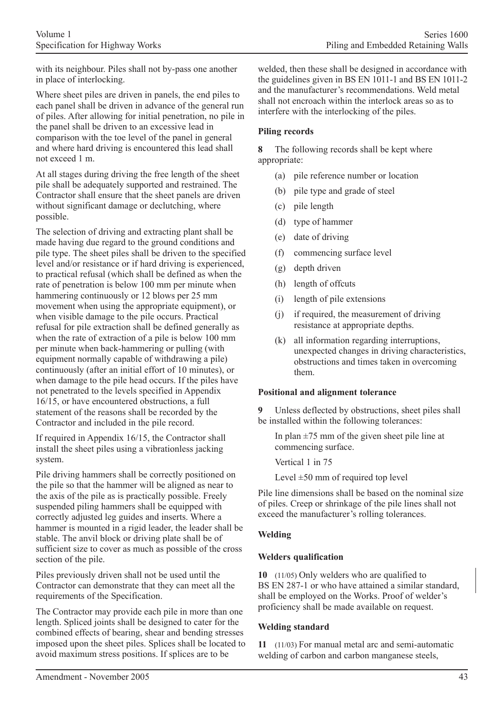with its neighbour. Piles shall not by-pass one another in place of interlocking.

Where sheet piles are driven in panels, the end piles to each panel shall be driven in advance of the general run of piles. After allowing for initial penetration, no pile in the panel shall be driven to an excessive lead in comparison with the toe level of the panel in general and where hard driving is encountered this lead shall not exceed 1 m.

At all stages during driving the free length of the sheet pile shall be adequately supported and restrained. The Contractor shall ensure that the sheet panels are driven without significant damage or declutching, where possible.

The selection of driving and extracting plant shall be made having due regard to the ground conditions and pile type. The sheet piles shall be driven to the specified level and/or resistance or if hard driving is experienced, to practical refusal (which shall be defined as when the rate of penetration is below 100 mm per minute when hammering continuously or 12 blows per 25 mm movement when using the appropriate equipment), or when visible damage to the pile occurs. Practical refusal for pile extraction shall be defined generally as when the rate of extraction of a pile is below 100 mm per minute when back-hammering or pulling (with equipment normally capable of withdrawing a pile) continuously (after an initial effort of 10 minutes), or when damage to the pile head occurs. If the piles have not penetrated to the levels specified in Appendix 16/15, or have encountered obstructions, a full statement of the reasons shall be recorded by the Contractor and included in the pile record.

If required in Appendix 16/15, the Contractor shall install the sheet piles using a vibrationless jacking system.

Pile driving hammers shall be correctly positioned on the pile so that the hammer will be aligned as near to the axis of the pile as is practically possible. Freely suspended piling hammers shall be equipped with correctly adjusted leg guides and inserts. Where a hammer is mounted in a rigid leader, the leader shall be stable. The anvil block or driving plate shall be of sufficient size to cover as much as possible of the cross section of the pile.

Piles previously driven shall not be used until the Contractor can demonstrate that they can meet all the requirements of the Specification.

The Contractor may provide each pile in more than one length. Spliced joints shall be designed to cater for the combined effects of bearing, shear and bending stresses imposed upon the sheet piles. Splices shall be located to avoid maximum stress positions. If splices are to be

welded, then these shall be designed in accordance with the guidelines given in BS EN 1011-1 and BS EN 1011-2 and the manufacturer's recommendations. Weld metal shall not encroach within the interlock areas so as to interfere with the interlocking of the piles.

### **Piling records**

**8** The following records shall be kept where appropriate:

- (a) pile reference number or location
- (b) pile type and grade of steel
- (c) pile length
- (d) type of hammer
- (e) date of driving
- (f) commencing surface level
- (g) depth driven
- (h) length of offcuts
- (i) length of pile extensions
- (j) if required, the measurement of driving resistance at appropriate depths.
- (k) all information regarding interruptions, unexpected changes in driving characteristics, obstructions and times taken in overcoming them.

### **Positional and alignment tolerance**

**9** Unless deflected by obstructions, sheet piles shall be installed within the following tolerances:

In plan  $\pm$ 75 mm of the given sheet pile line at commencing surface.

Vertical 1 in 75

Level  $\pm 50$  mm of required top level

Pile line dimensions shall be based on the nominal size of piles. Creep or shrinkage of the pile lines shall not exceed the manufacturer's rolling tolerances.

# **Welding**

### **Welders qualification**

**10** (11/05) Only welders who are qualified to BS EN 287-1 or who have attained a similar standard, shall be employed on the Works. Proof of welder's proficiency shall be made available on request.

### **Welding standard**

**11** (11/03) For manual metal arc and semi-automatic welding of carbon and carbon manganese steels,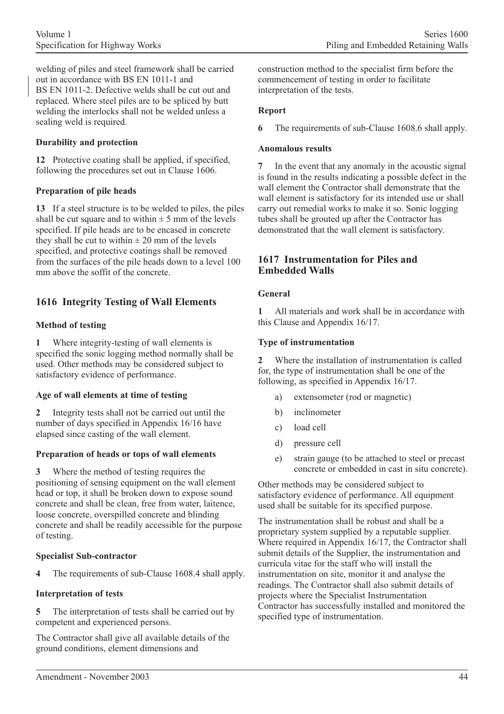welding of piles and steel framework shall be carried out in accordance with BS EN 1011-1 and BS EN 1011-2. Defective welds shall be cut out and replaced. Where steel piles are to be spliced by butt welding the interlocks shall not be welded unless a sealing weld is required.

### **Durability and protection**

**12** Protective coating shall be applied, if specified, following the procedures set out in Clause 1606.

### **Preparation of pile heads**

**13** If a steel structure is to be welded to piles, the piles shall be cut square and to within  $\pm$  5 mm of the levels specified. If pile heads are to be encased in concrete they shall be cut to within  $\pm 20$  mm of the levels specified, and protective coatings shall be removed from the surfaces of the pile heads down to a level 100 mm above the soffit of the concrete.

# **1616 Integrity Testing of Wall Elements**

### **Method of testing**

**1** Where integrity-testing of wall elements is specified the sonic logging method normally shall be used. Other methods may be considered subject to satisfactory evidence of performance.

### **Age of wall elements at time of testing**

**2** Integrity tests shall not be carried out until the number of days specified in Appendix 16/16 have elapsed since casting of the wall element.

### **Preparation of heads or tops of wall elements**

**3** Where the method of testing requires the positioning of sensing equipment on the wall element head or top, it shall be broken down to expose sound concrete and shall be clean, free from water, laitence, loose concrete, overspilled concrete and blinding concrete and shall be readily accessible for the purpose of testing.

### **Specialist Sub-contractor**

**4** The requirements of sub-Clause 1608.4 shall apply.

### **Interpretation of tests**

**5** The interpretation of tests shall be carried out by competent and experienced persons.

The Contractor shall give all available details of the ground conditions, element dimensions and

construction method to the specialist firm before the commencement of testing in order to facilitate interpretation of the tests.

### **Report**

**6** The requirements of sub-Clause 1608.6 shall apply.

#### **Anomalous results**

**7** In the event that any anomaly in the acoustic signal is found in the results indicating a possible defect in the wall element the Contractor shall demonstrate that the wall element is satisfactory for its intended use or shall carry out remedial works to make it so. Sonic logging tubes shall be grouted up after the Contractor has demonstrated that the wall element is satisfactory.

### **1617 Instrumentation for Piles and Embedded Walls**

### **General**

**1** All materials and work shall be in accordance with this Clause and Appendix 16/17.

### **Type of instrumentation**

**2** Where the installation of instrumentation is called for, the type of instrumentation shall be one of the following, as specified in Appendix 16/17.

- a) extensometer (rod or magnetic)
- b) inclinometer
- c) load cell
- d) pressure cell
- e) strain gauge (to be attached to steel or precast concrete or embedded in cast in situ concrete).

Other methods may be considered subject to satisfactory evidence of performance. All equipment used shall be suitable for its specified purpose.

The instrumentation shall be robust and shall be a proprietary system supplied by a reputable supplier. Where required in Appendix 16/17, the Contractor shall submit details of the Supplier, the instrumentation and curricula vitae for the staff who will install the instrumentation on site, monitor it and analyse the readings. The Contractor shall also submit details of projects where the Specialist Instrumentation Contractor has successfully installed and monitored the specified type of instrumentation.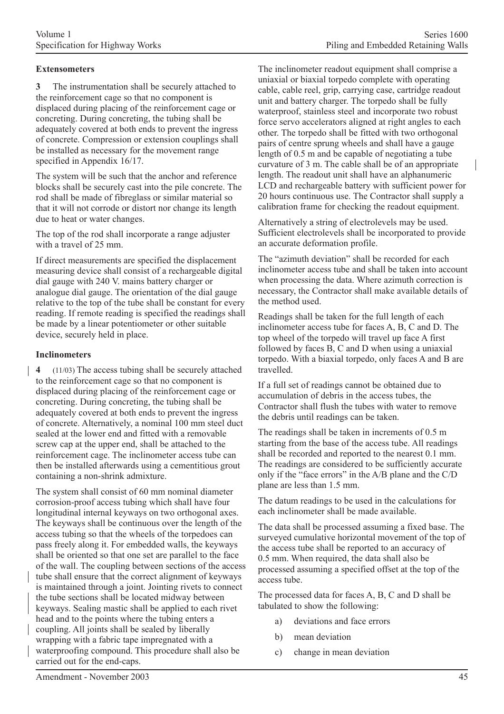### **Extensometers**

**3** The instrumentation shall be securely attached to the reinforcement cage so that no component is displaced during placing of the reinforcement cage or concreting. During concreting, the tubing shall be adequately covered at both ends to prevent the ingress of concrete. Compression or extension couplings shall be installed as necessary for the movement range specified in Appendix 16/17.

The system will be such that the anchor and reference blocks shall be securely cast into the pile concrete. The rod shall be made of fibreglass or similar material so that it will not corrode or distort nor change its length due to heat or water changes.

The top of the rod shall incorporate a range adjuster with a travel of 25 mm.

If direct measurements are specified the displacement measuring device shall consist of a rechargeable digital dial gauge with 240 V. mains battery charger or analogue dial gauge. The orientation of the dial gauge relative to the top of the tube shall be constant for every reading. If remote reading is specified the readings shall be made by a linear potentiometer or other suitable device, securely held in place.

#### **Inclinometers**

**4** (11/03) The access tubing shall be securely attached to the reinforcement cage so that no component is displaced during placing of the reinforcement cage or concreting. During concreting, the tubing shall be adequately covered at both ends to prevent the ingress of concrete. Alternatively, a nominal 100 mm steel duct sealed at the lower end and fitted with a removable screw cap at the upper end, shall be attached to the reinforcement cage. The inclinometer access tube can then be installed afterwards using a cementitious grout containing a non-shrink admixture.

The system shall consist of 60 mm nominal diameter corrosion-proof access tubing which shall have four longitudinal internal keyways on two orthogonal axes. The keyways shall be continuous over the length of the access tubing so that the wheels of the torpedoes can pass freely along it. For embedded walls, the keyways shall be oriented so that one set are parallel to the face of the wall. The coupling between sections of the access tube shall ensure that the correct alignment of keyways is maintained through a joint. Jointing rivets to connect the tube sections shall be located midway between keyways. Sealing mastic shall be applied to each rivet head and to the points where the tubing enters a coupling. All joints shall be sealed by liberally wrapping with a fabric tape impregnated with a waterproofing compound. This procedure shall also be carried out for the end-caps.

The inclinometer readout equipment shall comprise a uniaxial or biaxial torpedo complete with operating cable, cable reel, grip, carrying case, cartridge readout unit and battery charger. The torpedo shall be fully waterproof, stainless steel and incorporate two robust force servo accelerators aligned at right angles to each other. The torpedo shall be fitted with two orthogonal pairs of centre sprung wheels and shall have a gauge length of 0.5 m and be capable of negotiating a tube curvature of 3 m. The cable shall be of an appropriate length. The readout unit shall have an alphanumeric LCD and rechargeable battery with sufficient power for 20 hours continuous use. The Contractor shall supply a calibration frame for checking the readout equipment.

Alternatively a string of electrolevels may be used. Sufficient electrolevels shall be incorporated to provide an accurate deformation profile.

The "azimuth deviation" shall be recorded for each inclinometer access tube and shall be taken into account when processing the data. Where azimuth correction is necessary, the Contractor shall make available details of the method used.

Readings shall be taken for the full length of each inclinometer access tube for faces A, B, C and D. The top wheel of the torpedo will travel up face A first followed by faces B, C and D when using a uniaxial torpedo. With a biaxial torpedo, only faces A and B are travelled.

If a full set of readings cannot be obtained due to accumulation of debris in the access tubes, the Contractor shall flush the tubes with water to remove the debris until readings can be taken.

The readings shall be taken in increments of 0.5 m starting from the base of the access tube. All readings shall be recorded and reported to the nearest 0.1 mm. The readings are considered to be sufficiently accurate only if the "face errors" in the A/B plane and the C/D plane are less than 1.5 mm.

The datum readings to be used in the calculations for each inclinometer shall be made available.

The data shall be processed assuming a fixed base. The surveyed cumulative horizontal movement of the top of the access tube shall be reported to an accuracy of 0.5 mm. When required, the data shall also be processed assuming a specified offset at the top of the access tube.

The processed data for faces A, B, C and D shall be tabulated to show the following:

- a) deviations and face errors
- b) mean deviation
- c) change in mean deviation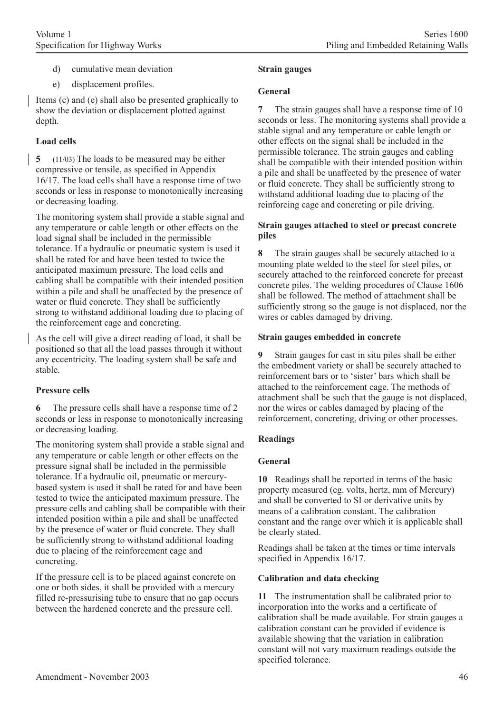- d) cumulative mean deviation
- e) displacement profiles.

Items (c) and (e) shall also be presented graphically to show the deviation or displacement plotted against depth.

# **Load cells**

**5** (11/03) The loads to be measured may be either compressive or tensile, as specified in Appendix 16/17. The load cells shall have a response time of two seconds or less in response to monotonically increasing or decreasing loading.

The monitoring system shall provide a stable signal and any temperature or cable length or other effects on the load signal shall be included in the permissible tolerance. If a hydraulic or pneumatic system is used it shall be rated for and have been tested to twice the anticipated maximum pressure. The load cells and cabling shall be compatible with their intended position within a pile and shall be unaffected by the presence of water or fluid concrete. They shall be sufficiently strong to withstand additional loading due to placing of the reinforcement cage and concreting.

As the cell will give a direct reading of load, it shall be positioned so that all the load passes through it without any eccentricity. The loading system shall be safe and stable.

# **Pressure cells**

**6** The pressure cells shall have a response time of 2 seconds or less in response to monotonically increasing or decreasing loading.

The monitoring system shall provide a stable signal and any temperature or cable length or other effects on the pressure signal shall be included in the permissible tolerance. If a hydraulic oil, pneumatic or mercurybased system is used it shall be rated for and have been tested to twice the anticipated maximum pressure. The pressure cells and cabling shall be compatible with their intended position within a pile and shall be unaffected by the presence of water or fluid concrete. They shall be sufficiently strong to withstand additional loading due to placing of the reinforcement cage and concreting.

If the pressure cell is to be placed against concrete on one or both sides, it shall be provided with a mercury filled re-pressurising tube to ensure that no gap occurs between the hardened concrete and the pressure cell.

### **Strain gauges**

### **General**

**7** The strain gauges shall have a response time of 10 seconds or less. The monitoring systems shall provide a stable signal and any temperature or cable length or other effects on the signal shall be included in the permissible tolerance. The strain gauges and cabling shall be compatible with their intended position within a pile and shall be unaffected by the presence of water or fluid concrete. They shall be sufficiently strong to withstand additional loading due to placing of the reinforcing cage and concreting or pile driving.

#### **Strain gauges attached to steel or precast concrete piles**

**8** The strain gauges shall be securely attached to a mounting plate welded to the steel for steel piles, or securely attached to the reinforced concrete for precast concrete piles. The welding procedures of Clause 1606 shall be followed. The method of attachment shall be sufficiently strong so the gauge is not displaced, nor the wires or cables damaged by driving.

### **Strain gauges embedded in concrete**

**9** Strain gauges for cast in situ piles shall be either the embedment variety or shall be securely attached to reinforcement bars or to 'sister' bars which shall be attached to the reinforcement cage. The methods of attachment shall be such that the gauge is not displaced, nor the wires or cables damaged by placing of the reinforcement, concreting, driving or other processes.

# **Readings**

# **General**

**10** Readings shall be reported in terms of the basic property measured (eg. volts, hertz, mm of Mercury) and shall be converted to SI or derivative units by means of a calibration constant. The calibration constant and the range over which it is applicable shall be clearly stated.

Readings shall be taken at the times or time intervals specified in Appendix 16/17.

### **Calibration and data checking**

**11** The instrumentation shall be calibrated prior to incorporation into the works and a certificate of calibration shall be made available. For strain gauges a calibration constant can be provided if evidence is available showing that the variation in calibration constant will not vary maximum readings outside the specified tolerance.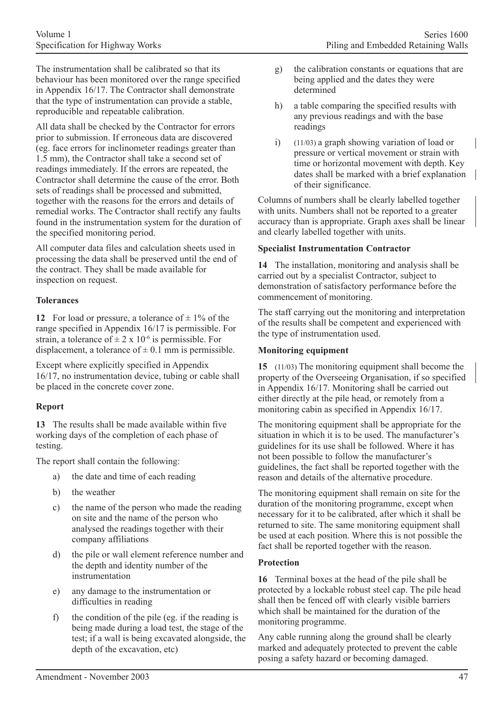The instrumentation shall be calibrated so that its behaviour has been monitored over the range specified in Appendix 16/17. The Contractor shall demonstrate that the type of instrumentation can provide a stable, reproducible and repeatable calibration.

All data shall be checked by the Contractor for errors prior to submission. If erroneous data are discovered (eg. face errors for inclinometer readings greater than 1.5 mm), the Contractor shall take a second set of readings immediately. If the errors are repeated, the Contractor shall determine the cause of the error. Both sets of readings shall be processed and submitted, together with the reasons for the errors and details of remedial works. The Contractor shall rectify any faults found in the instrumentation system for the duration of the specified monitoring period.

All computer data files and calculation sheets used in processing the data shall be preserved until the end of the contract. They shall be made available for inspection on request.

### **Tolerances**

**12** For load or pressure, a tolerance of  $\pm$  1% of the range specified in Appendix 16/17 is permissible. For strain, a tolerance of  $\pm 2 \times 10^{-6}$  is permissible. For displacement, a tolerance of  $\pm$  0.1 mm is permissible.

Except where explicitly specified in Appendix 16/17, no instrumentation device, tubing or cable shall be placed in the concrete cover zone.

# **Report**

**13** The results shall be made available within five working days of the completion of each phase of testing.

The report shall contain the following:

- a) the date and time of each reading
- b) the weather
- c) the name of the person who made the reading on site and the name of the person who analysed the readings together with their company affiliations
- d) the pile or wall element reference number and the depth and identity number of the instrumentation
- e) any damage to the instrumentation or difficulties in reading
- f) the condition of the pile (eg. if the reading is being made during a load test, the stage of the test; if a wall is being excavated alongside, the depth of the excavation, etc)
- g) the calibration constants or equations that are being applied and the dates they were determined
- h) a table comparing the specified results with any previous readings and with the base readings
- i) (11/03) a graph showing variation of load or pressure or vertical movement or strain with time or horizontal movement with depth. Key dates shall be marked with a brief explanation of their significance.

Columns of numbers shall be clearly labelled together with units. Numbers shall not be reported to a greater accuracy than is appropriate. Graph axes shall be linear and clearly labelled together with units.

### **Specialist Instrumentation Contractor**

**14** The installation, monitoring and analysis shall be carried out by a specialist Contractor, subject to demonstration of satisfactory performance before the commencement of monitoring.

The staff carrying out the monitoring and interpretation of the results shall be competent and experienced with the type of instrumentation used.

### **Monitoring equipment**

**15** (11/03) The monitoring equipment shall become the property of the Overseeing Organisation, if so specified in Appendix 16/17. Monitoring shall be carried out either directly at the pile head, or remotely from a monitoring cabin as specified in Appendix 16/17.

The monitoring equipment shall be appropriate for the situation in which it is to be used. The manufacturer's guidelines for its use shall be followed. Where it has not been possible to follow the manufacturer's guidelines, the fact shall be reported together with the reason and details of the alternative procedure.

The monitoring equipment shall remain on site for the duration of the monitoring programme, except when necessary for it to be calibrated, after which it shall be returned to site. The same monitoring equipment shall be used at each position. Where this is not possible the fact shall be reported together with the reason.

# **Protection**

**16** Terminal boxes at the head of the pile shall be protected by a lockable robust steel cap. The pile head shall then be fenced off with clearly visible barriers which shall be maintained for the duration of the monitoring programme.

Any cable running along the ground shall be clearly marked and adequately protected to prevent the cable posing a safety hazard or becoming damaged.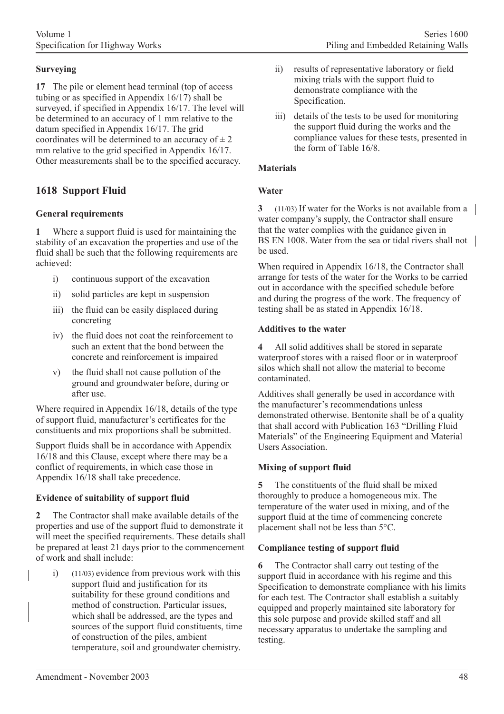# **Surveying**

**17** The pile or element head terminal (top of access tubing or as specified in Appendix 16/17) shall be surveyed, if specified in Appendix 16/17. The level will be determined to an accuracy of 1 mm relative to the datum specified in Appendix 16/17. The grid coordinates will be determined to an accuracy of  $\pm 2$ mm relative to the grid specified in Appendix 16/17. Other measurements shall be to the specified accuracy.

# **1618 Support Fluid**

### **General requirements**

**1** Where a support fluid is used for maintaining the stability of an excavation the properties and use of the fluid shall be such that the following requirements are achieved:

- i) continuous support of the excavation
- ii) solid particles are kept in suspension
- iii) the fluid can be easily displaced during concreting
- iv) the fluid does not coat the reinforcement to such an extent that the bond between the concrete and reinforcement is impaired
- v) the fluid shall not cause pollution of the ground and groundwater before, during or after use.

Where required in Appendix 16/18, details of the type of support fluid, manufacturer's certificates for the constituents and mix proportions shall be submitted.

Support fluids shall be in accordance with Appendix 16/18 and this Clause, except where there may be a conflict of requirements, in which case those in Appendix 16/18 shall take precedence.

# **Evidence of suitability of support fluid**

**2** The Contractor shall make available details of the properties and use of the support fluid to demonstrate it will meet the specified requirements. These details shall be prepared at least 21 days prior to the commencement of work and shall include:

i) (11/03) evidence from previous work with this support fluid and justification for its suitability for these ground conditions and method of construction. Particular issues, which shall be addressed, are the types and sources of the support fluid constituents, time of construction of the piles, ambient temperature, soil and groundwater chemistry.

- ii) results of representative laboratory or field mixing trials with the support fluid to demonstrate compliance with the Specification.
- iii) details of the tests to be used for monitoring the support fluid during the works and the compliance values for these tests, presented in the form of Table 16/8.

### **Materials**

### **Water**

**3** (11/03) If water for the Works is not available from a water company's supply, the Contractor shall ensure that the water complies with the guidance given in BS EN 1008. Water from the sea or tidal rivers shall not be used.

When required in Appendix 16/18, the Contractor shall arrange for tests of the water for the Works to be carried out in accordance with the specified schedule before and during the progress of the work. The frequency of testing shall be as stated in Appendix 16/18.

### **Additives to the water**

**4** All solid additives shall be stored in separate waterproof stores with a raised floor or in waterproof silos which shall not allow the material to become contaminated.

Additives shall generally be used in accordance with the manufacturer's recommendations unless demonstrated otherwise. Bentonite shall be of a quality that shall accord with Publication 163 "Drilling Fluid Materials" of the Engineering Equipment and Material Users Association.

# **Mixing of support fluid**

**5** The constituents of the fluid shall be mixed thoroughly to produce a homogeneous mix. The temperature of the water used in mixing, and of the support fluid at the time of commencing concrete placement shall not be less than 5°C.

### **Compliance testing of support fluid**

**6** The Contractor shall carry out testing of the support fluid in accordance with his regime and this Specification to demonstrate compliance with his limits for each test. The Contractor shall establish a suitably equipped and properly maintained site laboratory for this sole purpose and provide skilled staff and all necessary apparatus to undertake the sampling and testing.